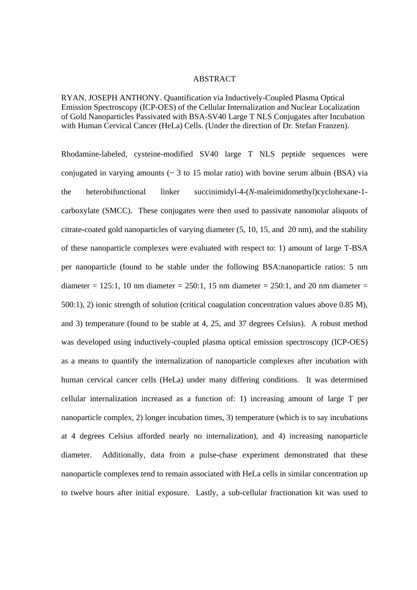#### ABSTRACT

RYAN, JOSEPH ANTHONY. Quantification via Inductively-Coupled Plasma Optical Emission Spectroscopy (ICP-OES) of the Cellular Internalization and Nuclear Localization of Gold Nanoparticles Passivated with BSA-SV40 Large T NLS Conjugates after Incubation with Human Cervical Cancer (HeLa) Cells. (Under the direction of Dr. Stefan Franzen).

Rhodamine-labeled, cysteine-modified SV40 large T NLS peptide sequences were conjugated in varying amounts ( $\sim$  3 to 15 molar ratio) with bovine serum albuin (BSA) via the heterobifunctional linker succinimidyl-4-(*N*-maleimidomethyl)cyclohexane-1 carboxylate (SMCC). These conjugates were then used to passivate nanomolar aliquots of citrate-coated gold nanoparticles of varying diameter (5, 10, 15, and 20 nm), and the stability of these nanoparticle complexes were evaluated with respect to: 1) amount of large T-BSA per nanoparticle (found to be stable under the following BSA:nanoparticle ratios: 5 nm diameter =  $125:1$ , 10 nm diameter =  $250:1$ , 15 nm diameter =  $250:1$ , and 20 nm diameter = 500:1), 2) ionic strength of solution (critical coagulation concentration values above 0.85 M), and 3) temperature (found to be stable at 4, 25, and 37 degrees Celsius). A robust method was developed using inductively-coupled plasma optical emission spectroscopy (ICP-OES) as a means to quantify the internalization of nanoparticle complexes after incubation with human cervical cancer cells (HeLa) under many differing conditions. It was determined cellular internalization increased as a function of: 1) increasing amount of large T per nanoparticle complex, 2) longer incubation times, 3) temperature (which is to say incubations at 4 degrees Celsius afforded nearly no internalization), and 4) increasing nanoparticle diameter. Additionally, data from a pulse-chase experiment demonstrated that these nanoparticle complexes tend to remain associated with HeLa cells in similar concentration up to twelve hours after initial exposure. Lastly, a sub-cellular fractionation kit was used to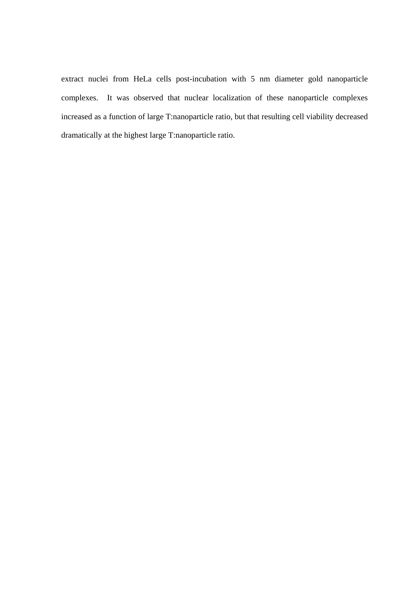extract nuclei from HeLa cells post-incubation with 5 nm diameter gold nanoparticle complexes. It was observed that nuclear localization of these nanoparticle complexes increased as a function of large T:nanoparticle ratio, but that resulting cell viability decreased dramatically at the highest large T:nanoparticle ratio.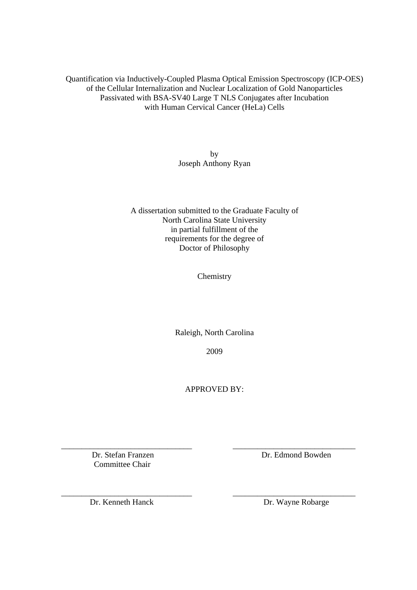Quantification via Inductively-Coupled Plasma Optical Emission Spectroscopy (ICP-OES) of the Cellular Internalization and Nuclear Localization of Gold Nanoparticles Passivated with BSA-SV40 Large T NLS Conjugates after Incubation with Human Cervical Cancer (HeLa) Cells

> by Joseph Anthony Ryan

A dissertation submitted to the Graduate Faculty of North Carolina State University in partial fulfillment of the requirements for the degree of Doctor of Philosophy

Chemistry

Raleigh, North Carolina

2009

APPROVED BY:

\_\_\_\_\_\_\_\_\_\_\_\_\_\_\_\_\_\_\_\_\_\_\_\_\_\_\_\_\_\_\_\_ \_\_\_\_\_\_\_\_\_\_\_\_\_\_\_\_\_\_\_\_\_\_\_\_\_\_\_\_\_\_

\_\_\_\_\_\_\_\_\_\_\_\_\_\_\_\_\_\_\_\_\_\_\_\_\_\_\_\_\_\_\_\_ \_\_\_\_\_\_\_\_\_\_\_\_\_\_\_\_\_\_\_\_\_\_\_\_\_\_\_\_\_\_

Committee Chair

Dr. Stefan Franzen Dr. Edmond Bowden

Dr. Kenneth Hanck Dr. Wayne Robarge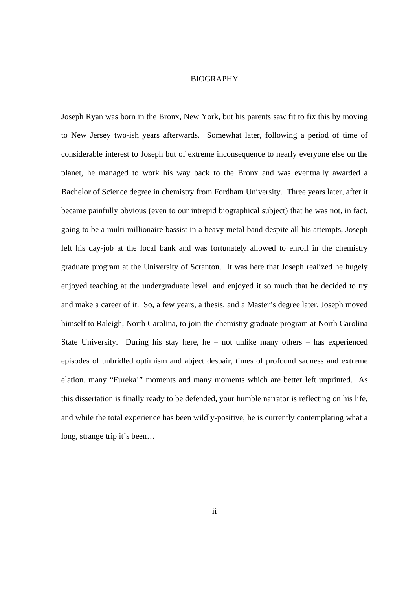#### BIOGRAPHY

Joseph Ryan was born in the Bronx, New York, but his parents saw fit to fix this by moving to New Jersey two-ish years afterwards. Somewhat later, following a period of time of considerable interest to Joseph but of extreme inconsequence to nearly everyone else on the planet, he managed to work his way back to the Bronx and was eventually awarded a Bachelor of Science degree in chemistry from Fordham University. Three years later, after it became painfully obvious (even to our intrepid biographical subject) that he was not, in fact, going to be a multi-millionaire bassist in a heavy metal band despite all his attempts, Joseph left his day-job at the local bank and was fortunately allowed to enroll in the chemistry graduate program at the University of Scranton. It was here that Joseph realized he hugely enjoyed teaching at the undergraduate level, and enjoyed it so much that he decided to try and make a career of it. So, a few years, a thesis, and a Master's degree later, Joseph moved himself to Raleigh, North Carolina, to join the chemistry graduate program at North Carolina State University. During his stay here, he – not unlike many others – has experienced episodes of unbridled optimism and abject despair, times of profound sadness and extreme elation, many "Eureka!" moments and many moments which are better left unprinted. As this dissertation is finally ready to be defended, your humble narrator is reflecting on his life, and while the total experience has been wildly-positive, he is currently contemplating what a long, strange trip it's been…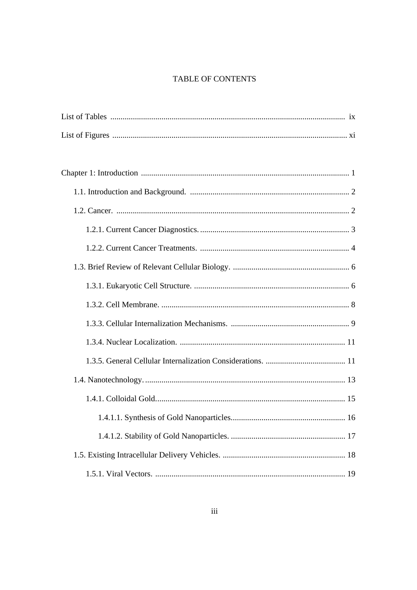# TABLE OF CONTENTS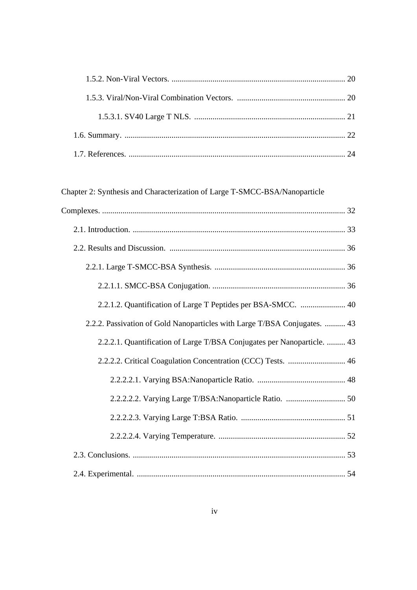# Chapter 2: Synthesis and Characterization of Large T-SMCC-BSA/Nanoparticle

| 2.2.1.2. Quantification of Large T Peptides per BSA-SMCC.  40             |
|---------------------------------------------------------------------------|
| 2.2.2. Passivation of Gold Nanoparticles with Large T/BSA Conjugates.  43 |
| 2.2.2.1. Quantification of Large T/BSA Conjugates per Nanoparticle.  43   |
| 2.2.2.2. Critical Coagulation Concentration (CCC) Tests.  46              |
|                                                                           |
|                                                                           |
|                                                                           |
|                                                                           |
|                                                                           |
|                                                                           |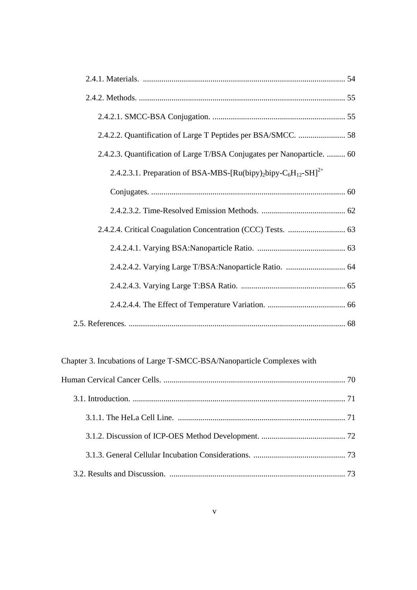| 2.4.2.2. Quantification of Large T Peptides per BSA/SMCC.  58                                                   |
|-----------------------------------------------------------------------------------------------------------------|
| 2.4.2.3. Quantification of Large T/BSA Conjugates per Nanoparticle.  60                                         |
| 2.4.2.3.1. Preparation of BSA-MBS-[Ru(bipy) <sub>2</sub> bipy-C <sub>6</sub> H <sub>12</sub> -SH] <sup>2+</sup> |
|                                                                                                                 |
|                                                                                                                 |
|                                                                                                                 |
|                                                                                                                 |
|                                                                                                                 |
|                                                                                                                 |
|                                                                                                                 |
|                                                                                                                 |

Chapter 3. Incubations of Large T-SMCC-BSA/Nanoparticle Complexes with

|  | 73 |
|--|----|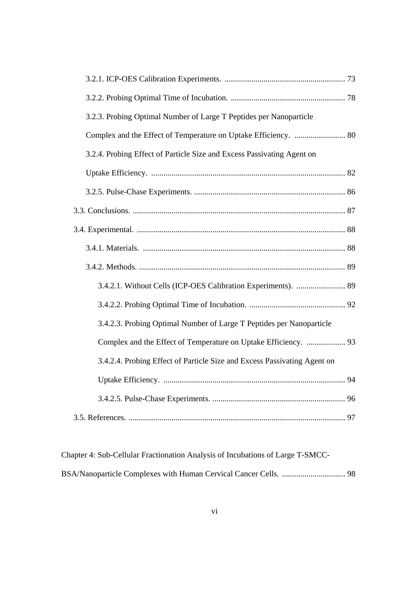| 3.2.3. Probing Optimal Number of Large T Peptides per Nanoparticle       |  |
|--------------------------------------------------------------------------|--|
| Complex and the Effect of Temperature on Uptake Efficiency.  80          |  |
| 3.2.4. Probing Effect of Particle Size and Excess Passivating Agent on   |  |
|                                                                          |  |
|                                                                          |  |
|                                                                          |  |
|                                                                          |  |
|                                                                          |  |
|                                                                          |  |
| 3.4.2.1. Without Cells (ICP-OES Calibration Experiments).  89            |  |
|                                                                          |  |
| 3.4.2.3. Probing Optimal Number of Large T Peptides per Nanoparticle     |  |
| Complex and the Effect of Temperature on Uptake Efficiency.  93          |  |
| 3.4.2.4. Probing Effect of Particle Size and Excess Passivating Agent on |  |
|                                                                          |  |
|                                                                          |  |
|                                                                          |  |

| Chapter 4: Sub-Cellular Fractionation Analysis of Incubations of Large T-SMCC- |  |
|--------------------------------------------------------------------------------|--|
|                                                                                |  |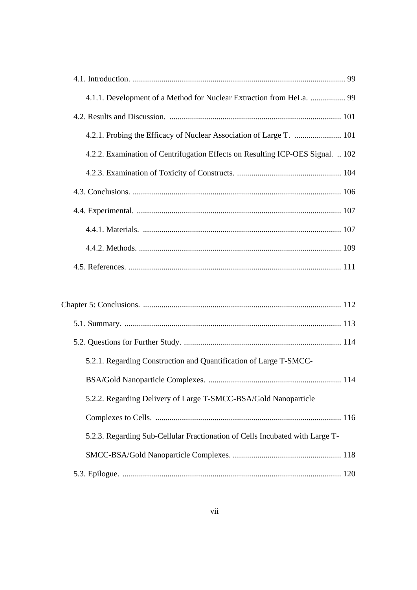| 4.1.1. Development of a Method for Nuclear Extraction from HeLa.  99           |
|--------------------------------------------------------------------------------|
|                                                                                |
|                                                                                |
| 4.2.2. Examination of Centrifugation Effects on Resulting ICP-OES Signal.  102 |
|                                                                                |
|                                                                                |
|                                                                                |
|                                                                                |
|                                                                                |
|                                                                                |

| 5.2.1. Regarding Construction and Quantification of Large T-SMCC-            |  |
|------------------------------------------------------------------------------|--|
|                                                                              |  |
| 5.2.2. Regarding Delivery of Large T-SMCC-BSA/Gold Nanoparticle              |  |
|                                                                              |  |
| 5.2.3. Regarding Sub-Cellular Fractionation of Cells Incubated with Large T- |  |
|                                                                              |  |
|                                                                              |  |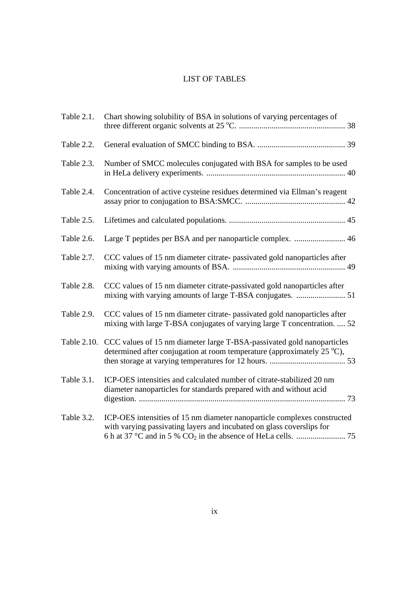# LIST OF TABLES

| Table 2.1. | Chart showing solubility of BSA in solutions of varying percentages of                                                                                                 |
|------------|------------------------------------------------------------------------------------------------------------------------------------------------------------------------|
| Table 2.2. |                                                                                                                                                                        |
| Table 2.3. | Number of SMCC molecules conjugated with BSA for samples to be used                                                                                                    |
| Table 2.4. | Concentration of active cysteine residues determined via Ellman's reagent                                                                                              |
| Table 2.5. |                                                                                                                                                                        |
| Table 2.6. |                                                                                                                                                                        |
| Table 2.7. | CCC values of 15 nm diameter citrate-passivated gold nanoparticles after                                                                                               |
| Table 2.8. | CCC values of 15 nm diameter citrate-passivated gold nanoparticles after<br>mixing with varying amounts of large T-BSA conjugates.  51                                 |
| Table 2.9. | CCC values of 15 nm diameter citrate-passivated gold nanoparticles after<br>mixing with large T-BSA conjugates of varying large T concentration.  52                   |
|            | Table 2.10. CCC values of 15 nm diameter large T-BSA-passivated gold nanoparticles<br>determined after conjugation at room temperature (approximately $25^{\circ}$ C), |
| Table 3.1. | ICP-OES intensities and calculated number of citrate-stabilized 20 nm<br>diameter nanoparticles for standards prepared with and without acid                           |
| Table 3.2. | ICP-OES intensities of 15 nm diameter nanoparticle complexes constructed<br>with varying passivating layers and incubated on glass coverslips for                      |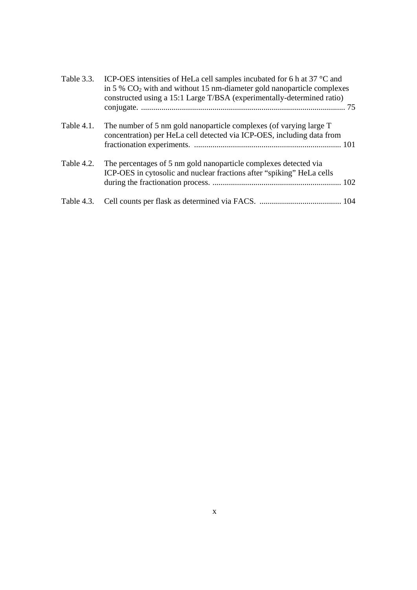| Table 3.3. | ICP-OES intensities of HeLa cell samples incubated for 6 h at 37 °C and<br>in $5\%$ CO <sub>2</sub> with and without 15 nm-diameter gold nanoparticle complexes<br>constructed using a 15:1 Large T/BSA (experimentally-determined ratio) |
|------------|-------------------------------------------------------------------------------------------------------------------------------------------------------------------------------------------------------------------------------------------|
| Table 4.1. | The number of 5 nm gold nanoparticle complexes (of varying large T)<br>concentration) per HeLa cell detected via ICP-OES, including data from                                                                                             |
| Table 4.2. | The percentages of 5 nm gold nanoparticle complexes detected via<br>ICP-OES in cytosolic and nuclear fractions after "spiking" HeLa cells                                                                                                 |
| Table 4.3. |                                                                                                                                                                                                                                           |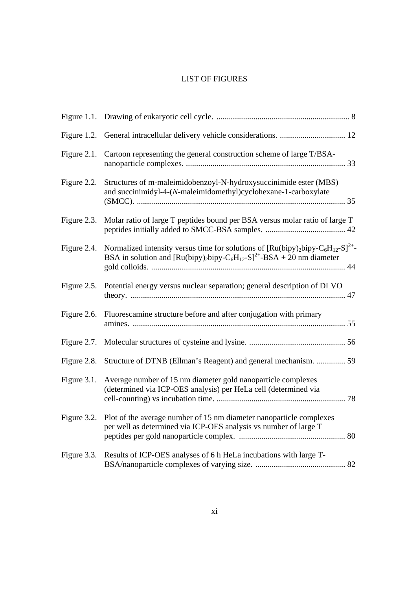# LIST OF FIGURES

| Figure 1.2. |                                                                                                                                                                                                                           |
|-------------|---------------------------------------------------------------------------------------------------------------------------------------------------------------------------------------------------------------------------|
| Figure 2.1. | Cartoon representing the general construction scheme of large T/BSA-                                                                                                                                                      |
| Figure 2.2. | Structures of m-maleimidobenzoyl-N-hydroxysuccinimide ester (MBS)<br>and succinimidyl-4-(N-maleimidomethyl)cyclohexane-1-carboxylate                                                                                      |
| Figure 2.3. | Molar ratio of large T peptides bound per BSA versus molar ratio of large T                                                                                                                                               |
| Figure 2.4. | Normalized intensity versus time for solutions of $\left[\text{Ru(bipy)}_{2}\text{bipy}-C_6\text{H}_{12}-S\right]^{2+}$<br>BSA in solution and $\left[\text{Ru(bipy)_2bipy-C_6H_{12}-S\right]^{2+}$ -BSA + 20 nm diameter |
| Figure 2.5. | Potential energy versus nuclear separation; general description of DLVO                                                                                                                                                   |
| Figure 2.6. | Fluorescamine structure before and after conjugation with primary                                                                                                                                                         |
| Figure 2.7. |                                                                                                                                                                                                                           |
| Figure 2.8. | Structure of DTNB (Ellman's Reagent) and general mechanism.  59                                                                                                                                                           |
| Figure 3.1. | Average number of 15 nm diameter gold nanoparticle complexes<br>(determined via ICP-OES analysis) per HeLa cell (determined via                                                                                           |
| Figure 3.2. | Plot of the average number of 15 nm diameter nanoparticle complexes<br>per well as determined via ICP-OES analysis vs number of large T                                                                                   |
| Figure 3.3. | Results of ICP-OES analyses of 6 h HeLa incubations with large T-                                                                                                                                                         |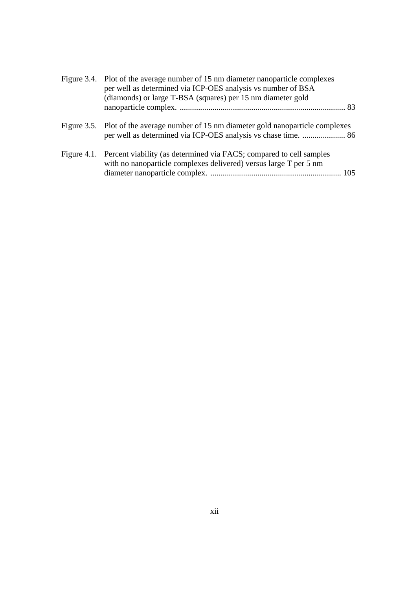|  | Figure 3.4. Plot of the average number of 15 nm diameter nanoparticle complexes<br>per well as determined via ICP-OES analysis vs number of BSA<br>(diamonds) or large T-BSA (squares) per 15 nm diameter gold |
|--|----------------------------------------------------------------------------------------------------------------------------------------------------------------------------------------------------------------|
|  |                                                                                                                                                                                                                |
|  | Figure 3.5. Plot of the average number of 15 nm diameter gold nanoparticle complexes<br>per well as determined via ICP-OES analysis vs chase time.  86                                                         |
|  | Figure 4.1. Percent viability (as determined via FACS; compared to cell samples<br>with no nanoparticle complexes delivered) versus large T per 5 nm                                                           |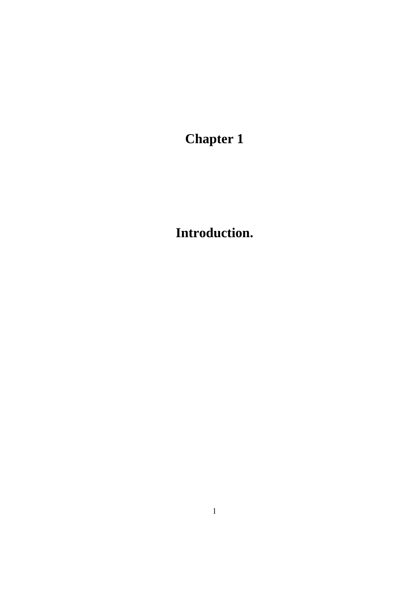**Chapter 1** 

**Introduction.**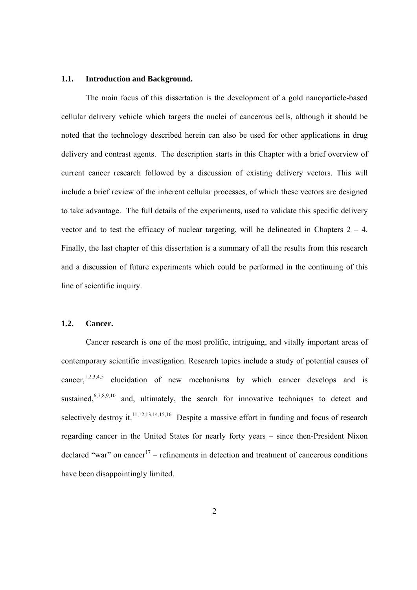#### **1.1. Introduction and Background.**

 The main focus of this dissertation is the development of a gold nanoparticle-based cellular delivery vehicle which targets the nuclei of cancerous cells, although it should be noted that the technology described herein can also be used for other applications in drug delivery and contrast agents. The description starts in this Chapter with a brief overview of current cancer research followed by a discussion of existing delivery vectors. This will include a brief review of the inherent cellular processes, of which these vectors are designed to take advantage. The full details of the experiments, used to validate this specific delivery vector and to test the efficacy of nuclear targeting, will be delineated in Chapters  $2 - 4$ . Finally, the last chapter of this dissertation is a summary of all the results from this research and a discussion of future experiments which could be performed in the continuing of this line of scientific inquiry.

### **1.2. Cancer.**

Cancer research is one of the most prolific, intriguing, and vitally important areas of contemporary scientific investigation. Research topics include a study of potential causes of cancer,<sup>1,2,3,4,5</sup> elucidation of new mechanisms by which cancer develops and is sustained,<sup>6,7,8,9,10</sup> and, ultimately, the search for innovative techniques to detect and selectively destroy it.<sup>11,12,13,14,15,16</sup> Despite a massive effort in funding and focus of research regarding cancer in the United States for nearly forty years – since then-President Nixon declared "war" on cancer<sup>17</sup> – refinements in detection and treatment of cancerous conditions have been disappointingly limited.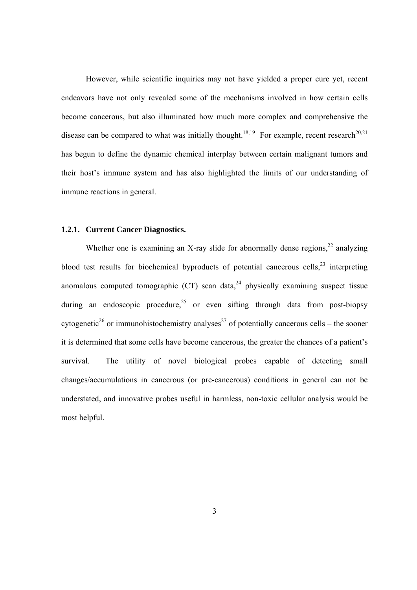However, while scientific inquiries may not have yielded a proper cure yet, recent endeavors have not only revealed some of the mechanisms involved in how certain cells become cancerous, but also illuminated how much more complex and comprehensive the disease can be compared to what was initially thought.<sup>18,19</sup> For example, recent research<sup>20,21</sup> has begun to define the dynamic chemical interplay between certain malignant tumors and their host's immune system and has also highlighted the limits of our understanding of immune reactions in general.

#### **1.2.1. Current Cancer Diagnostics.**

Whether one is examining an X-ray slide for abnormally dense regions, $22$  analyzing blood test results for biochemical byproducts of potential cancerous cells.<sup>23</sup> interpreting anomalous computed tomographic  $(CT)$  scan data,<sup>24</sup> physically examining suspect tissue during an endoscopic procedure,  $25$  or even sifting through data from post-biopsy cytogenetic<sup>26</sup> or immunohistochemistry analyses<sup>27</sup> of potentially cancerous cells – the sooner it is determined that some cells have become cancerous, the greater the chances of a patient's survival. The utility of novel biological probes capable of detecting small changes/accumulations in cancerous (or pre-cancerous) conditions in general can not be understated, and innovative probes useful in harmless, non-toxic cellular analysis would be most helpful.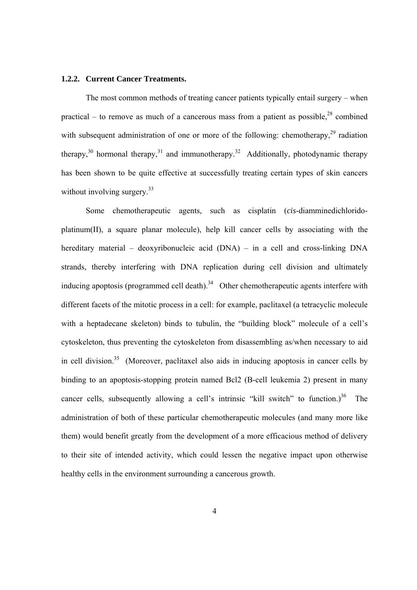#### **1.2.2. Current Cancer Treatments.**

 The most common methods of treating cancer patients typically entail surgery – when practical – to remove as much of a cancerous mass from a patient as possible,  $28$  combined with subsequent administration of one or more of the following: chemotherapy,  $29$  radiation therapy,<sup>30</sup> hormonal therapy,<sup>31</sup> and immunotherapy.<sup>32</sup> Additionally, photodynamic therapy has been shown to be quite effective at successfully treating certain types of skin cancers without involving surgery.<sup>33</sup>

Some chemotherapeutic agents, such as cisplatin (*cis*-diamminedichloridoplatinum(II), a square planar molecule), help kill cancer cells by associating with the hereditary material – deoxyribonucleic acid (DNA) – in a cell and cross-linking DNA strands, thereby interfering with DNA replication during cell division and ultimately inducing apoptosis (programmed cell death).<sup>34</sup> Other chemotherapeutic agents interfere with different facets of the mitotic process in a cell: for example, paclitaxel (a tetracyclic molecule with a heptadecane skeleton) binds to tubulin, the "building block" molecule of a cell's cytoskeleton, thus preventing the cytoskeleton from disassembling as/when necessary to aid in cell division.<sup>35</sup> (Moreover, paclitaxel also aids in inducing apoptosis in cancer cells by binding to an apoptosis-stopping protein named Bcl2 (B-cell leukemia 2) present in many cancer cells, subsequently allowing a cell's intrinsic "kill switch" to function.)<sup>36</sup> The administration of both of these particular chemotherapeutic molecules (and many more like them) would benefit greatly from the development of a more efficacious method of delivery to their site of intended activity, which could lessen the negative impact upon otherwise healthy cells in the environment surrounding a cancerous growth.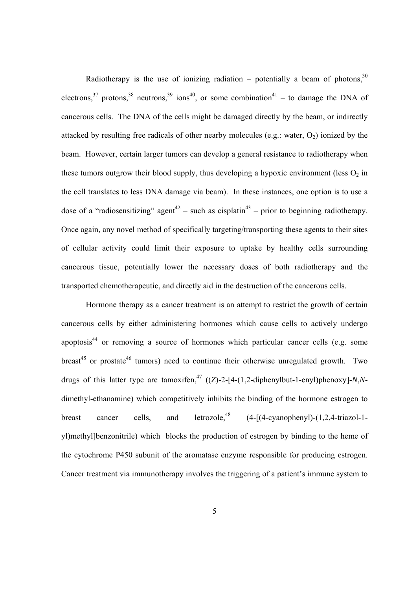Radiotherapy is the use of ionizing radiation – potentially a beam of photons,  $30$ electrons,<sup>37</sup> protons,<sup>38</sup> neutrons,<sup>39</sup> ions<sup>40</sup>, or some combination<sup>41</sup> – to damage the DNA of cancerous cells. The DNA of the cells might be damaged directly by the beam, or indirectly attacked by resulting free radicals of other nearby molecules (e.g.: water,  $O_2$ ) ionized by the beam. However, certain larger tumors can develop a general resistance to radiotherapy when these tumors outgrow their blood supply, thus developing a hypoxic environment (less  $O_2$  in the cell translates to less DNA damage via beam). In these instances, one option is to use a dose of a "radiosensitizing" agent<sup>42</sup> – such as cisplatin<sup>43</sup> – prior to beginning radiotherapy. Once again, any novel method of specifically targeting/transporting these agents to their sites of cellular activity could limit their exposure to uptake by healthy cells surrounding cancerous tissue, potentially lower the necessary doses of both radiotherapy and the transported chemotherapeutic, and directly aid in the destruction of the cancerous cells.

Hormone therapy as a cancer treatment is an attempt to restrict the growth of certain cancerous cells by either administering hormones which cause cells to actively undergo apoptosis<sup>44</sup> or removing a source of hormones which particular cancer cells (e.g. some breast<sup>45</sup> or prostate<sup>46</sup> tumors) need to continue their otherwise unregulated growth. Two drugs of this latter type are tamoxifen,<sup>47</sup> ((*Z*)-2-[4-(1,2-diphenylbut-1-enyl)phenoxy]-*N*,*N*dimethyl-ethanamine) which competitively inhibits the binding of the hormone estrogen to breast cancer cells, and letrozole,<sup>48</sup>  $(4-[ (4-cyanophenyl)-(1,2,4-triazol-1$ yl)methyl]benzonitrile) which blocks the production of estrogen by binding to the heme of the cytochrome P450 subunit of the aromatase enzyme responsible for producing estrogen. Cancer treatment via immunotherapy involves the triggering of a patient's immune system to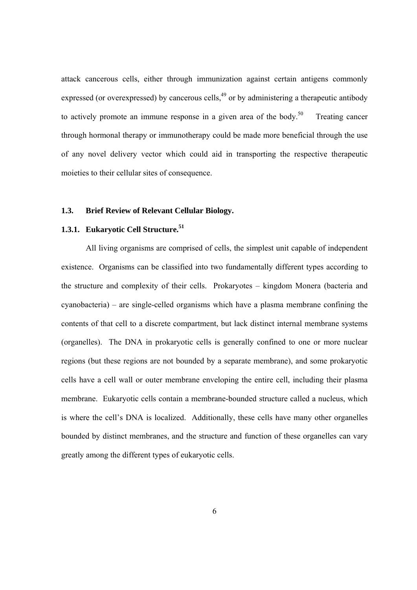attack cancerous cells, either through immunization against certain antigens commonly expressed (or overexpressed) by cancerous cells,<sup>49</sup> or by administering a therapeutic antibody to actively promote an immune response in a given area of the body.<sup>50</sup> Treating cancer through hormonal therapy or immunotherapy could be made more beneficial through the use of any novel delivery vector which could aid in transporting the respective therapeutic moieties to their cellular sites of consequence.

### **1.3. Brief Review of Relevant Cellular Biology.**

### **1.3.1. Eukaryotic Cell Structure.51**

All living organisms are comprised of cells, the simplest unit capable of independent existence. Organisms can be classified into two fundamentally different types according to the structure and complexity of their cells. Prokaryotes – kingdom Monera (bacteria and cyanobacteria) – are single-celled organisms which have a plasma membrane confining the contents of that cell to a discrete compartment, but lack distinct internal membrane systems (organelles). The DNA in prokaryotic cells is generally confined to one or more nuclear regions (but these regions are not bounded by a separate membrane), and some prokaryotic cells have a cell wall or outer membrane enveloping the entire cell, including their plasma membrane. Eukaryotic cells contain a membrane-bounded structure called a nucleus, which is where the cell's DNA is localized. Additionally, these cells have many other organelles bounded by distinct membranes, and the structure and function of these organelles can vary greatly among the different types of eukaryotic cells.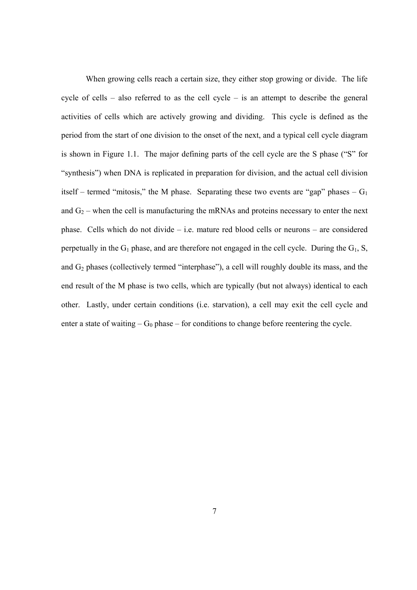When growing cells reach a certain size, they either stop growing or divide. The life cycle of cells – also referred to as the cell cycle – is an attempt to describe the general activities of cells which are actively growing and dividing. This cycle is defined as the period from the start of one division to the onset of the next, and a typical cell cycle diagram is shown in Figure 1.1. The major defining parts of the cell cycle are the S phase ("S" for "synthesis") when DNA is replicated in preparation for division, and the actual cell division itself – termed "mitosis," the M phase. Separating these two events are "gap" phases –  $G_1$ and  $G_2$  – when the cell is manufacturing the mRNAs and proteins necessary to enter the next phase. Cells which do not divide – i.e. mature red blood cells or neurons – are considered perpetually in the  $G_1$  phase, and are therefore not engaged in the cell cycle. During the  $G_1$ , S, and  $G_2$  phases (collectively termed "interphase"), a cell will roughly double its mass, and the end result of the M phase is two cells, which are typically (but not always) identical to each other. Lastly, under certain conditions (i.e. starvation), a cell may exit the cell cycle and enter a state of waiting  $-G_0$  phase – for conditions to change before reentering the cycle.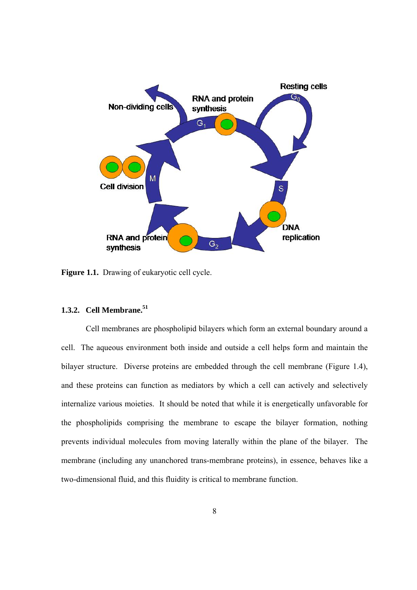

**Figure 1.1.** Drawing of eukaryotic cell cycle.

### **1.3.2. Cell Membrane.51**

Cell membranes are phospholipid bilayers which form an external boundary around a cell. The aqueous environment both inside and outside a cell helps form and maintain the bilayer structure. Diverse proteins are embedded through the cell membrane (Figure 1.4), and these proteins can function as mediators by which a cell can actively and selectively internalize various moieties. It should be noted that while it is energetically unfavorable for the phospholipids comprising the membrane to escape the bilayer formation, nothing prevents individual molecules from moving laterally within the plane of the bilayer. The membrane (including any unanchored trans-membrane proteins), in essence, behaves like a two-dimensional fluid, and this fluidity is critical to membrane function.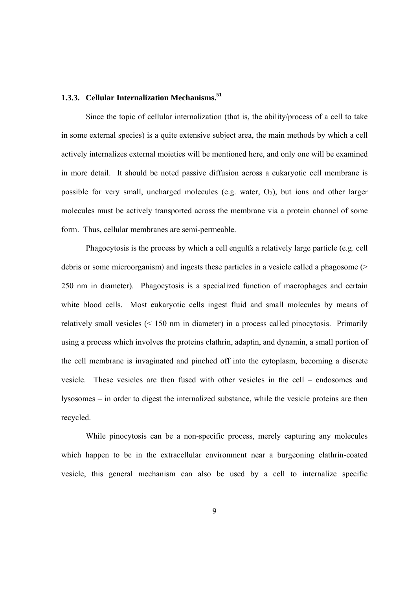### **1.3.3. Cellular Internalization Mechanisms.51**

 Since the topic of cellular internalization (that is, the ability/process of a cell to take in some external species) is a quite extensive subject area, the main methods by which a cell actively internalizes external moieties will be mentioned here, and only one will be examined in more detail. It should be noted passive diffusion across a eukaryotic cell membrane is possible for very small, uncharged molecules (e.g. water,  $O_2$ ), but ions and other larger molecules must be actively transported across the membrane via a protein channel of some form. Thus, cellular membranes are semi-permeable.

 Phagocytosis is the process by which a cell engulfs a relatively large particle (e.g. cell debris or some microorganism) and ingests these particles in a vesicle called a phagosome (> 250 nm in diameter). Phagocytosis is a specialized function of macrophages and certain white blood cells. Most eukaryotic cells ingest fluid and small molecules by means of relatively small vesicles (< 150 nm in diameter) in a process called pinocytosis. Primarily using a process which involves the proteins clathrin, adaptin, and dynamin, a small portion of the cell membrane is invaginated and pinched off into the cytoplasm, becoming a discrete vesicle. These vesicles are then fused with other vesicles in the cell – endosomes and lysosomes – in order to digest the internalized substance, while the vesicle proteins are then recycled.

 While pinocytosis can be a non-specific process, merely capturing any molecules which happen to be in the extracellular environment near a burgeoning clathrin-coated vesicle, this general mechanism can also be used by a cell to internalize specific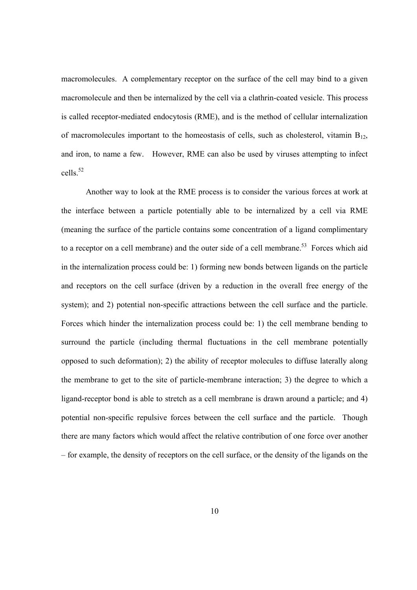macromolecules. A complementary receptor on the surface of the cell may bind to a given macromolecule and then be internalized by the cell via a clathrin-coated vesicle. This process is called receptor-mediated endocytosis (RME), and is the method of cellular internalization of macromolecules important to the homeostasis of cells, such as cholesterol, vitamin  $B_{12}$ , and iron, to name a few. However, RME can also be used by viruses attempting to infect cells.<sup>52</sup>

 Another way to look at the RME process is to consider the various forces at work at the interface between a particle potentially able to be internalized by a cell via RME (meaning the surface of the particle contains some concentration of a ligand complimentary to a receptor on a cell membrane) and the outer side of a cell membrane.<sup>53</sup> Forces which aid in the internalization process could be: 1) forming new bonds between ligands on the particle and receptors on the cell surface (driven by a reduction in the overall free energy of the system); and 2) potential non-specific attractions between the cell surface and the particle. Forces which hinder the internalization process could be: 1) the cell membrane bending to surround the particle (including thermal fluctuations in the cell membrane potentially opposed to such deformation); 2) the ability of receptor molecules to diffuse laterally along the membrane to get to the site of particle-membrane interaction; 3) the degree to which a ligand-receptor bond is able to stretch as a cell membrane is drawn around a particle; and 4) potential non-specific repulsive forces between the cell surface and the particle. Though there are many factors which would affect the relative contribution of one force over another – for example, the density of receptors on the cell surface, or the density of the ligands on the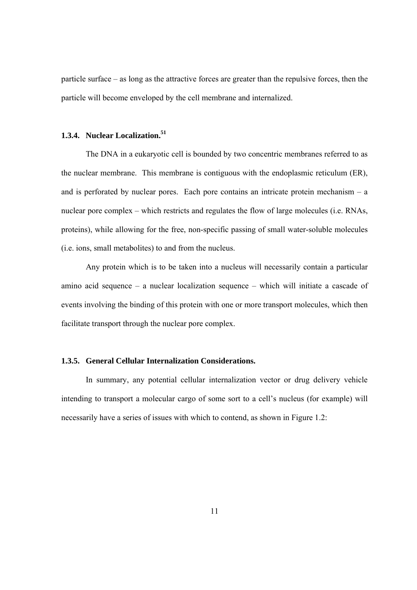particle surface – as long as the attractive forces are greater than the repulsive forces, then the particle will become enveloped by the cell membrane and internalized.

### **1.3.4. Nuclear Localization.51**

The DNA in a eukaryotic cell is bounded by two concentric membranes referred to as the nuclear membrane. This membrane is contiguous with the endoplasmic reticulum (ER), and is perforated by nuclear pores. Each pore contains an intricate protein mechanism  $-$  a nuclear pore complex – which restricts and regulates the flow of large molecules (i.e. RNAs, proteins), while allowing for the free, non-specific passing of small water-soluble molecules (i.e. ions, small metabolites) to and from the nucleus.

 Any protein which is to be taken into a nucleus will necessarily contain a particular amino acid sequence – a nuclear localization sequence – which will initiate a cascade of events involving the binding of this protein with one or more transport molecules, which then facilitate transport through the nuclear pore complex.

#### **1.3.5. General Cellular Internalization Considerations.**

In summary, any potential cellular internalization vector or drug delivery vehicle intending to transport a molecular cargo of some sort to a cell's nucleus (for example) will necessarily have a series of issues with which to contend, as shown in Figure 1.2: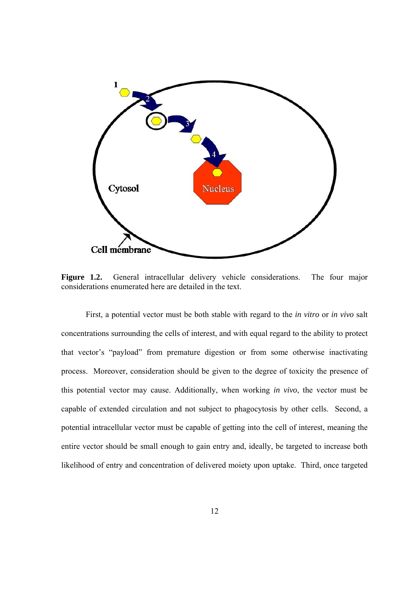

**Figure 1.2.** General intracellular delivery vehicle considerations. The four major considerations enumerated here are detailed in the text.

 First, a potential vector must be both stable with regard to the *in vitro* or *in vivo* salt concentrations surrounding the cells of interest, and with equal regard to the ability to protect that vector's "payload" from premature digestion or from some otherwise inactivating process. Moreover, consideration should be given to the degree of toxicity the presence of this potential vector may cause. Additionally, when working *in vivo*, the vector must be capable of extended circulation and not subject to phagocytosis by other cells. Second, a potential intracellular vector must be capable of getting into the cell of interest, meaning the entire vector should be small enough to gain entry and, ideally, be targeted to increase both likelihood of entry and concentration of delivered moiety upon uptake. Third, once targeted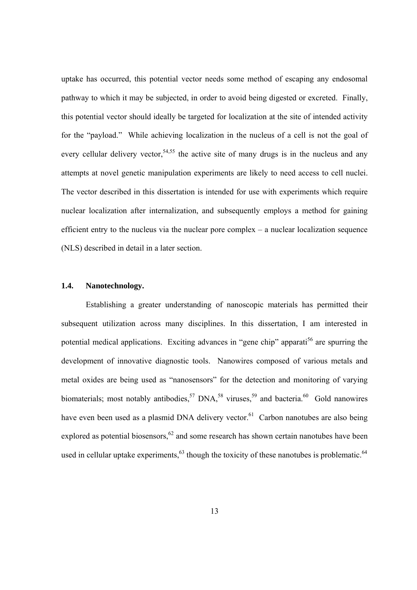uptake has occurred, this potential vector needs some method of escaping any endosomal pathway to which it may be subjected, in order to avoid being digested or excreted. Finally, this potential vector should ideally be targeted for localization at the site of intended activity for the "payload." While achieving localization in the nucleus of a cell is not the goal of every cellular delivery vector,<sup>54,55</sup> the active site of many drugs is in the nucleus and any attempts at novel genetic manipulation experiments are likely to need access to cell nuclei. The vector described in this dissertation is intended for use with experiments which require nuclear localization after internalization, and subsequently employs a method for gaining efficient entry to the nucleus via the nuclear pore complex – a nuclear localization sequence (NLS) described in detail in a later section.

### **1.4. Nanotechnology.**

Establishing a greater understanding of nanoscopic materials has permitted their subsequent utilization across many disciplines. In this dissertation, I am interested in potential medical applications. Exciting advances in "gene chip" apparati<sup>56</sup> are spurring the development of innovative diagnostic tools. Nanowires composed of various metals and metal oxides are being used as "nanosensors" for the detection and monitoring of varying biomaterials; most notably antibodies,  $57$  DNA,  $58$  viruses,  $59$  and bacteria.  $60$  Gold nanowires have even been used as a plasmid DNA delivery vector.<sup>61</sup> Carbon nanotubes are also being explored as potential biosensors,  $62$  and some research has shown certain nanotubes have been used in cellular uptake experiments,<sup>63</sup> though the toxicity of these nanotubes is problematic.<sup>64</sup>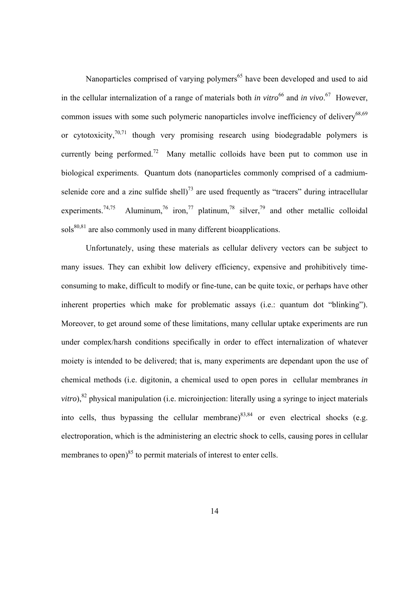Nanoparticles comprised of varying polymers<sup>65</sup> have been developed and used to aid in the cellular internalization of a range of materials both *in vitro*<sup>66</sup> and *in vivo*.<sup>67</sup> However, common issues with some such polymeric nanoparticles involve inefficiency of delivery<sup>68,69</sup> or cytotoxicity,  $70,71$  though very promising research using biodegradable polymers is currently being performed.<sup>72</sup> Many metallic colloids have been put to common use in biological experiments. Quantum dots (nanoparticles commonly comprised of a cadmiumselenide core and a zinc sulfide shell)<sup>73</sup> are used frequently as "tracers" during intracellular experiments.<sup>74,75</sup> Aluminum,<sup>76</sup> iron,<sup>77</sup> platinum,<sup>78</sup> silver,<sup>79</sup> and other metallic colloidal  $sols^{80,81}$  are also commonly used in many different bioapplications.

Unfortunately, using these materials as cellular delivery vectors can be subject to many issues. They can exhibit low delivery efficiency, expensive and prohibitively timeconsuming to make, difficult to modify or fine-tune, can be quite toxic, or perhaps have other inherent properties which make for problematic assays (i.e.: quantum dot "blinking"). Moreover, to get around some of these limitations, many cellular uptake experiments are run under complex/harsh conditions specifically in order to effect internalization of whatever moiety is intended to be delivered; that is, many experiments are dependant upon the use of chemical methods (i.e. digitonin, a chemical used to open pores in cellular membranes *in vitro*),<sup>82</sup> physical manipulation (i.e. microinjection: literally using a syringe to inject materials into cells, thus bypassing the cellular membrane)<sup>83,84</sup> or even electrical shocks (e.g. electroporation, which is the administering an electric shock to cells, causing pores in cellular membranes to open) $85$  to permit materials of interest to enter cells.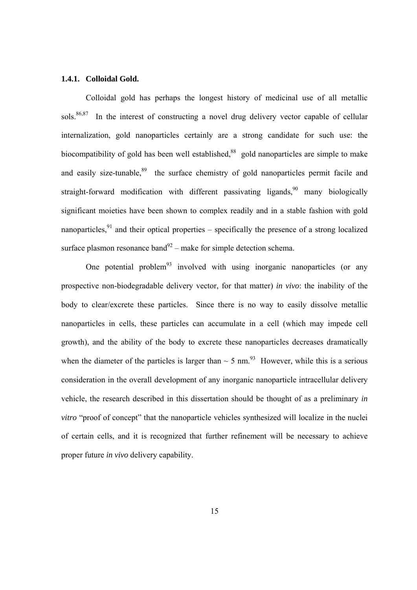#### **1.4.1. Colloidal Gold.**

Colloidal gold has perhaps the longest history of medicinal use of all metallic sols.<sup>86,87</sup> In the interest of constructing a novel drug delivery vector capable of cellular internalization, gold nanoparticles certainly are a strong candidate for such use: the biocompatibility of gold has been well established, $88$  gold nanoparticles are simple to make and easily size-tunable,<sup>89</sup> the surface chemistry of gold nanoparticles permit facile and straight-forward modification with different passivating ligands,<sup>90</sup> many biologically significant moieties have been shown to complex readily and in a stable fashion with gold nanoparticles,  $91$  and their optical properties – specifically the presence of a strong localized surface plasmon resonance band<sup>92</sup> – make for simple detection schema.

One potential problem<sup>93</sup> involved with using inorganic nanoparticles (or any prospective non-biodegradable delivery vector, for that matter) *in vivo*: the inability of the body to clear/excrete these particles. Since there is no way to easily dissolve metallic nanoparticles in cells, these particles can accumulate in a cell (which may impede cell growth), and the ability of the body to excrete these nanoparticles decreases dramatically when the diameter of the particles is larger than  $\sim$  5 nm.<sup>93</sup> However, while this is a serious consideration in the overall development of any inorganic nanoparticle intracellular delivery vehicle, the research described in this dissertation should be thought of as a preliminary *in vitro* "proof of concept" that the nanoparticle vehicles synthesized will localize in the nuclei of certain cells, and it is recognized that further refinement will be necessary to achieve proper future *in vivo* delivery capability.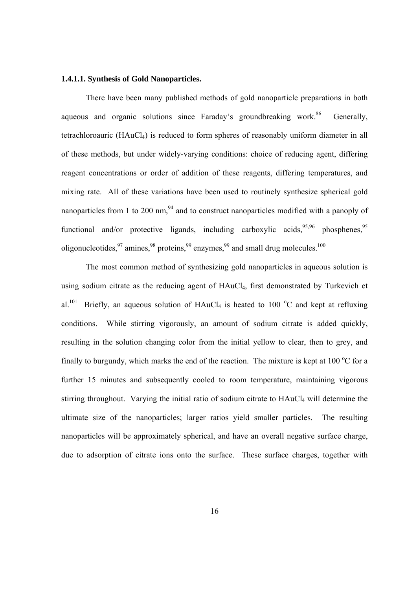#### **1.4.1.1. Synthesis of Gold Nanoparticles.**

 There have been many published methods of gold nanoparticle preparations in both aqueous and organic solutions since Faraday's groundbreaking work.<sup>86</sup> Generally, tetrachloroauric (HAuCl4) is reduced to form spheres of reasonably uniform diameter in all of these methods, but under widely-varying conditions: choice of reducing agent, differing reagent concentrations or order of addition of these reagents, differing temperatures, and mixing rate. All of these variations have been used to routinely synthesize spherical gold nanoparticles from 1 to 200 nm, $94$  and to construct nanoparticles modified with a panoply of functional and/or protective ligands, including carboxylic acids,  $95,96$  phosphenes,  $95$ oligonucleotides,  $97$  amines,  $98$  proteins,  $99$  enzymes,  $99$  and small drug molecules.<sup>100</sup>

 The most common method of synthesizing gold nanoparticles in aqueous solution is using sodium citrate as the reducing agent of HAuCl<sub>4</sub>, first demonstrated by Turkevich et al.<sup>101</sup> Briefly, an aqueous solution of HAuCl<sub>4</sub> is heated to 100 °C and kept at refluxing conditions. While stirring vigorously, an amount of sodium citrate is added quickly, resulting in the solution changing color from the initial yellow to clear, then to grey, and finally to burgundy, which marks the end of the reaction. The mixture is kept at  $100^{\circ}$ C for a further 15 minutes and subsequently cooled to room temperature, maintaining vigorous stirring throughout. Varying the initial ratio of sodium citrate to HAuCl<sub>4</sub> will determine the ultimate size of the nanoparticles; larger ratios yield smaller particles. The resulting nanoparticles will be approximately spherical, and have an overall negative surface charge, due to adsorption of citrate ions onto the surface. These surface charges, together with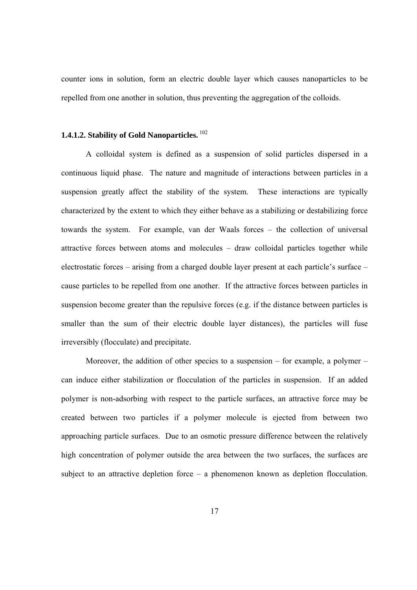counter ions in solution, form an electric double layer which causes nanoparticles to be repelled from one another in solution, thus preventing the aggregation of the colloids.

### **1.4.1.2. Stability of Gold Nanoparticles.**<sup>102</sup>

A colloidal system is defined as a suspension of solid particles dispersed in a continuous liquid phase. The nature and magnitude of interactions between particles in a suspension greatly affect the stability of the system. These interactions are typically characterized by the extent to which they either behave as a stabilizing or destabilizing force towards the system. For example, van der Waals forces – the collection of universal attractive forces between atoms and molecules – draw colloidal particles together while electrostatic forces – arising from a charged double layer present at each particle's surface – cause particles to be repelled from one another. If the attractive forces between particles in suspension become greater than the repulsive forces (e.g. if the distance between particles is smaller than the sum of their electric double layer distances), the particles will fuse irreversibly (flocculate) and precipitate.

Moreover, the addition of other species to a suspension – for example, a polymer – can induce either stabilization or flocculation of the particles in suspension. If an added polymer is non-adsorbing with respect to the particle surfaces, an attractive force may be created between two particles if a polymer molecule is ejected from between two approaching particle surfaces. Due to an osmotic pressure difference between the relatively high concentration of polymer outside the area between the two surfaces, the surfaces are subject to an attractive depletion force – a phenomenon known as depletion flocculation.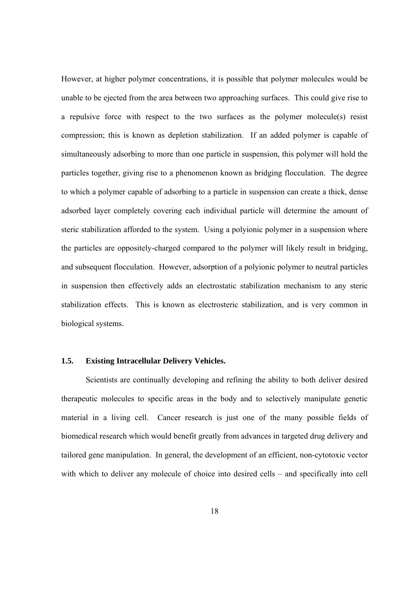However, at higher polymer concentrations, it is possible that polymer molecules would be unable to be ejected from the area between two approaching surfaces. This could give rise to a repulsive force with respect to the two surfaces as the polymer molecule(s) resist compression; this is known as depletion stabilization. If an added polymer is capable of simultaneously adsorbing to more than one particle in suspension, this polymer will hold the particles together, giving rise to a phenomenon known as bridging flocculation. The degree to which a polymer capable of adsorbing to a particle in suspension can create a thick, dense adsorbed layer completely covering each individual particle will determine the amount of steric stabilization afforded to the system. Using a polyionic polymer in a suspension where the particles are oppositely-charged compared to the polymer will likely result in bridging, and subsequent flocculation. However, adsorption of a polyionic polymer to neutral particles in suspension then effectively adds an electrostatic stabilization mechanism to any steric stabilization effects. This is known as electrosteric stabilization, and is very common in biological systems.

#### **1.5. Existing Intracellular Delivery Vehicles.**

Scientists are continually developing and refining the ability to both deliver desired therapeutic molecules to specific areas in the body and to selectively manipulate genetic material in a living cell. Cancer research is just one of the many possible fields of biomedical research which would benefit greatly from advances in targeted drug delivery and tailored gene manipulation. In general, the development of an efficient, non-cytotoxic vector with which to deliver any molecule of choice into desired cells – and specifically into cell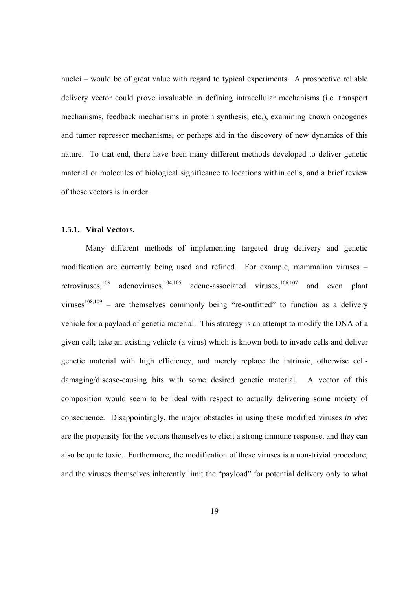nuclei – would be of great value with regard to typical experiments. A prospective reliable delivery vector could prove invaluable in defining intracellular mechanisms (i.e. transport mechanisms, feedback mechanisms in protein synthesis, etc.), examining known oncogenes and tumor repressor mechanisms, or perhaps aid in the discovery of new dynamics of this nature. To that end, there have been many different methods developed to deliver genetic material or molecules of biological significance to locations within cells, and a brief review of these vectors is in order.

### **1.5.1. Viral Vectors.**

Many different methods of implementing targeted drug delivery and genetic modification are currently being used and refined. For example, mammalian viruses – retroviruses,<sup>103</sup> adenoviruses,<sup>104,105</sup> adeno-associated viruses,<sup>106,107</sup> and even plant viruses<sup>108,109</sup> – are themselves commonly being "re-outfitted" to function as a delivery vehicle for a payload of genetic material. This strategy is an attempt to modify the DNA of a given cell; take an existing vehicle (a virus) which is known both to invade cells and deliver genetic material with high efficiency, and merely replace the intrinsic, otherwise celldamaging/disease-causing bits with some desired genetic material. A vector of this composition would seem to be ideal with respect to actually delivering some moiety of consequence. Disappointingly, the major obstacles in using these modified viruses *in vivo* are the propensity for the vectors themselves to elicit a strong immune response, and they can also be quite toxic. Furthermore, the modification of these viruses is a non-trivial procedure, and the viruses themselves inherently limit the "payload" for potential delivery only to what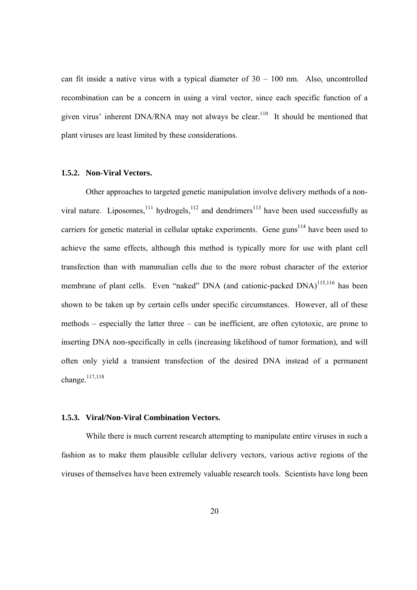can fit inside a native virus with a typical diameter of  $30 - 100$  nm. Also, uncontrolled recombination can be a concern in using a viral vector, since each specific function of a given virus' inherent  $DNA/RNA$  may not always be clear.<sup>110</sup> It should be mentioned that plant viruses are least limited by these considerations.

#### **1.5.2. Non-Viral Vectors.**

 Other approaches to targeted genetic manipulation involve delivery methods of a nonviral nature. Liposomes, $^{111}$  hydrogels, $^{112}$  and dendrimers $^{113}$  have been used successfully as carriers for genetic material in cellular uptake experiments. Gene guns<sup>114</sup> have been used to achieve the same effects, although this method is typically more for use with plant cell transfection than with mammalian cells due to the more robust character of the exterior membrane of plant cells. Even "naked" DNA (and cationic-packed DNA)<sup>115,116</sup> has been shown to be taken up by certain cells under specific circumstances. However, all of these methods – especially the latter three – can be inefficient, are often cytotoxic, are prone to inserting DNA non-specifically in cells (increasing likelihood of tumor formation), and will often only yield a transient transfection of the desired DNA instead of a permanent change. $117,118$ 

### **1.5.3. Viral/Non-Viral Combination Vectors.**

While there is much current research attempting to manipulate entire viruses in such a fashion as to make them plausible cellular delivery vectors, various active regions of the viruses of themselves have been extremely valuable research tools. Scientists have long been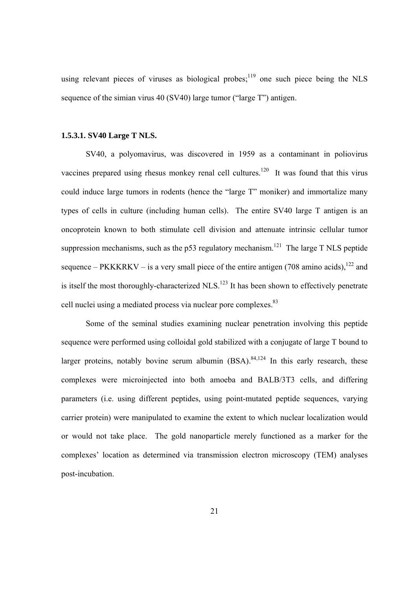using relevant pieces of viruses as biological probes;  $119$  one such piece being the NLS sequence of the simian virus 40 (SV40) large tumor ("large T") antigen.

### **1.5.3.1. SV40 Large T NLS.**

SV40, a polyomavirus, was discovered in 1959 as a contaminant in poliovirus vaccines prepared using rhesus monkey renal cell cultures.<sup>120</sup> It was found that this virus could induce large tumors in rodents (hence the "large T" moniker) and immortalize many types of cells in culture (including human cells). The entire SV40 large T antigen is an oncoprotein known to both stimulate cell division and attenuate intrinsic cellular tumor suppression mechanisms, such as the p53 regulatory mechanism.<sup>121</sup> The large T NLS peptide sequence – PKKKRKV – is a very small piece of the entire antigen (708 amino acids),  $122$  and is itself the most thoroughly-characterized NLS.<sup>123</sup> It has been shown to effectively penetrate cell nuclei using a mediated process via nuclear pore complexes.<sup>83</sup>

Some of the seminal studies examining nuclear penetration involving this peptide sequence were performed using colloidal gold stabilized with a conjugate of large T bound to larger proteins, notably bovine serum albumin  $(BSA)$ .<sup>84,124</sup> In this early research, these complexes were microinjected into both amoeba and BALB/3T3 cells, and differing parameters (i.e. using different peptides, using point-mutated peptide sequences, varying carrier protein) were manipulated to examine the extent to which nuclear localization would or would not take place. The gold nanoparticle merely functioned as a marker for the complexes' location as determined via transmission electron microscopy (TEM) analyses post-incubation.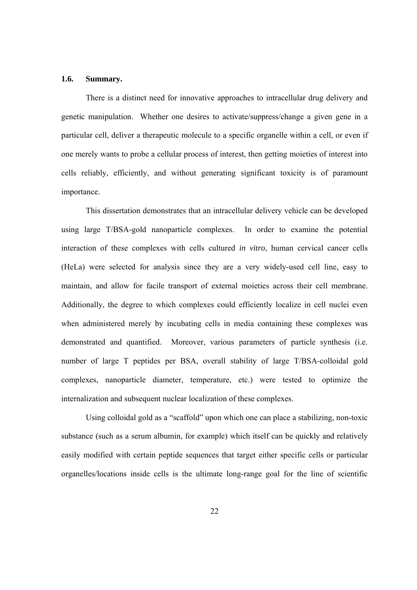#### **1.6. Summary.**

There is a distinct need for innovative approaches to intracellular drug delivery and genetic manipulation. Whether one desires to activate/suppress/change a given gene in a particular cell, deliver a therapeutic molecule to a specific organelle within a cell, or even if one merely wants to probe a cellular process of interest, then getting moieties of interest into cells reliably, efficiently, and without generating significant toxicity is of paramount importance.

This dissertation demonstrates that an intracellular delivery vehicle can be developed using large T/BSA-gold nanoparticle complexes. In order to examine the potential interaction of these complexes with cells cultured *in vitro*, human cervical cancer cells (HeLa) were selected for analysis since they are a very widely-used cell line, easy to maintain, and allow for facile transport of external moieties across their cell membrane. Additionally, the degree to which complexes could efficiently localize in cell nuclei even when administered merely by incubating cells in media containing these complexes was demonstrated and quantified. Moreover, various parameters of particle synthesis (i.e. number of large T peptides per BSA, overall stability of large T/BSA-colloidal gold complexes, nanoparticle diameter, temperature, etc.) were tested to optimize the internalization and subsequent nuclear localization of these complexes.

 Using colloidal gold as a "scaffold" upon which one can place a stabilizing, non-toxic substance (such as a serum albumin, for example) which itself can be quickly and relatively easily modified with certain peptide sequences that target either specific cells or particular organelles/locations inside cells is the ultimate long-range goal for the line of scientific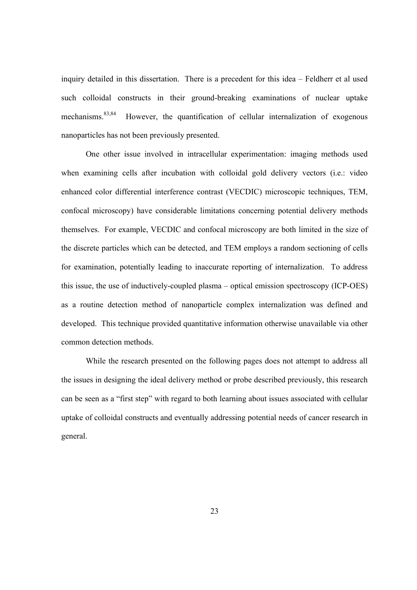inquiry detailed in this dissertation. There is a precedent for this idea – Feldherr et al used such colloidal constructs in their ground-breaking examinations of nuclear uptake mechanisms.<sup>83,84</sup> However, the quantification of cellular internalization of exogenous nanoparticles has not been previously presented.

One other issue involved in intracellular experimentation: imaging methods used when examining cells after incubation with colloidal gold delivery vectors (i.e.: video enhanced color differential interference contrast (VECDIC) microscopic techniques, TEM, confocal microscopy) have considerable limitations concerning potential delivery methods themselves. For example, VECDIC and confocal microscopy are both limited in the size of the discrete particles which can be detected, and TEM employs a random sectioning of cells for examination, potentially leading to inaccurate reporting of internalization. To address this issue, the use of inductively-coupled plasma – optical emission spectroscopy (ICP-OES) as a routine detection method of nanoparticle complex internalization was defined and developed. This technique provided quantitative information otherwise unavailable via other common detection methods.

While the research presented on the following pages does not attempt to address all the issues in designing the ideal delivery method or probe described previously, this research can be seen as a "first step" with regard to both learning about issues associated with cellular uptake of colloidal constructs and eventually addressing potential needs of cancer research in general.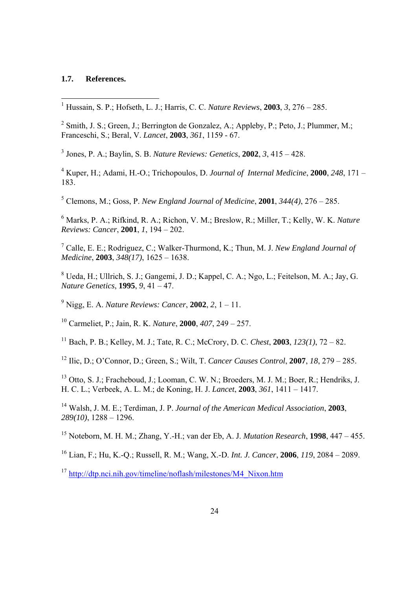# **1.7. References.**

1 Hussain, S. P.; Hofseth, L. J.; Harris, C. C. *Nature Reviews*, **2003**, *3*, 276 – 285.

<sup>2</sup> Smith, J. S.; Green, J.; Berrington de Gonzalez, A.; Appleby, P.; Peto, J.; Plummer, M.; Franceschi, S.; Beral, V. *Lancet*, **2003**, *361*, 1159 - 67.

3 Jones, P. A.; Baylin, S. B. *Nature Reviews: Genetics*, **2002**, *3*, 415 – 428.

4 Kuper, H.; Adami, H.-O.; Trichopoulos, D. *Journal of Internal Medicine*, **2000**, *248*, 171 – 183.

5 Clemons, M.; Goss, P. *New England Journal of Medicine*, **2001**, *344(4)*, 276 – 285.

6 Marks, P. A.; Rifkind, R. A.; Richon, V. M.; Breslow, R.; Miller, T.; Kelly, W. K. *Nature Reviews: Cancer*, **2001**, *1*, 194 – 202.

7 Calle, E. E.; Rodriguez, C.; Walker-Thurmond, K.; Thun, M. J. *New England Journal of Medicine*, **2003**, *348(17)*, 1625 – 1638.

8 Ueda, H.; Ullrich, S. J.; Gangemi, J. D.; Kappel, C. A.; Ngo, L.; Feitelson, M. A.; Jay, G. *Nature Genetics*, **1995**, *9*, 41 – 47.

9 Nigg, E. A. *Nature Reviews: Cancer*, **2002**, *2*, 1 – 11.

10 Carmeliet, P.; Jain, R. K. *Nature*, **2000**, *407*, 249 – 257.

<sup>11</sup> Bach, P. B.; Kelley, M. J.; Tate, R. C.; McCrory, D. C. *Chest*, **2003**, *123(1)*, 72 – 82.

12 Ilic, D.; O'Connor, D.; Green, S.; Wilt, T. *Cancer Causes Control*, **2007**, *18*, 279 – 285.

13 Otto, S. J.; Fracheboud, J.; Looman, C. W. N.; Broeders, M. J. M.; Boer, R.; Hendriks, J. H. C. L.; Verbeek, A. L. M.; de Koning, H. J. *Lancet*, **2003**, *361*, 1411 – 1417.

14 Walsh, J. M. E.; Terdiman, J. P. *Journal of the American Medical Association*, **2003**, *289(10)*, 1288 – 1296.

15 Noteborn, M. H. M.; Zhang, Y.-H.; van der Eb, A. J. *Mutation Research*, **1998**, 447 – 455.

16 Lian, F.; Hu, K.-Q.; Russell, R. M.; Wang, X.-D. *Int. J. Cancer*, **2006**, *119*, 2084 – 2089.

<sup>17</sup> http://dtp.nci.nih.gov/timeline/noflash/milestones/M4\_Nixon.htm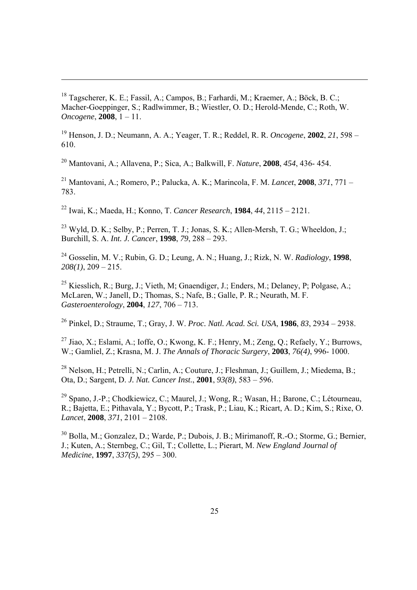18 Tagscherer, K. E.; Fassil, A.; Campos, B.; Farhardi, M.; Kraemer, A.; Bӧck, B. C.; Macher-Goeppinger, S.; Radlwimmer, B.; Wiestler, O. D.; Herold-Mende, C.; Roth, W. *Oncogene*, **2008**, 1 – 11.

19 Henson, J. D.; Neumann, A. A.; Yeager, T. R.; Reddel, R. R. *Oncogene*, **2002**, *21*, 598 – 610.

20 Mantovani, A.; Allavena, P.; Sica, A.; Balkwill, F. *Nature*, **2008**, *454*, 436- 454.

21 Mantovani, A.; Romero, P.; Palucka, A. K.; Marincola, F. M. *Lancet*, **2008**, *371*, 771 – 783.

22 Iwai, K.; Maeda, H.; Konno, T. *Cancer Research*, **1984**, *44*, 2115 – 2121.

23 Wyld, D. K.; Selby, P.; Perren, T. J.; Jonas, S. K.; Allen-Mersh, T. G.; Wheeldon, J.; Burchill, S. A. *Int. J. Cancer*, **1998**, *79*, 288 – 293.

<sup>24</sup> Gosselin, M. V.; Rubin, G. D.; Leung, A. N.; Huang, J.; Rizk, N. W. *Radiology*, **1998** *208(1)*, 209 – 215.

25 Kiesslich, R.; Burg, J.; Vieth, M; Gnaendiger, J.; Enders, M.; Delaney, P; Polgase, A.; McLaren, W.; Janell, D.; Thomas, S.; Nafe, B.; Galle, P. R.; Neurath, M. F. *Gasteroenterology*, **2004**, *127*, 706 – 713.

26 Pinkel, D.; Straume, T.; Gray, J. W. *Proc. Natl. Acad. Sci. USA*, **1986**, *83*, 2934 – 2938.

<sup>27</sup> Jiao, X.; Eslami, A.; Ioffe, O.; Kwong, K. F.; Henry, M.; Zeng, Q.; Refaely, Y.; Burrows, W.; Gamliel, Z.; Krasna, M. J. *The Annals of Thoracic Surgery*, **2003**, *76(4)*, 996- 1000.

28 Nelson, H.; Petrelli, N.; Carlin, A.; Couture, J.; Fleshman, J.; Guillem, J.; Miedema, B.; Ota, D.; Sargent, D. *J. Nat. Cancer Inst.*, **2001**, *93(8)*, 583 – 596.

29 Spano, J.-P.; Chodkiewicz, C.; Maurel, J.; Wong, R.; Wasan, H.; Barone, C.; Létourneau, R.; Bajetta, E.; Pithavala, Y.; Bycott, P.; Trask, P.; Liau, K.; Ricart, A. D.; Kim, S.; Rixe, O. *Lancet*, **2008**, *371*, 2101 – 2108.

30 Bolla, M.; Gonzalez, D.; Warde, P.; Dubois, J. B.; Mirimanoff, R.-O.; Storme, G.; Bernier, J.; Kuten, A.; Sternbeg, C.; Gil, T.; Collette, L.; Pierart, M. *New England Journal of Medicine*, **1997**, *337(5)*, 295 – 300.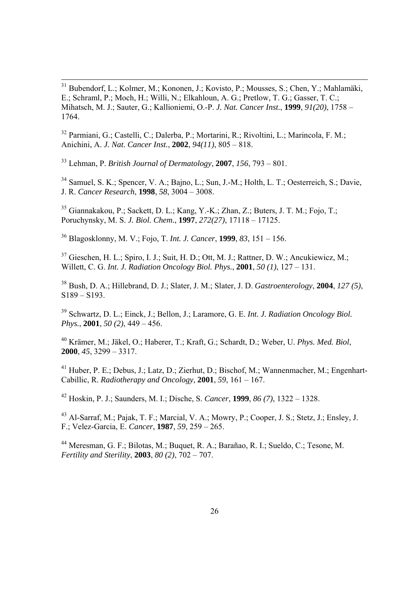31 Bubendorf, L.; Kolmer, M.; Kononen, J.; Kovisto, P.; Mousses, S.; Chen, Y.; Mahlamäki, E.; Schraml, P.; Moch, H.; Willi, N.; Elkahloun, A. G.; Pretlow, T. G.; Gasser, T. C.; Mihatsch, M. J.; Sauter, G.; Kallioniemi, O.-P. *J. Nat. Cancer Inst.*, **1999**, *91(20)*, 1758 – 1764.

32 Parmiani, G.; Castelli, C.; Dalerba, P.; Mortarini, R.; Rivoltini, L.; Marincola, F. M.; Anichini, A. *J. Nat. Cancer Inst.*, **2002**, *94(11)*, 805 – 818.

33 Lehman, P. *British Journal of Dermatology*, **2007**, *156*, 793 – 801.

34 Samuel, S. K.; Spencer, V. A.; Bajno, L.; Sun, J.-M.; Holth, L. T.; Oesterreich, S.; Davie, J. R. *Cancer Research*, **1998**, *58*, 3004 – 3008.

35 Giannakakou, P.; Sackett, D. L.; Kang, Y.-K.; Zhan, Z.; Buters, J. T. M.; Fojo, T.; Poruchynsky, M. S. *J. Biol. Chem.*, **1997**, *272(27)*, 17118 – 17125.

36 Blagosklonny, M. V.; Fojo, T. *Int. J. Cancer*, **1999**, *83*, 151 – 156.

<sup>37</sup> Gieschen, H. L.; Spiro, I. J.; Suit, H. D.; Ott, M. J.; Rattner, D. W.; Ancukiewicz, M.; Willett, C. G. *Int. J. Radiation Oncology Biol. Phys.*, **2001**, *50 (1)*, 127 – 131.

38 Bush, D. A.; Hillebrand, D. J.; Slater, J. M.; Slater, J. D. *Gastroenterology*, **2004**, *127 (5)*, S189 – S193.

39 Schwartz, D. L.; Einck, J.; Bellon, J.; Laramore, G. E. *Int. J. Radiation Oncology Biol. Phys.*, **2001**, *50 (2)*, 449 – 456.

40 Krämer, M.; Jäkel, O.; Haberer, T.; Kraft, G.; Schardt, D.; Weber, U. *Phys. Med. Biol*, **2000**, *45*, 3299 – 3317.

41 Huber, P. E.; Debus, J.; Latz, D.; Zierhut, D.; Bischof, M.; Wannenmacher, M.; Engenhart-Cabillic, R. *Radiotherapy and Oncology*, **2001**, *59*, 161 – 167.

42 Hoskin, P. J.; Saunders, M. I.; Dische, S. *Cancer*, **1999**, *86 (7)*, 1322 – 1328.

43 Al-Sarraf, M.; Pajak, T. F.; Marcial, V. A.; Mowry, P.; Cooper, J. S.; Stetz, J.; Ensley, J. F.; Velez-Garcia, E. *Cancer*, **1987**, *59*, 259 – 265.

44 Meresman, G. F.; Bilotas, M.; Buquet, R. A.; Barañao, R. I.; Sueldo, C.; Tesone, M. *Fertility and Sterility*, **2003**, *80 (2)*, 702 – 707.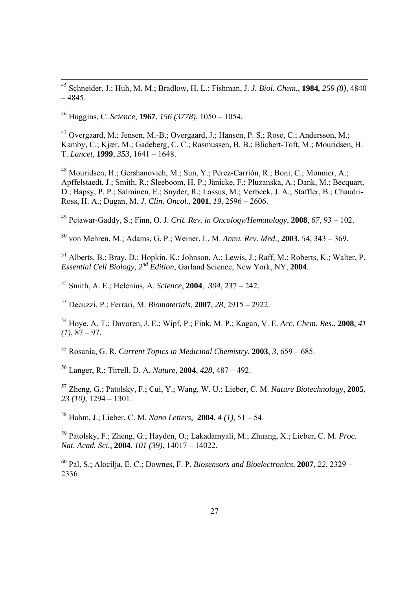45 Schneider, J.; Huh, M. M.; Bradlow, H. L.; Fishman, J. *J. Biol. Chem.*, **1984***, 259 (8)*, 4840  $-4845.$ 

46 Huggins, C. *Science*, **1967**, *156 (3778)*, 1050 – 1054.

47 Overgaard, M.; Jensen, M.-B.; Overgaard, J.; Hansen, P. S.; Rose, C.; Andersson, M.; Kamby, C.; Kjær, M.; Gadeberg, C. C.; Rasmussen, B. B.; Blichert-Toft, M.; Mouridsen, H. T. *Lancet*, **1999**, *353*, 1641 – 1648.

48 Mouridsen, H.; Gershanovich, M.; Sun, Y.; Pérez-Carrión, R.; Boni, C.; Monnier, A.; Apffelstaedt, J.; Smith, R.; Sleeboom, H. P.; Jänicke, F.; Pluzanska, A.; Dank, M.; Becquart, D.; Bapsy, P. P.; Salminen, E.; Snyder, R.; Lassus, M.; Verbeek, J. A.; Staffler, B.; Chaudri-Ross, H. A.; Dugan, M. *J. Clin. Oncol.*, **2001**, *19*, 2596 – 2606.

49 Pejawar-Gaddy, S.; Finn, O. J. *Crit. Rev. in Oncology/Hematology*, **2008**, *67*, 93 – 102.

50 von Mehren, M.; Adams, G. P.; Weiner, L. M. *Annu. Rev. Med.*, **2003**, *54*, 343 – 369.

51 Alberts, B.; Bray, D.; Hopkin, K.; Johnson, A.; Lewis, J.; Raff, M.; Roberts, K.; Walter, P. *Essential Cell Biology, 2nd Edition*, Garland Science, New York, NY, **2004**.

52 Smith, A. E.; Helenius, A. *Science*, **2004**, *304*, 237 – 242.

53 Decuzzi, P.; Ferrari, M. *Biomaterials*, **2007**, *28*, 2915 – 2922.

54 Hoye, A. T.; Davoren, J. E.; Wipf, P.; Fink, M. P.; Kagan, V. E. *Acc. Chem. Res.*, **2008**, *41 (1)*, 87 – 97.

55 Rosania, G. R. *Current Topics in Medicinal Chemistry*, **2003**, *3*, 659 – 685.

56 Langer, R.; Tirrell, D. A. *Nature*, **2004**, *428*, 487 – 492.

57 Zheng, G.; Patolsky, F.; Cui, Y.; Wang, W. U.; Lieber, C. M. *Nature Biotechnology*, **2005**, *23 (10)*, 1294 – 1301.

58 Hahm, J.; Lieber, C. M. *Nano Letters*, **2004**, *4 (1)*, 51 – 54.

59 Patolsky, F.; Zheng, G.; Hayden, O.; Lakadamyali, M.; Zhuang, X.; Lieber, C. M. *Proc. Nat. Acad. Sci.*, **2004**, *101 (39)*, 14017 – 14022.

60 Pal, S.; Alocilja, E. C.; Downes, F. P. *Biosensors and Bioelectronics*, **2007**, *22*, 2329 – 2336.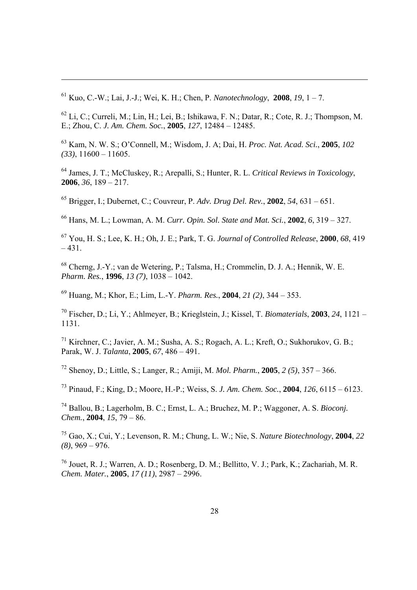61 Kuo, C.-W.; Lai, J.-J.; Wei, K. H.; Chen, P. *Nanotechnology*, **2008**, *19*, 1 – 7.

62 Li, C.; Curreli, M.; Lin, H.; Lei, B.; Ishikawa, F. N.; Datar, R.; Cote, R. J.; Thompson, M. E.; Zhou, C. *J. Am. Chem. Soc.*, **2005**, *127*, 12484 – 12485.

63 Kam, N. W. S.; O'Connell, M.; Wisdom, J. A; Dai, H. *Proc. Nat. Acad. Sci.*, **2005**, *102 (33)*, 11600 – 11605.

64 James, J. T.; McCluskey, R.; Arepalli, S.; Hunter, R. L. *Critical Reviews in Toxicology*, **2006**, *36*, 189 – 217.

65 Brigger, I.; Dubernet, C.; Couvreur, P. *Adv. Drug Del. Rev.*, **2002**, *54*, 631 – 651.

66 Hans, M. L.; Lowman, A. M. *Curr. Opin. Sol. State and Mat. Sci.*, **2002**, *6*, 319 – 327.

67 You, H. S.; Lee, K. H.; Oh, J. E.; Park, T. G. *Journal of Controlled Release*, **2000**, *68*, 419  $-431.$ 

68 Cherng, J.-Y.; van de Wetering, P.; Talsma, H.; Crommelin, D. J. A.; Hennik, W. E. *Pharm. Res.*, **1996**, *13 (7)*, 1038 – 1042.

69 Huang, M.; Khor, E.; Lim, L.-Y. *Pharm. Res.*, **2004**, *21 (2)*, 344 – 353.

70 Fischer, D.; Li, Y.; Ahlmeyer, B.; Krieglstein, J.; Kissel, T. *Biomaterials*, **2003**, *24*, 1121 – 1131.

71 Kirchner, C.; Javier, A. M.; Susha, A. S.; Rogach, A. L.; Kreft, O.; Sukhorukov, G. B.; Parak, W. J. *Talanta*, **2005**, *67*, 486 – 491.

72 Shenoy, D.; Little, S.; Langer, R.; Amiji, M. *Mol. Pharm.*, **2005**, *2 (5)*, 357 – 366.

73 Pinaud, F.; King, D.; Moore, H.-P.; Weiss, S. *J. Am. Chem. Soc.*, **2004**, *126*, 6115 – 6123.

74 Ballou, B.; Lagerholm, B. C.; Ernst, L. A.; Bruchez, M. P.; Waggoner, A. S. *Bioconj. Chem.*, **2004**, *15*, 79 – 86.

75 Gao, X.; Cui, Y.; Levenson, R. M.; Chung, L. W.; Nie, S. *Nature Biotechnology*, **2004**, *22 (8)*, 969 – 976.

76 Jouet, R. J.; Warren, A. D.; Rosenberg, D. M.; Bellitto, V. J.; Park, K.; Zachariah, M. R. *Chem. Mater.*, **2005**, *17 (11)*, 2987 – 2996.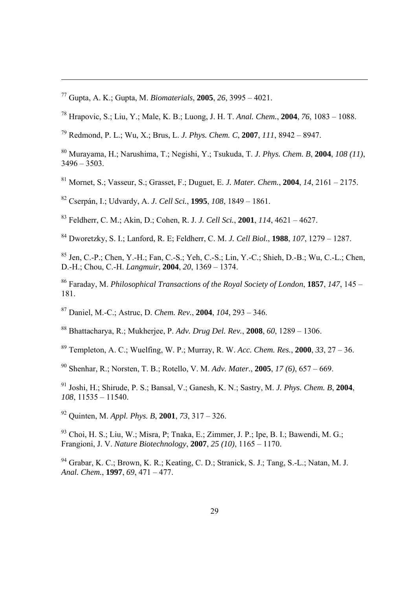77 Gupta, A. K.; Gupta, M. *Biomaterials*, **2005**, *26*, 3995 – 4021.

- 78 Hrapovic, S.; Liu, Y.; Male, K. B.; Luong, J. H. T. *Anal. Chem.*, **2004**, *76*, 1083 1088.
- 79 Redmond, P. L.; Wu, X.; Brus, L. *J. Phys. Chem. C*, **2007**, *111*, 8942 8947.
- 80 Murayama, H.; Narushima, T.; Negishi, Y.; Tsukuda, T. *J. Phys. Chem. B*, **2004**, *108 (11)*,  $3496 - 3503$
- 81 Mornet, S.; Vasseur, S.; Grasset, F.; Duguet, E. *J. Mater. Chem.*, **2004**, *14*, 2161 2175.
- 82 Cserpán, I.; Udvardy, A. *J. Cell Sci.*, **1995**, *108*, 1849 1861.
- 83 Feldherr, C. M.; Akin, D.; Cohen, R. J. *J. Cell Sci.*, **2001**, *114*, 4621 4627.
- 84 Dworetzky, S. I.; Lanford, R. E; Feldherr, C. M. *J. Cell Biol.*, **1988**, *107*, 1279 1287.
- 85 Jen, C.-P.; Chen, Y.-H.; Fan, C.-S.; Yeh, C.-S.; Lin, Y.-C.; Shieh, D.-B.; Wu, C.-L.; Chen, D.-H.; Chou, C.-H. *Langmuir*, **2004**, *20*, 1369 – 1374.
- 86 Faraday, M. *Philosophical Transactions of the Royal Society of London*, **1857**, *147*, 145 181.
- 87 Daniel, M.-C.; Astruc, D. *Chem. Rev.*, **2004**, *104*, 293 346.
- 88 Bhattacharya, R.; Mukherjee, P. *Adv. Drug Del. Rev.*, **2008**, *60*, 1289 1306.
- 89 Templeton, A. C.; Wuelfing, W. P.; Murray, R. W. *Acc. Chem. Res.*, **2000**, *33*, 27 36.
- 90 Shenhar, R.; Norsten, T. B.; Rotello, V. M. *Adv. Mater.*, **2005**, *17 (6)*, 657 669.
- 91 Joshi, H.; Shirude, P. S.; Bansal, V.; Ganesh, K. N.; Sastry, M. *J. Phys. Chem. B*, **2004**, *108*, 11535 – 11540.
- 92 Quinten, M. *Appl. Phys. B*, **2001**, *73*, 317 326.
- 93 Choi, H. S.; Liu, W.; Misra, P; Tnaka, E.; Zimmer, J. P.; Ipe, B. I.; Bawendi, M. G.; Frangioni, J. V. *Nature Biotechnology*, **2007**, *25 (10)*, 1165 – 1170.
- 94 Grabar, K. C.; Brown, K. R.; Keating, C. D.; Stranick, S. J.; Tang, S.-L.; Natan, M. J. *Anal. Chem.*, **1997**, *69*, 471 – 477.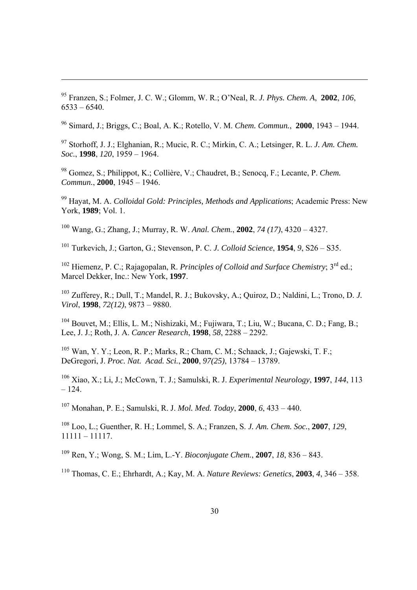95 Franzen, S.; Folmer, J. C. W.; Glomm, W. R.; O'Neal, R. *J. Phys. Chem. A*, **2002**, *106*,  $6533 - 6540$ .

96 Simard, J.; Briggs, C.; Boal, A. K.; Rotello, V. M. *Chem. Commun.*, **2000**, 1943 – 1944.

97 Storhoff, J. J.; Elghanian, R.; Mucic, R. C.; Mirkin, C. A.; Letsinger, R. L. *J. Am. Chem. Soc.*, **1998**, *120*, 1959 – 1964.

98 Gomez, S.; Philippot, K.; Collière, V.; Chaudret, B.; Senocq, F.; Lecante, P. *Chem. Commun.*, **2000**, 1945 – 1946.

99 Hayat, M. A. *Colloidal Gold: Principles, Methods and Applications*; Academic Press: New York, **1989**; Vol. 1.

100 Wang, G.; Zhang, J.; Murray, R. W. *Anal. Chem.*, **2002**, *74 (17)*, 4320 – 4327.

101 Turkevich, J.; Garton, G.; Stevenson, P. C. *J. Colloid Science*, **1954**, *9*, S26 – S35.

<sup>102</sup> Hiemenz, P. C.; Rajagopalan, R. *Principles of Colloid and Surface Chemistry*; 3<sup>rd</sup> ed.; Marcel Dekker, Inc.: New York, **1997**.

103 Zufferey, R.; Dull, T.; Mandel, R. J.; Bukovsky, A.; Quiroz, D.; Naldini, L.; Trono, D. *J. Virol*, **1998**, *72(12)*, 9873 – 9880.

104 Bouvet, M.; Ellis, L. M.; Nishizaki, M.; Fujiwara, T.; Liu, W.; Bucana, C. D.; Fang, B.; Lee, J. J.; Roth, J. A. *Cancer Research*, **1998**, *58*, 2288 – 2292.

105 Wan, Y. Y.; Leon, R. P.; Marks, R.; Cham, C. M.; Schaack, J.; Gajewski, T. F.; DeGregori, J. *Proc. Nat. Acad. Sci.*, **2000**, *97(25)*, 13784 – 13789.

106 Xiao, X.; Li, J.; McCown, T. J.; Samulski, R. J. *Experimental Neurology*, **1997**, *144*, 113 – 124.

107 Monahan, P. E.; Samulski, R. J. *Mol. Med. Today*, **2000**, *6*, 433 – 440.

108 Loo, L.; Guenther, R. H.; Lommel, S. A.; Franzen, S. *J. Am. Chem. Soc.*, **2007**, *129*, 11111 – 11117.

109 Ren, Y.; Wong, S. M.; Lim, L.-Y. *Bioconjugate Chem.*, **2007**, *18*, 836 – 843.

110 Thomas, C. E.; Ehrhardt, A.; Kay, M. A. *Nature Reviews: Genetics*, **2003**, *4*, 346 – 358.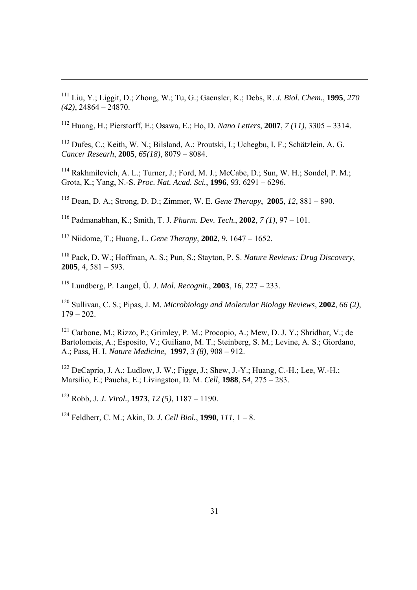111 Liu, Y.; Liggit, D.; Zhong, W.; Tu, G.; Gaensler, K.; Debs, R. *J. Biol. Chem.*, **1995**, *270 (42)*, 24864 – 24870.

112 Huang, H.; Pierstorff, E.; Osawa, E.; Ho, D. *Nano Letters*, **2007**, *7 (11)*, 3305 – 3314.

113 Dufes, C.; Keith, W. N.; Bilsland, A.; Proutski, I.; Uchegbu, I. F.; Schätzlein, A. G. *Cancer Researh*, **2005**, *65(18)*, 8079 – 8084.

<sup>114</sup> Rakhmilevich, A. L.; Turner, J.; Ford, M. J.; McCabe, D.; Sun, W. H.; Sondel, P. M.; Grota, K.; Yang, N.-S. *Proc. Nat. Acad. Sci.*, **1996**, *93*, 6291 – 6296.

115 Dean, D. A.; Strong, D. D.; Zimmer, W. E. *Gene Therapy*, **2005**, *12*, 881 – 890.

116 Padmanabhan, K.; Smith, T. J. *Pharm. Dev. Tech.*, **2002**, *7 (1)*, 97 – 101.

117 Niidome, T.; Huang, L. *Gene Therapy*, **2002**, *9*, 1647 – 1652.

<sup>118</sup> Pack, D. W.; Hoffman, A. S.; Pun, S.; Stayton, P. S. *Nature Reviews: Drug Discovery* **2005**, *4*, 581 – 593.

119 Lundberg, P. Langel, Ü. *J. Mol. Recognit.*, **2003**, *16*, 227 – 233.

120 Sullivan, C. S.; Pipas, J. M. *Microbiology and Molecular Biology Reviews*, **2002**, *66 (2)*,  $179 - 202$ .

121 Carbone, M.; Rizzo, P.; Grimley, P. M.; Procopio, A.; Mew, D. J. Y.; Shridhar, V.; de Bartolomeis, A.; Esposito, V.; Guiliano, M. T.; Steinberg, S. M.; Levine, A. S.; Giordano, A.; Pass, H. I. *Nature Medicine*, **1997**, *3 (8)*, 908 – 912.

<sup>122</sup> DeCaprio, J. A.; Ludlow, J. W.; Figge, J.; Shew, J.-Y.; Huang, C.-H.; Lee, W.-H.; Marsilio, E.; Paucha, E.; Livingston, D. M. *Cell*, **1988**, *54*, 275 – 283.

123 Robb, J. *J. Virol.*, **1973**, *12 (5)*, 1187 – 1190.

124 Feldherr, C. M.; Akin, D. *J. Cell Biol.*, **1990**, *111*, 1 – 8.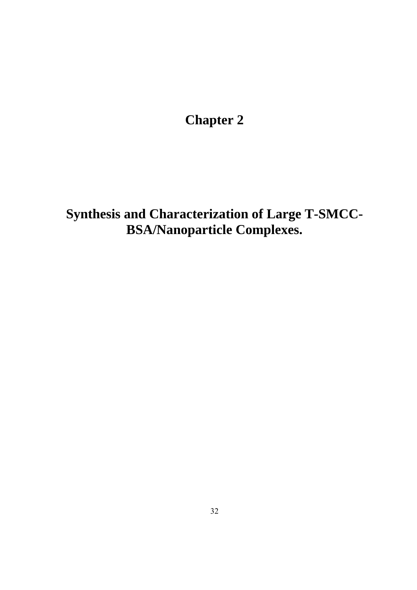**Chapter 2** 

**Synthesis and Characterization of Large T-SMCC-BSA/Nanoparticle Complexes.**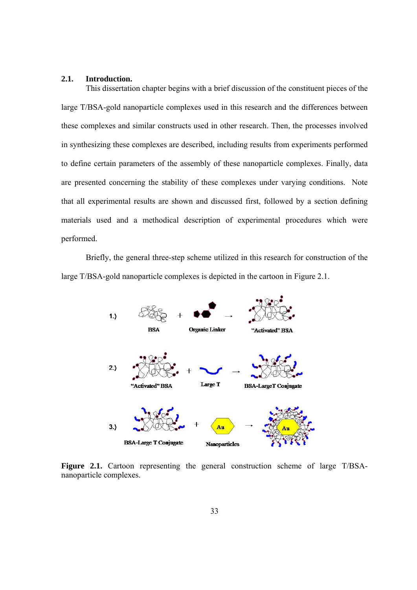### **2.1. Introduction.**

This dissertation chapter begins with a brief discussion of the constituent pieces of the large T/BSA-gold nanoparticle complexes used in this research and the differences between these complexes and similar constructs used in other research. Then, the processes involved in synthesizing these complexes are described, including results from experiments performed to define certain parameters of the assembly of these nanoparticle complexes. Finally, data are presented concerning the stability of these complexes under varying conditions. Note that all experimental results are shown and discussed first, followed by a section defining materials used and a methodical description of experimental procedures which were performed.

Briefly, the general three-step scheme utilized in this research for construction of the large T/BSA-gold nanoparticle complexes is depicted in the cartoon in Figure 2.1.



**Figure 2.1.** Cartoon representing the general construction scheme of large T/BSAnanoparticle complexes.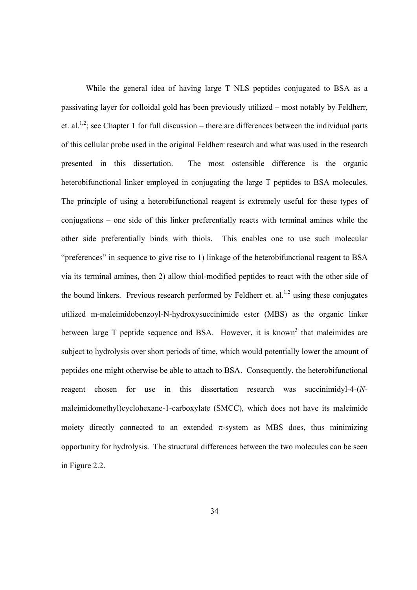While the general idea of having large T NLS peptides conjugated to BSA as a passivating layer for colloidal gold has been previously utilized – most notably by Feldherr, et. al.<sup>1,2</sup>; see Chapter 1 for full discussion – there are differences between the individual parts of this cellular probe used in the original Feldherr research and what was used in the research presented in this dissertation. The most ostensible difference is the organic heterobifunctional linker employed in conjugating the large T peptides to BSA molecules. The principle of using a heterobifunctional reagent is extremely useful for these types of conjugations – one side of this linker preferentially reacts with terminal amines while the other side preferentially binds with thiols. This enables one to use such molecular "preferences" in sequence to give rise to 1) linkage of the heterobifunctional reagent to BSA via its terminal amines, then 2) allow thiol-modified peptides to react with the other side of the bound linkers. Previous research performed by Feldherr et. al.<sup>1,2</sup> using these conjugates utilized m-maleimidobenzoyl-N-hydroxysuccinimide ester (MBS) as the organic linker between large  $T$  peptide sequence and BSA. However, it is known<sup>3</sup> that maleimides are subject to hydrolysis over short periods of time, which would potentially lower the amount of peptides one might otherwise be able to attach to BSA. Consequently, the heterobifunctional reagent chosen for use in this dissertation research was succinimidyl-4-(*N*maleimidomethyl)cyclohexane-1-carboxylate (SMCC), which does not have its maleimide moiety directly connected to an extended  $\pi$ -system as MBS does, thus minimizing opportunity for hydrolysis. The structural differences between the two molecules can be seen in Figure 2.2.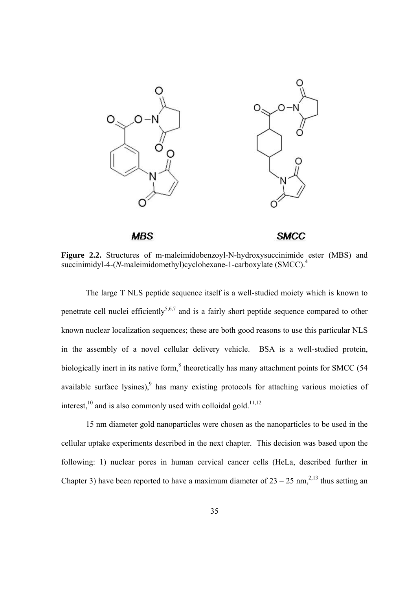

**Figure 2.2.** Structures of m-maleimidobenzoyl-N-hydroxysuccinimide ester (MBS) and succinimidyl-4-(*N*-maleimidomethyl)cyclohexane-1-carboxylate (SMCC).<sup>4</sup>

The large T NLS peptide sequence itself is a well-studied moiety which is known to penetrate cell nuclei efficiently<sup>5,6,7</sup> and is a fairly short peptide sequence compared to other known nuclear localization sequences; these are both good reasons to use this particular NLS in the assembly of a novel cellular delivery vehicle. BSA is a well-studied protein, biologically inert in its native form, $8$  theoretically has many attachment points for SMCC (54 available surface lysines), $9$  has many existing protocols for attaching various moieties of interest, $^{10}$  and is also commonly used with colloidal gold.<sup>11,12</sup>

15 nm diameter gold nanoparticles were chosen as the nanoparticles to be used in the cellular uptake experiments described in the next chapter. This decision was based upon the following: 1) nuclear pores in human cervical cancer cells (HeLa, described further in Chapter 3) have been reported to have a maximum diameter of  $23 - 25$  nm,<sup>2,13</sup> thus setting an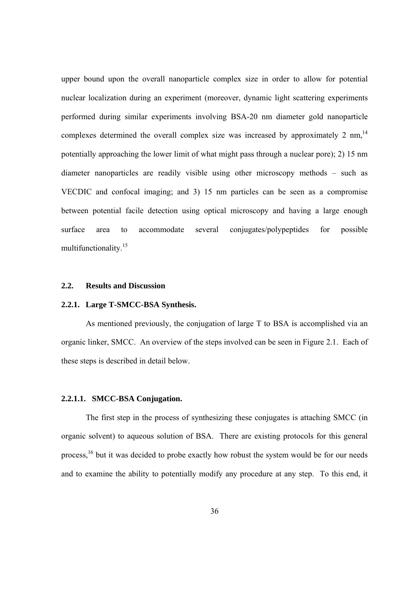upper bound upon the overall nanoparticle complex size in order to allow for potential nuclear localization during an experiment (moreover, dynamic light scattering experiments performed during similar experiments involving BSA-20 nm diameter gold nanoparticle complexes determined the overall complex size was increased by approximately 2 nm,  $14$ potentially approaching the lower limit of what might pass through a nuclear pore); 2) 15 nm diameter nanoparticles are readily visible using other microscopy methods – such as VECDIC and confocal imaging; and 3) 15 nm particles can be seen as a compromise between potential facile detection using optical microscopy and having a large enough surface area to accommodate several conjugates/polypeptides for possible multifunctionality.15

### **2.2. Results and Discussion**

# **2.2.1. Large T-SMCC-BSA Synthesis.**

 As mentioned previously, the conjugation of large T to BSA is accomplished via an organic linker, SMCC. An overview of the steps involved can be seen in Figure 2.1. Each of these steps is described in detail below.

# **2.2.1.1. SMCC-BSA Conjugation.**

The first step in the process of synthesizing these conjugates is attaching SMCC (in organic solvent) to aqueous solution of BSA. There are existing protocols for this general process,<sup>16</sup> but it was decided to probe exactly how robust the system would be for our needs and to examine the ability to potentially modify any procedure at any step. To this end, it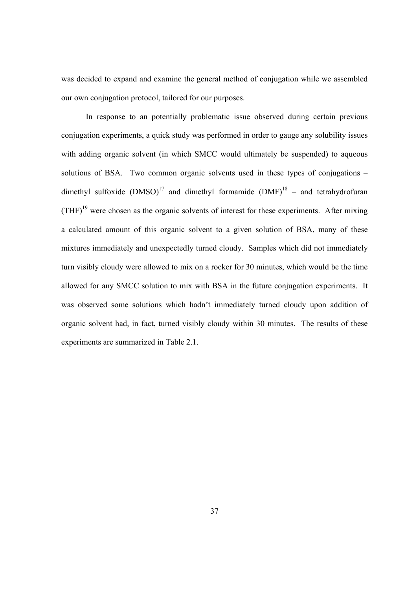was decided to expand and examine the general method of conjugation while we assembled our own conjugation protocol, tailored for our purposes.

 In response to an potentially problematic issue observed during certain previous conjugation experiments, a quick study was performed in order to gauge any solubility issues with adding organic solvent (in which SMCC would ultimately be suspended) to aqueous solutions of BSA. Two common organic solvents used in these types of conjugations – dimethyl sulfoxide  $(DMSO)^{17}$  and dimethyl formamide  $(DMF)^{18}$  – and tetrahydrofuran  $(THF)<sup>19</sup>$  were chosen as the organic solvents of interest for these experiments. After mixing a calculated amount of this organic solvent to a given solution of BSA, many of these mixtures immediately and unexpectedly turned cloudy. Samples which did not immediately turn visibly cloudy were allowed to mix on a rocker for 30 minutes, which would be the time allowed for any SMCC solution to mix with BSA in the future conjugation experiments. It was observed some solutions which hadn't immediately turned cloudy upon addition of organic solvent had, in fact, turned visibly cloudy within 30 minutes. The results of these experiments are summarized in Table 2.1.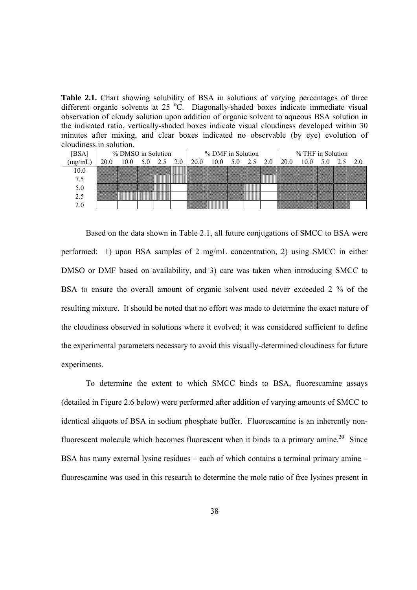**Table 2.1.** Chart showing solubility of BSA in solutions of varying percentages of three different organic solvents at 25 °C. Diagonally-shaded boxes indicate immediate visual observation of cloudy solution upon addition of organic solvent to aqueous BSA solution in the indicated ratio, vertically-shaded boxes indicate visual cloudiness developed within 30 minutes after mixing, and clear boxes indicated no observable (by eye) evolution of cloudiness in solution.

|                           |      | % DMSO in Solution |  |                                                                                                     | % DMF in Solution |  |  | % THF in Solution                    |  |  |
|---------------------------|------|--------------------|--|-----------------------------------------------------------------------------------------------------|-------------------|--|--|--------------------------------------|--|--|
| $\overline{\text{mg/mL}}$ | 20.0 |                    |  | $10.0 \quad 5.0 \quad 2.5 \quad 2.0 \quad 20.0 \quad 10.0 \quad 5.0 \quad 2.5 \quad 2.0 \quad 20.0$ |                   |  |  | $10.0 \quad 5.0 \quad 2.5 \quad 2.0$ |  |  |
| 10 0                      |      |                    |  |                                                                                                     |                   |  |  |                                      |  |  |
|                           |      |                    |  |                                                                                                     |                   |  |  |                                      |  |  |
|                           |      |                    |  |                                                                                                     |                   |  |  |                                      |  |  |
|                           |      |                    |  |                                                                                                     |                   |  |  |                                      |  |  |
|                           |      |                    |  |                                                                                                     |                   |  |  |                                      |  |  |

 Based on the data shown in Table 2.1, all future conjugations of SMCC to BSA were performed: 1) upon BSA samples of 2 mg/mL concentration, 2) using SMCC in either DMSO or DMF based on availability, and 3) care was taken when introducing SMCC to BSA to ensure the overall amount of organic solvent used never exceeded 2 % of the resulting mixture. It should be noted that no effort was made to determine the exact nature of the cloudiness observed in solutions where it evolved; it was considered sufficient to define the experimental parameters necessary to avoid this visually-determined cloudiness for future experiments.

 To determine the extent to which SMCC binds to BSA, fluorescamine assays (detailed in Figure 2.6 below) were performed after addition of varying amounts of SMCC to identical aliquots of BSA in sodium phosphate buffer. Fluorescamine is an inherently nonfluorescent molecule which becomes fluorescent when it binds to a primary amine.<sup>20</sup> Since BSA has many external lysine residues – each of which contains a terminal primary amine – fluorescamine was used in this research to determine the mole ratio of free lysines present in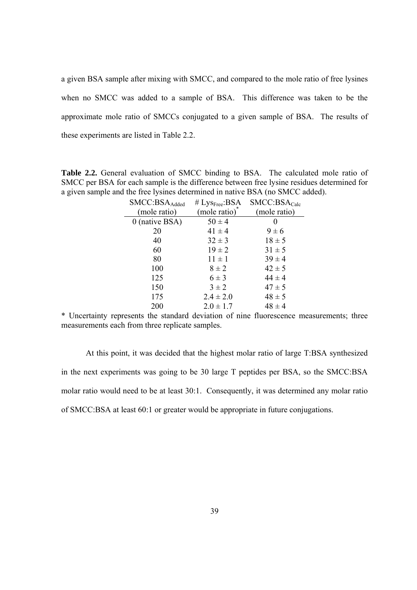a given BSA sample after mixing with SMCC, and compared to the mole ratio of free lysines when no SMCC was added to a sample of BSA. This difference was taken to be the approximate mole ratio of SMCCs conjugated to a given sample of BSA. The results of these experiments are listed in Table 2.2.

**Table 2.2.** General evaluation of SMCC binding to BSA. The calculated mole ratio of SMCC per BSA for each sample is the difference between free lysine residues determined for a given sample and the free lysines determined in native BSA (no SMCC added).

| SMCC:BSA <sub>Added</sub> | # $Lys_{Free}$ :BSA | SMCC: BSA <sub>Calc</sub> |
|---------------------------|---------------------|---------------------------|
| (mole ratio)              | (mole ratio)        | (mole ratio)              |
| $0$ (native BSA)          | $50 \pm 4$          | 0                         |
| 20                        | $41 \pm 4$          | $9 \pm 6$                 |
| 40                        | $32 \pm 3$          | $18 \pm 5$                |
| 60                        | $19 \pm 2$          | $31 \pm 5$                |
| 80                        | $11 \pm 1$          | $39 \pm 4$                |
| 100                       | $8 \pm 2$           | $42 \pm 5$                |
| 125                       | $6 \pm 3$           | $44 \pm 4$                |
| 150                       | $3 \pm 2$           | $47 \pm 5$                |
| 175                       | $2.4 \pm 2.0$       | $48 \pm 5$                |
| 200                       | $2.0 \pm 1.7$       | $48 \pm 4$                |

\* Uncertainty represents the standard deviation of nine fluorescence measurements; three measurements each from three replicate samples.

 At this point, it was decided that the highest molar ratio of large T:BSA synthesized in the next experiments was going to be 30 large T peptides per BSA, so the SMCC:BSA molar ratio would need to be at least 30:1. Consequently, it was determined any molar ratio of SMCC:BSA at least 60:1 or greater would be appropriate in future conjugations.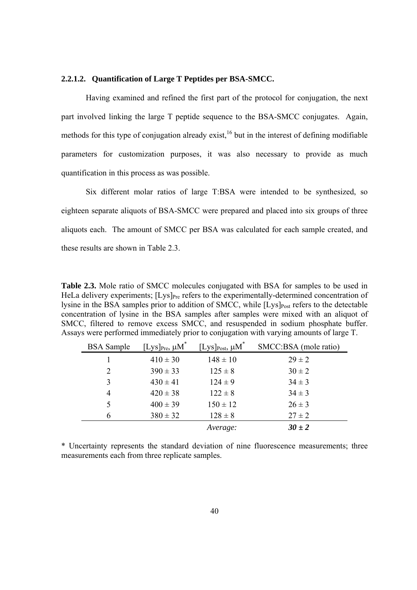### **2.2.1.2. Quantification of Large T Peptides per BSA-SMCC.**

Having examined and refined the first part of the protocol for conjugation, the next part involved linking the large T peptide sequence to the BSA-SMCC conjugates. Again, methods for this type of conjugation already exist,  $16$  but in the interest of defining modifiable parameters for customization purposes, it was also necessary to provide as much quantification in this process as was possible.

Six different molar ratios of large T:BSA were intended to be synthesized, so eighteen separate aliquots of BSA-SMCC were prepared and placed into six groups of three aliquots each. The amount of SMCC per BSA was calculated for each sample created, and these results are shown in Table 2.3.

**Table 2.3.** Mole ratio of SMCC molecules conjugated with BSA for samples to be used in HeLa delivery experiments;  $[Lys]_{Pre}$  refers to the experimentally-determined concentration of lysine in the BSA samples prior to addition of SMCC, while  $[Lys]_{Post}$  refers to the detectable concentration of lysine in the BSA samples after samples were mixed with an aliquot of SMCC, filtered to remove excess SMCC, and resuspended in sodium phosphate buffer. Assays were performed immediately prior to conjugation with varying amounts of large T.

| <b>BSA</b> Sample | $[\rm{Lys}]_{\rm Pre},\,\mu\rm{M}^*$ | $[\underline{Lys}]_{\text{Post}}, \mu\text{M}^*$ | SMCC:BSA (mole ratio) |
|-------------------|--------------------------------------|--------------------------------------------------|-----------------------|
|                   | $410 \pm 30$                         | $148 \pm 10$                                     | $29 \pm 2$            |
| $\overline{2}$    | $390 \pm 33$                         | $125 \pm 8$                                      | $30 \pm 2$            |
| 3                 | $430 \pm 41$                         | $124 \pm 9$                                      | $34 \pm 3$            |
| 4                 | $420 \pm 38$                         | $122 \pm 8$                                      | $34 \pm 3$            |
| 5                 | $400 \pm 39$                         | $150 \pm 12$                                     | $26 \pm 3$            |
| 6                 | $380 \pm 32$                         | $128 \pm 8$                                      | $27 \pm 2$            |
|                   |                                      | Average:                                         | $30 \pm 2$            |

\* Uncertainty represents the standard deviation of nine fluorescence measurements; three measurements each from three replicate samples.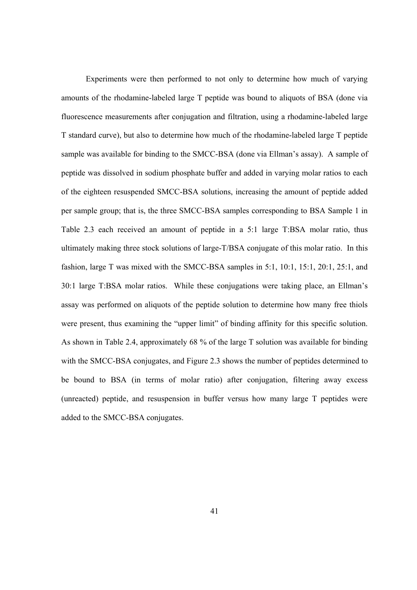Experiments were then performed to not only to determine how much of varying amounts of the rhodamine-labeled large T peptide was bound to aliquots of BSA (done via fluorescence measurements after conjugation and filtration, using a rhodamine-labeled large T standard curve), but also to determine how much of the rhodamine-labeled large T peptide sample was available for binding to the SMCC-BSA (done via Ellman's assay). A sample of peptide was dissolved in sodium phosphate buffer and added in varying molar ratios to each of the eighteen resuspended SMCC-BSA solutions, increasing the amount of peptide added per sample group; that is, the three SMCC-BSA samples corresponding to BSA Sample 1 in Table 2.3 each received an amount of peptide in a 5:1 large T:BSA molar ratio, thus ultimately making three stock solutions of large-T/BSA conjugate of this molar ratio. In this fashion, large T was mixed with the SMCC-BSA samples in 5:1, 10:1, 15:1, 20:1, 25:1, and 30:1 large T:BSA molar ratios. While these conjugations were taking place, an Ellman's assay was performed on aliquots of the peptide solution to determine how many free thiols were present, thus examining the "upper limit" of binding affinity for this specific solution. As shown in Table 2.4, approximately 68 % of the large T solution was available for binding with the SMCC-BSA conjugates, and Figure 2.3 shows the number of peptides determined to be bound to BSA (in terms of molar ratio) after conjugation, filtering away excess (unreacted) peptide, and resuspension in buffer versus how many large T peptides were added to the SMCC-BSA conjugates.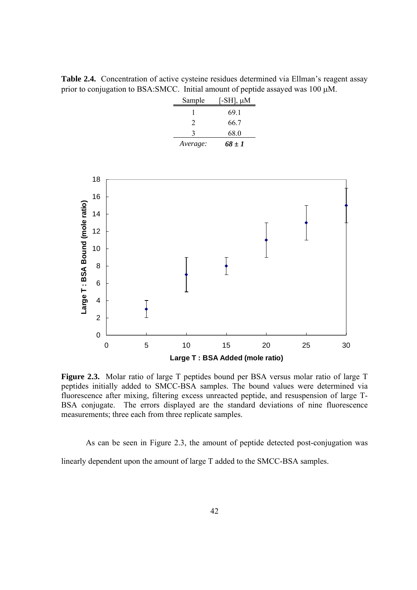Table 2.4. Concentration of active cysteine residues determined via Ellman's reagent assay prior to conjugation to BSA:SMCC. Initial amount of peptide assayed was 100 M.

| Sample   | [-SH], $\mu$ M |
|----------|----------------|
|          | 691            |
| 2        | 66.7           |
| ζ        | 68.0           |
| Average: | 68 ± 1         |



**Figure 2.3.** Molar ratio of large T peptides bound per BSA versus molar ratio of large T peptides initially added to SMCC-BSA samples. The bound values were determined via fluorescence after mixing, filtering excess unreacted peptide, and resuspension of large T-BSA conjugate. The errors displayed are the standard deviations of nine fluorescence measurements; three each from three replicate samples.

 As can be seen in Figure 2.3, the amount of peptide detected post-conjugation was linearly dependent upon the amount of large T added to the SMCC-BSA samples.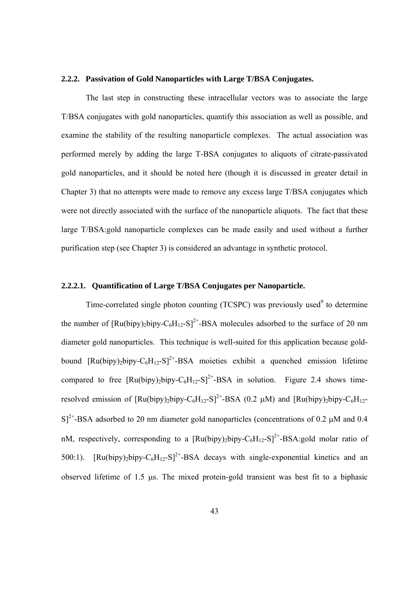#### **2.2.2. Passivation of Gold Nanoparticles with Large T/BSA Conjugates.**

The last step in constructing these intracellular vectors was to associate the large T/BSA conjugates with gold nanoparticles, quantify this association as well as possible, and examine the stability of the resulting nanoparticle complexes. The actual association was performed merely by adding the large T-BSA conjugates to aliquots of citrate-passivated gold nanoparticles, and it should be noted here (though it is discussed in greater detail in Chapter 3) that no attempts were made to remove any excess large T/BSA conjugates which were not directly associated with the surface of the nanoparticle aliquots. The fact that these large T/BSA:gold nanoparticle complexes can be made easily and used without a further purification step (see Chapter 3) is considered an advantage in synthetic protocol.

# **2.2.2.1. Quantification of Large T/BSA Conjugates per Nanoparticle.**

Time-correlated single photon counting  $(TCSPC)$  was previously used<sup>9</sup> to determine the number of  $\left[\text{Ru(bipy)}_{2}\text{bipy}-C_{6}\text{H}_{12}-S\right]^{2+}$ -BSA molecules adsorbed to the surface of 20 nm diameter gold nanoparticles. This technique is well-suited for this application because goldbound  $\left[\text{Ru(bipy)}_2\text{bipy}-\text{C}_6\text{H}_{12}-\text{S}\right]^{2+}$ -BSA moieties exhibit a quenched emission lifetime compared to free  $\text{[Ru(bipy),bipy-C<sub>6</sub>H<sub>12</sub>-S]<sup>2+</sup>-BSA$  in solution. Figure 2.4 shows timeresolved emission of  $\left[\text{Ru(bipy)}_{2}\text{bipy}-C_{6}\text{H}_{12}-S\right]^{2+}-BSA$  (0.2 µM) and  $\left[\text{Ru(bipy)}_{2}\text{bipy}-C_{6}\text{H}_{12}-S\right]^{2+}$  $S^{2+}$ -BSA adsorbed to 20 nm diameter gold nanoparticles (concentrations of 0.2  $\mu$ M and 0.4 nM, respectively, corresponding to a  $\left[\text{Ru(bipy)}_{2}\text{bipy}-C_{6}\text{H}_{12}-S\right]^{2+}$ -BSA:gold molar ratio of 500:1). [Ru(bipy)<sub>2</sub>bipy-C<sub>6</sub>H<sub>12</sub>-S]<sup>2+</sup>-BSA decays with single-exponential kinetics and an observed lifetime of  $1.5$   $\mu$ s. The mixed protein-gold transient was best fit to a biphasic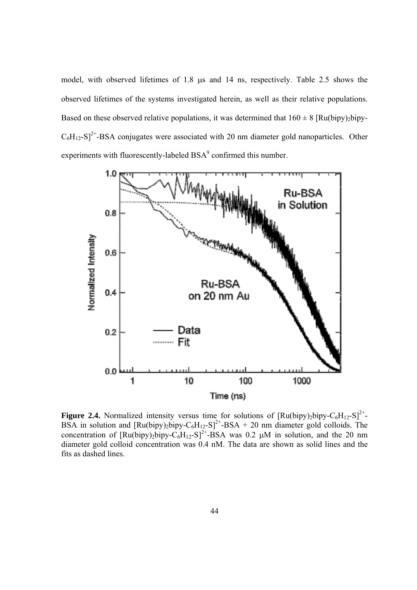model, with observed lifetimes of  $1.8 \mu s$  and  $14 \mu s$ , respectively. Table  $2.5 \mu s$  shows the observed lifetimes of the systems investigated herein, as well as their relative populations. Based on these observed relative populations, it was determined that  $160 \pm 8$  [Ru(bipy)<sub>2</sub>bipy- $C_6H_{12}-S$ <sup>2+</sup>-BSA conjugates were associated with 20 nm diameter gold nanoparticles. Other experiments with fluorescently-labeled  $BSA<sup>9</sup>$  confirmed this number.



**Figure 2.4.** Normalized intensity versus time for solutions of  $\left[\text{Ru(bipy)}_2\text{bipy}-C_6\text{H}_{12}-S\right]^{2+}$ BSA in solution and  $\left[\text{Ru(bipy)_2bipy-C<sub>6</sub>H<sub>12</sub>-S\right]^2$ <sup>+</sup>-BSA + 20 nm diameter gold colloids. The concentration of  $\left[\text{Ru(bipy)}_{2}\right]$ bipy-C<sub>6</sub>H<sub>12</sub>-S<sub>1</sub><sup>2+</sup>-BSA was 0.2  $\mu$ M in solution, and the 20 nm diameter gold colloid concentration was 0.4 nM. The data are shown as solid lines and the fits as dashed lines.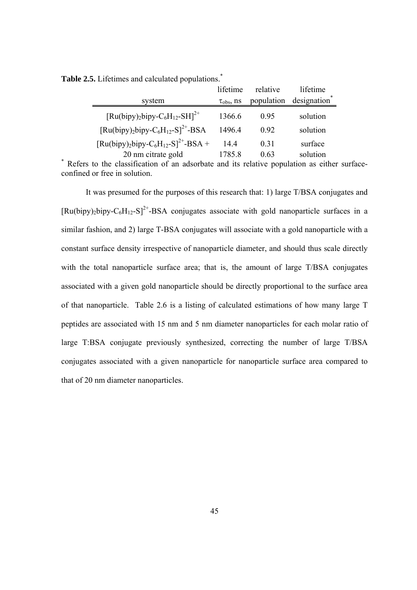|                                                                                   | lifetime          | relative   | lifetime    |
|-----------------------------------------------------------------------------------|-------------------|------------|-------------|
| system                                                                            | $\tau_{obs}$ , ns | population | designation |
| $[Ru(bipy)_2bipy-C_6H_{12}-SH]^2$ <sup>+</sup>                                    | 1366.6            | 0.95       | solution    |
| [Ru(bipy) <sub>2</sub> bipy-C <sub>6</sub> H <sub>12</sub> -S] <sup>2+</sup> -BSA | 1496.4            | 0.92       | solution    |
| $[Ru(bipy)_2bipy-C_6H_{12}-S]^{2+}BSA +$                                          | 144               | 0.31       | surface     |
| 20 nm citrate gold                                                                | 1785.8            | 0.63       | solution    |

Table 2.5. Lifetimes and calculated populations.<sup>\*</sup>

20 nm citrate gold 1785.8 0.63 solution<br>\* Refers to the classification of an adsorbate and its relative population as either surfaceconfined or free in solution.

It was presumed for the purposes of this research that: 1) large T/BSA conjugates and  $[Ru(bipy),bipy-C<sub>6</sub>H<sub>12</sub>-S]<sup>2+</sup>$ -BSA conjugates associate with gold nanoparticle surfaces in a similar fashion, and 2) large T-BSA conjugates will associate with a gold nanoparticle with a constant surface density irrespective of nanoparticle diameter, and should thus scale directly with the total nanoparticle surface area; that is, the amount of large T/BSA conjugates associated with a given gold nanoparticle should be directly proportional to the surface area of that nanoparticle. Table 2.6 is a listing of calculated estimations of how many large T peptides are associated with 15 nm and 5 nm diameter nanoparticles for each molar ratio of large T:BSA conjugate previously synthesized, correcting the number of large T/BSA conjugates associated with a given nanoparticle for nanoparticle surface area compared to that of 20 nm diameter nanoparticles.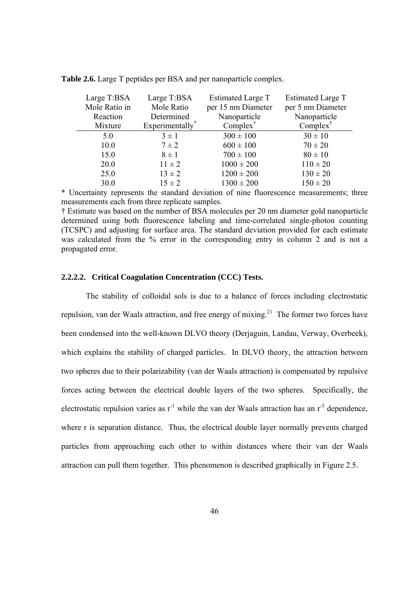| Large T:BSA   | Large T:BSA    | Estimated Large T   | Estimated Large T |  |
|---------------|----------------|---------------------|-------------------|--|
| Mole Ratio in | Mole Ratio     | per 15 nm Diameter  | per 5 nm Diameter |  |
| Reaction      | Determined     | Nanoparticle        | Nanoparticle      |  |
| Mixture       | Experimentally | $Complex^{\dagger}$ | $Complex^T$       |  |
| 5.0           | $3 \pm 1$      | $300 \pm 100$       | $30 \pm 10$       |  |
| 10.0          | $7 \pm 2$      | $600 \pm 100$       | $70 \pm 20$       |  |
| 15.0          | $8 \pm 1$      | $700 \pm 100$       | $80 \pm 10$       |  |
| 20.0          | $11 \pm 2$     | $1000 \pm 200$      | $110 \pm 20$      |  |
| 25.0          | $13 \pm 2$     | $1200 \pm 200$      | $130 \pm 20$      |  |
| 30.0          | $15 \pm 2$     | $1300 \pm 200$      | $150 \pm 20$      |  |

**Table 2.6.** Large T peptides per BSA and per nanoparticle complex.

\* Uncertainty represents the standard deviation of nine fluorescence measurements; three measurements each from three replicate samples.

† Estimate was based on the number of BSA molecules per 20 nm diameter gold nanoparticle determined using both fluorescence labeling and time-correlated single-photon counting (TCSPC) and adjusting for surface area. The standard deviation provided for each estimate was calculated from the % error in the corresponding entry in column 2 and is not a propagated error.

### **2.2.2.2. Critical Coagulation Concentration (CCC) Tests.**

The stability of colloidal sols is due to a balance of forces including electrostatic repulsion, van der Waals attraction, and free energy of mixing.<sup>21</sup> The former two forces have been condensed into the well-known DLVO theory (Derjaguin, Landau, Verway, Overbeek), which explains the stability of charged particles. In DLVO theory, the attraction between two spheres due to their polarizability (van der Waals attraction) is compensated by repulsive forces acting between the electrical double layers of the two spheres. Specifically, the electrostatic repulsion varies as  $r^{-1}$  while the van der Waals attraction has an  $r^{-3}$  dependence, where r is separation distance. Thus, the electrical double layer normally prevents charged particles from approaching each other to within distances where their van der Waals attraction can pull them together. This phenomenon is described graphically in Figure 2.5.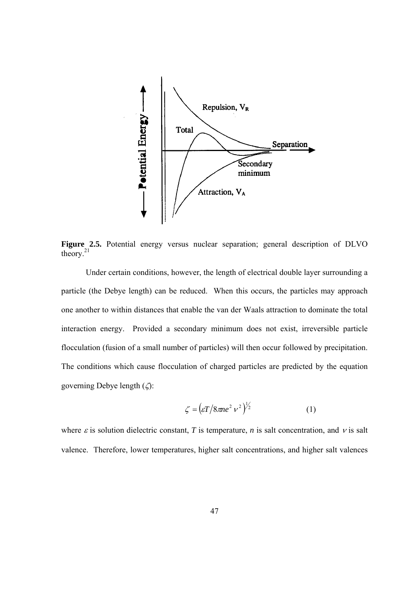

**Figure 2.5.** Potential energy versus nuclear separation; general description of DLVO theory.<sup>21</sup>

 Under certain conditions, however, the length of electrical double layer surrounding a particle (the Debye length) can be reduced. When this occurs, the particles may approach one another to within distances that enable the van der Waals attraction to dominate the total interaction energy. Provided a secondary minimum does not exist, irreversible particle flocculation (fusion of a small number of particles) will then occur followed by precipitation. The conditions which cause flocculation of charged particles are predicted by the equation governing Debye length  $(\zeta)$ :

$$
\zeta = \left(\varepsilon T / 8\pi n e^2 v^2\right)^{1/2} \tag{1}
$$

where  $\varepsilon$  is solution dielectric constant, *T* is temperature, *n* is salt concentration, and  $\nu$  is salt valence. Therefore, lower temperatures, higher salt concentrations, and higher salt valences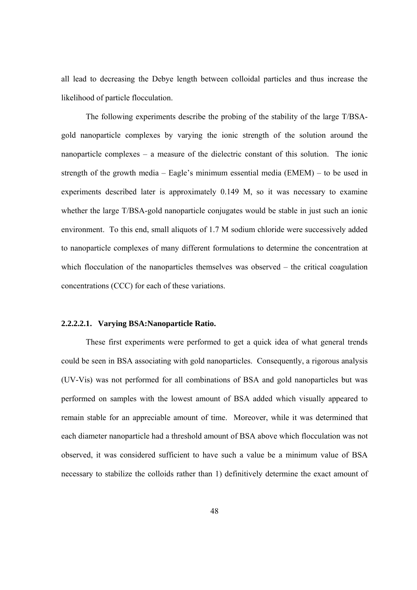all lead to decreasing the Debye length between colloidal particles and thus increase the likelihood of particle flocculation.

The following experiments describe the probing of the stability of the large T/BSAgold nanoparticle complexes by varying the ionic strength of the solution around the nanoparticle complexes – a measure of the dielectric constant of this solution. The ionic strength of the growth media – Eagle's minimum essential media (EMEM) – to be used in experiments described later is approximately 0.149 M, so it was necessary to examine whether the large T/BSA-gold nanoparticle conjugates would be stable in just such an ionic environment. To this end, small aliquots of 1.7 M sodium chloride were successively added to nanoparticle complexes of many different formulations to determine the concentration at which flocculation of the nanoparticles themselves was observed – the critical coagulation concentrations (CCC) for each of these variations.

### **2.2.2.2.1. Varying BSA:Nanoparticle Ratio.**

These first experiments were performed to get a quick idea of what general trends could be seen in BSA associating with gold nanoparticles. Consequently, a rigorous analysis (UV-Vis) was not performed for all combinations of BSA and gold nanoparticles but was performed on samples with the lowest amount of BSA added which visually appeared to remain stable for an appreciable amount of time. Moreover, while it was determined that each diameter nanoparticle had a threshold amount of BSA above which flocculation was not observed, it was considered sufficient to have such a value be a minimum value of BSA necessary to stabilize the colloids rather than 1) definitively determine the exact amount of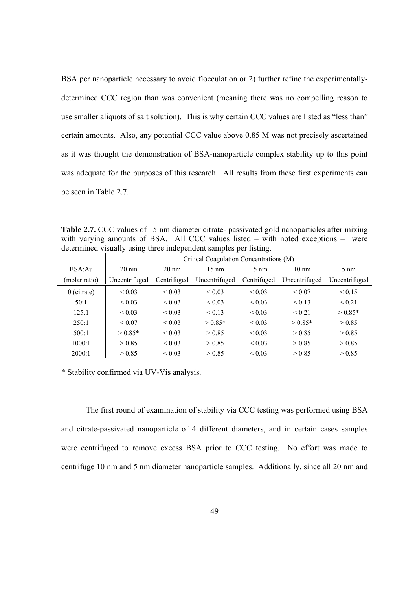BSA per nanoparticle necessary to avoid flocculation or 2) further refine the experimentallydetermined CCC region than was convenient (meaning there was no compelling reason to use smaller aliquots of salt solution). This is why certain CCC values are listed as "less than" certain amounts. Also, any potential CCC value above 0.85 M was not precisely ascertained as it was thought the demonstration of BSA-nanoparticle complex stability up to this point was adequate for the purposes of this research. All results from these first experiments can be seen in Table 2.7.

**Table 2.7.** CCC values of 15 nm diameter citrate- passivated gold nanoparticles after mixing with varying amounts of BSA. All CCC values listed – with noted exceptions – were determined visually using three independent samples per listing.

|               | Critical Coagulation Concentrations (M) |                 |                 |                 |                  |                |
|---------------|-----------------------------------------|-----------------|-----------------|-----------------|------------------|----------------|
| BSA:Au        | $20 \text{ nm}$                         | $20 \text{ nm}$ | $15 \text{ nm}$ | $15 \text{ nm}$ | $10 \text{ nm}$  | $5 \text{ nm}$ |
| (molar ratio) | Uncentrifuged                           | Centrifuged     | Uncentrifuged   | Centrifuged     | Uncentrifuged    | Uncentrifuged  |
| $0$ (citrate) | ${}_{0.03}$                             | ${}_{0.03}$     | ${}_{0.03}$     | ${}_{0.03}$     | ${}_{\leq 0.07}$ | ${}_{0.15}$    |
| 50:1          | ${}_{0.03}$                             | ${}< 0.03$      | ${}< 0.03$      | ${}_{0.03}$     | < 0.13           | ${}_{0.21}$    |
| 125:1         | ${}_{0.03}$                             | ${}_{0.03}$     | < 0.13          | ${}_{0.03}$     | ${}_{0.21}$      | $> 0.85*$      |
| 250:1         | ${}_{0.07}$                             | ${}_{0.03}$     | $> 0.85*$       | ${}< 0.03$      | $> 0.85*$        | > 0.85         |
| 500:1         | $> 0.85*$                               | ${}_{0.03}$     | > 0.85          | ${}_{0.03}$     | > 0.85           | > 0.85         |
| 1000:1        | > 0.85                                  | ${}_{0.03}$     | > 0.85          | ${}_{0.03}$     | > 0.85           | > 0.85         |
| 2000:1        | > 0.85                                  | ${}_{0.03}$     | > 0.85          | ${}_{0.03}$     | > 0.85           | > 0.85         |

\* Stability confirmed via UV-Vis analysis.

The first round of examination of stability via CCC testing was performed using BSA and citrate-passivated nanoparticle of 4 different diameters, and in certain cases samples were centrifuged to remove excess BSA prior to CCC testing. No effort was made to centrifuge 10 nm and 5 nm diameter nanoparticle samples. Additionally, since all 20 nm and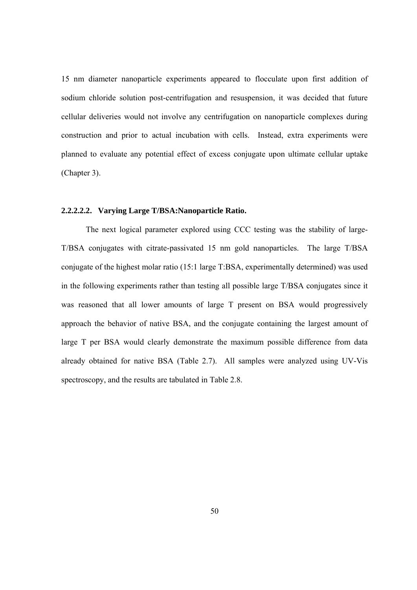15 nm diameter nanoparticle experiments appeared to flocculate upon first addition of sodium chloride solution post-centrifugation and resuspension, it was decided that future cellular deliveries would not involve any centrifugation on nanoparticle complexes during construction and prior to actual incubation with cells. Instead, extra experiments were planned to evaluate any potential effect of excess conjugate upon ultimate cellular uptake (Chapter 3).

# **2.2.2.2.2. Varying Large T/BSA:Nanoparticle Ratio.**

 The next logical parameter explored using CCC testing was the stability of large-T/BSA conjugates with citrate-passivated 15 nm gold nanoparticles. The large T/BSA conjugate of the highest molar ratio (15:1 large T:BSA, experimentally determined) was used in the following experiments rather than testing all possible large T/BSA conjugates since it was reasoned that all lower amounts of large T present on BSA would progressively approach the behavior of native BSA, and the conjugate containing the largest amount of large T per BSA would clearly demonstrate the maximum possible difference from data already obtained for native BSA (Table 2.7). All samples were analyzed using UV-Vis spectroscopy, and the results are tabulated in Table 2.8.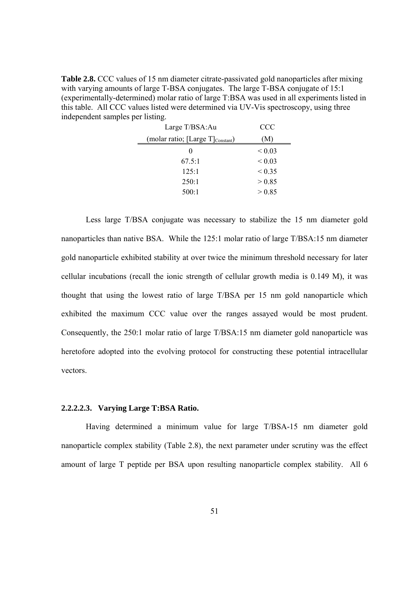**Table 2.8.** CCC values of 15 nm diameter citrate-passivated gold nanoparticles after mixing with varying amounts of large T-BSA conjugates. The large T-BSA conjugate of 15:1 (experimentally-determined) molar ratio of large T:BSA was used in all experiments listed in this table. All CCC values listed were determined via UV-Vis spectroscopy, using three independent samples per listing.

| Large T/BSA:Au                                | CCC         |
|-----------------------------------------------|-------------|
| (molar ratio; [Large T] <sub>Constant</sub> ) | (M)         |
|                                               | ${}_{0.03}$ |
| 67.5:1                                        | ${}< 0.03$  |
| 125:1                                         | ${}_{0.35}$ |
| 250:1                                         | > 0.85      |
| 500:1                                         | > 0.85      |
|                                               |             |

Less large T/BSA conjugate was necessary to stabilize the 15 nm diameter gold nanoparticles than native BSA. While the 125:1 molar ratio of large T/BSA:15 nm diameter gold nanoparticle exhibited stability at over twice the minimum threshold necessary for later cellular incubations (recall the ionic strength of cellular growth media is 0.149 M), it was thought that using the lowest ratio of large T/BSA per 15 nm gold nanoparticle which exhibited the maximum CCC value over the ranges assayed would be most prudent. Consequently, the 250:1 molar ratio of large T/BSA:15 nm diameter gold nanoparticle was heretofore adopted into the evolving protocol for constructing these potential intracellular vectors.

#### **2.2.2.2.3. Varying Large T:BSA Ratio.**

Having determined a minimum value for large T/BSA-15 nm diameter gold nanoparticle complex stability (Table 2.8), the next parameter under scrutiny was the effect amount of large T peptide per BSA upon resulting nanoparticle complex stability. All 6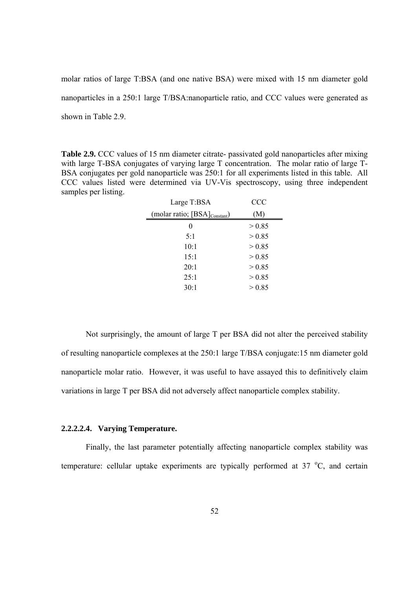molar ratios of large T:BSA (and one native BSA) were mixed with 15 nm diameter gold nanoparticles in a 250:1 large T/BSA:nanoparticle ratio, and CCC values were generated as shown in Table 2.9.

**Table 2.9.** CCC values of 15 nm diameter citrate- passivated gold nanoparticles after mixing with large T-BSA conjugates of varying large T concentration. The molar ratio of large T-BSA conjugates per gold nanoparticle was 250:1 for all experiments listed in this table. All CCC values listed were determined via UV-Vis spectroscopy, using three independent samples per listing.

| Large T:BSA                               | <b>CCC</b> |
|-------------------------------------------|------------|
| (molar ratio; [BSA] <sub>Constant</sub> ) | (M)        |
| 0                                         | > 0.85     |
| 5:1                                       | > 0.85     |
| 10:1                                      | > 0.85     |
| 15:1                                      | > 0.85     |
| 20:1                                      | > 0.85     |
| 25:1                                      | > 0.85     |
| 30:1                                      | > 0.85     |
|                                           |            |

 Not surprisingly, the amount of large T per BSA did not alter the perceived stability of resulting nanoparticle complexes at the 250:1 large T/BSA conjugate:15 nm diameter gold nanoparticle molar ratio. However, it was useful to have assayed this to definitively claim variations in large T per BSA did not adversely affect nanoparticle complex stability.

# **2.2.2.2.4. Varying Temperature.**

Finally, the last parameter potentially affecting nanoparticle complex stability was temperature: cellular uptake experiments are typically performed at  $37 \text{ °C}$ , and certain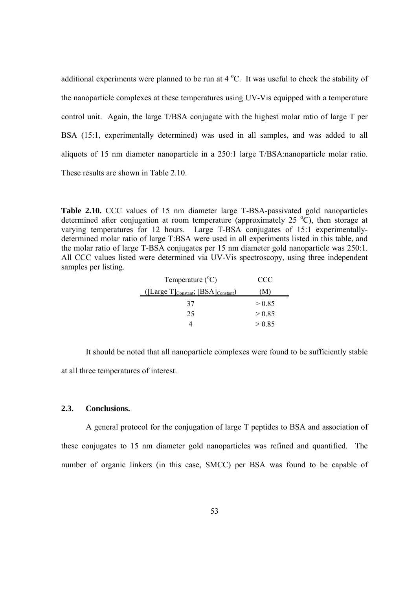additional experiments were planned to be run at  $4^{\circ}$ C. It was useful to check the stability of the nanoparticle complexes at these temperatures using UV-Vis equipped with a temperature control unit. Again, the large T/BSA conjugate with the highest molar ratio of large T per BSA (15:1, experimentally determined) was used in all samples, and was added to all aliquots of 15 nm diameter nanoparticle in a 250:1 large T/BSA:nanoparticle molar ratio. These results are shown in Table 2.10.

**Table 2.10.** CCC values of 15 nm diameter large T-BSA-passivated gold nanoparticles determined after conjugation at room temperature (approximately 25  $^{\circ}$ C), then storage at varying temperatures for 12 hours. Large T-BSA conjugates of 15:1 experimentallydetermined molar ratio of large T:BSA were used in all experiments listed in this table, and the molar ratio of large T-BSA conjugates per 15 nm diameter gold nanoparticle was 250:1. All CCC values listed were determined via UV-Vis spectroscopy, using three independent samples per listing.

| Temperature $(^{\circ}C)$                           | CCC    |
|-----------------------------------------------------|--------|
| $($ [Large T] $_{Constant}$ ; [BSA] $_{Constant}$ ) | M)     |
| 37                                                  | > 0.85 |
| 25                                                  | > 0.85 |
|                                                     | > 0.85 |

 It should be noted that all nanoparticle complexes were found to be sufficiently stable at all three temperatures of interest.

### **2.3. Conclusions.**

A general protocol for the conjugation of large T peptides to BSA and association of these conjugates to 15 nm diameter gold nanoparticles was refined and quantified. The number of organic linkers (in this case, SMCC) per BSA was found to be capable of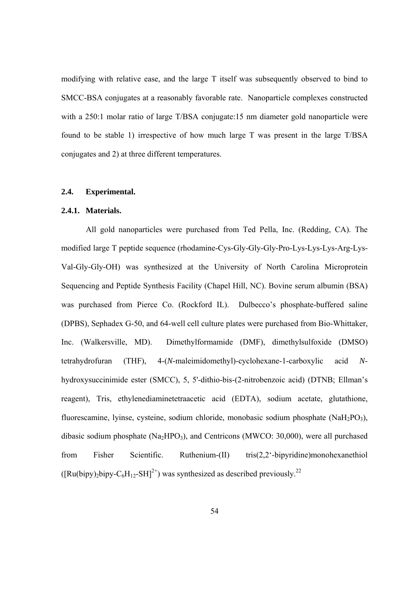modifying with relative ease, and the large T itself was subsequently observed to bind to SMCC-BSA conjugates at a reasonably favorable rate. Nanoparticle complexes constructed with a 250:1 molar ratio of large T/BSA conjugate:15 nm diameter gold nanoparticle were found to be stable 1) irrespective of how much large T was present in the large T/BSA conjugates and 2) at three different temperatures.

### **2.4. Experimental.**

# **2.4.1. Materials.**

All gold nanoparticles were purchased from Ted Pella, Inc. (Redding, CA). The modified large T peptide sequence (rhodamine-Cys-Gly-Gly-Gly-Pro-Lys-Lys-Lys-Arg-Lys-Val-Gly-Gly-OH) was synthesized at the University of North Carolina Microprotein Sequencing and Peptide Synthesis Facility (Chapel Hill, NC). Bovine serum albumin (BSA) was purchased from Pierce Co. (Rockford IL). Dulbecco's phosphate-buffered saline (DPBS), Sephadex G-50, and 64-well cell culture plates were purchased from Bio-Whittaker, Inc. (Walkersville, MD). Dimethylformamide (DMF), dimethylsulfoxide (DMSO) tetrahydrofuran (THF), 4-(*N*-maleimidomethyl)-cyclohexane-1-carboxylic acid *N*hydroxysuccinimide ester (SMCC), 5, 5'-dithio-bis-(2-nitrobenzoic acid) (DTNB; Ellman's reagent), Tris, ethylenediaminetetraacetic acid (EDTA), sodium acetate, glutathione, fluorescamine, lyinse, cysteine, sodium chloride, monobasic sodium phosphate (NaH<sub>2</sub>PO<sub>3</sub>), dibasic sodium phosphate  $(Na_2HPO_3)$ , and Centricons (MWCO: 30,000), were all purchased from Fisher Scientific. Ruthenium-(II) tris(2,2'-bipyridine)monohexanethiol  $([Ru(bipy),bipy-C<sub>6</sub>H<sub>12</sub>-SH]<sup>2+</sup>)$  was synthesized as described previously.<sup>22</sup>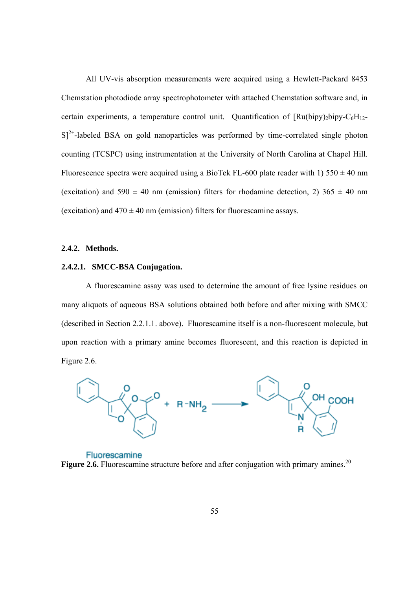All UV-vis absorption measurements were acquired using a Hewlett-Packard 8453 Chemstation photodiode array spectrophotometer with attached Chemstation software and, in certain experiments, a temperature control unit. Quantification of  $\text{[Ru(bipy)_2bipy-C<sub>6</sub>H<sub>12</sub>]}$  $S^{2+}$ -labeled BSA on gold nanoparticles was performed by time-correlated single photon counting (TCSPC) using instrumentation at the University of North Carolina at Chapel Hill. Fluorescence spectra were acquired using a BioTek FL-600 plate reader with 1)  $550 \pm 40$  nm (excitation) and  $590 \pm 40$  nm (emission) filters for rhodamine detection, 2)  $365 \pm 40$  nm (excitation) and  $470 \pm 40$  nm (emission) filters for fluorescamine assays.

# **2.4.2. Methods.**

### **2.4.2.1. SMCC-BSA Conjugation.**

A fluorescamine assay was used to determine the amount of free lysine residues on many aliquots of aqueous BSA solutions obtained both before and after mixing with SMCC (described in Section 2.2.1.1. above). Fluorescamine itself is a non-fluorescent molecule, but upon reaction with a primary amine becomes fluorescent, and this reaction is depicted in Figure 2.6.



Fluorescamine **Figure 2.6.** Fluorescamine structure before and after conjugation with primary amines.<sup>20</sup>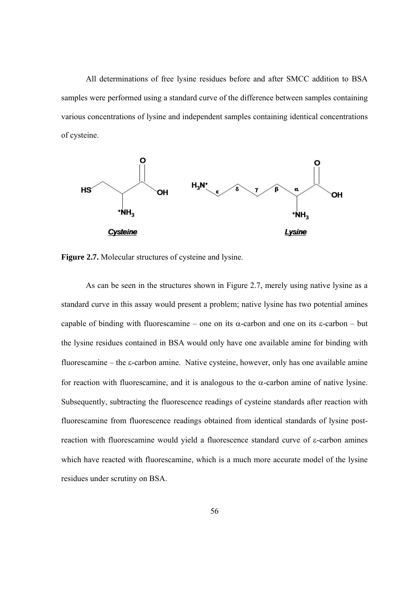All determinations of free lysine residues before and after SMCC addition to BSA samples were performed using a standard curve of the difference between samples containing various concentrations of lysine and independent samples containing identical concentrations of cysteine.



**Figure 2.7.** Molecular structures of cysteine and lysine.

As can be seen in the structures shown in Figure 2.7, merely using native lysine as a standard curve in this assay would present a problem; native lysine has two potential amines capable of binding with fluorescamine – one on its  $\alpha$ -carbon and one on its  $\varepsilon$ -carbon – but the lysine residues contained in BSA would only have one available amine for binding with fluorescamine – the  $\varepsilon$ -carbon amine. Native cysteine, however, only has one available amine for reaction with fluorescamine, and it is analogous to the  $\alpha$ -carbon amine of native lysine. Subsequently, subtracting the fluorescence readings of cysteine standards after reaction with fluorescamine from fluorescence readings obtained from identical standards of lysine postreaction with fluorescamine would yield a fluorescence standard curve of  $\varepsilon$ -carbon amines which have reacted with fluorescamine, which is a much more accurate model of the lysine residues under scrutiny on BSA.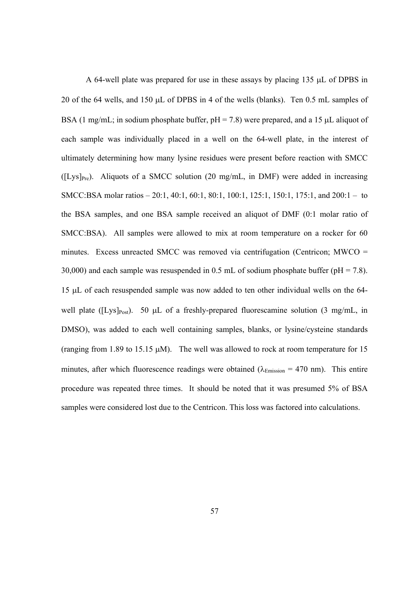A 64-well plate was prepared for use in these assays by placing  $135 \mu L$  of DPBS in 20 of the 64 wells, and 150  $\mu$ L of DPBS in 4 of the wells (blanks). Ten 0.5 mL samples of BSA (1 mg/mL; in sodium phosphate buffer,  $pH = 7.8$ ) were prepared, and a 15  $\mu$ L aliquot of each sample was individually placed in a well on the 64-well plate, in the interest of ultimately determining how many lysine residues were present before reaction with SMCC  $(ILys]_{Pre}$ ). Aliquots of a SMCC solution (20 mg/mL, in DMF) were added in increasing SMCC:BSA molar ratios – 20:1, 40:1, 60:1, 80:1, 100:1, 125:1, 150:1, 175:1, and 200:1 – to the BSA samples, and one BSA sample received an aliquot of DMF (0:1 molar ratio of SMCC:BSA). All samples were allowed to mix at room temperature on a rocker for 60 minutes. Excess unreacted SMCC was removed via centrifugation (Centricon; MWCO = 30,000) and each sample was resuspended in 0.5 mL of sodium phosphate buffer ( $pH = 7.8$ ). 15 L of each resuspended sample was now added to ten other individual wells on the 64 well plate ( $[Lys]_{Post}$ ). 50 µL of a freshly-prepared fluorescamine solution (3 mg/mL, in DMSO), was added to each well containing samples, blanks, or lysine/cysteine standards (ranging from 1.89 to 15.15  $\mu$ M). The well was allowed to rock at room temperature for 15 minutes, after which fluorescence readings were obtained ( $\lambda_{\text{Emission}} = 470$  nm). This entire procedure was repeated three times. It should be noted that it was presumed 5% of BSA samples were considered lost due to the Centricon. This loss was factored into calculations.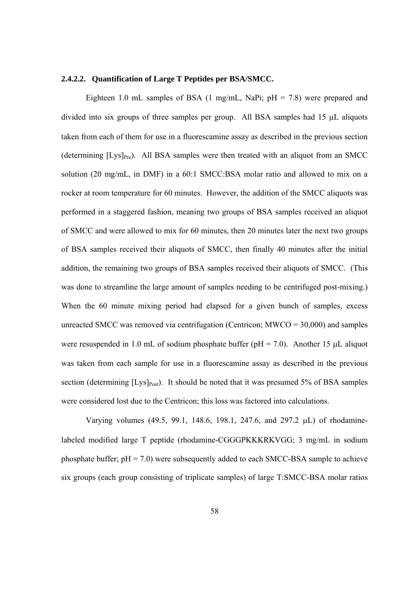#### **2.4.2.2. Quantification of Large T Peptides per BSA/SMCC.**

Eighteen 1.0 mL samples of BSA (1 mg/mL, NaPi;  $pH = 7.8$ ) were prepared and divided into six groups of three samples per group. All BSA samples had  $15 \mu L$  aliquots taken from each of them for use in a fluorescamine assay as described in the previous section (determining  $[Lys]_{Pre}$ ). All BSA samples were then treated with an aliquot from an SMCC solution (20 mg/mL, in DMF) in a 60:1 SMCC:BSA molar ratio and allowed to mix on a rocker at room temperature for 60 minutes. However, the addition of the SMCC aliquots was performed in a staggered fashion, meaning two groups of BSA samples received an aliquot of SMCC and were allowed to mix for 60 minutes, then 20 minutes later the next two groups of BSA samples received their aliquots of SMCC, then finally 40 minutes after the initial addition, the remaining two groups of BSA samples received their aliquots of SMCC. (This was done to streamline the large amount of samples needing to be centrifuged post-mixing.) When the 60 minute mixing period had elapsed for a given bunch of samples, excess unreacted SMCC was removed via centrifugation (Centricon; MWCO = 30,000) and samples were resuspended in 1.0 mL of sodium phosphate buffer ( $pH = 7.0$ ). Another 15  $\mu$ L aliquot was taken from each sample for use in a fluorescamine assay as described in the previous section (determining  $[Lys]_{Post}$ ). It should be noted that it was presumed 5% of BSA samples were considered lost due to the Centricon; this loss was factored into calculations.

Varying volumes  $(49.5, 99.1, 148.6, 198.1, 247.6,$  and  $297.2 \mu L$ ) of rhodaminelabeled modified large T peptide (rhodamine-CGGGPKKKRKVGG; 3 mg/mL in sodium phosphate buffer;  $pH = 7.0$ ) were subsequently added to each SMCC-BSA sample to achieve six groups (each group consisting of triplicate samples) of large T:SMCC-BSA molar ratios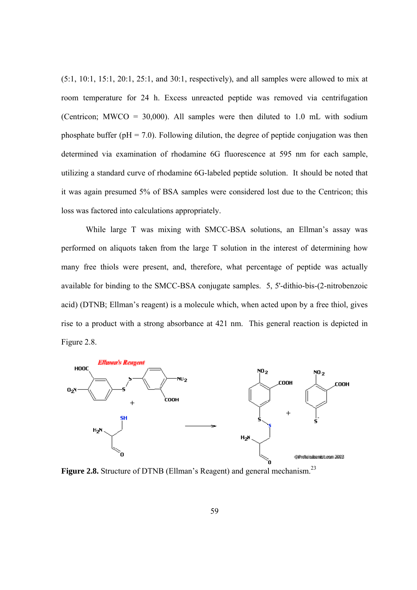$(5:1, 10:1, 15:1, 20:1, 25:1,$  and  $30:1$ , respectively), and all samples were allowed to mix at room temperature for 24 h. Excess unreacted peptide was removed via centrifugation (Centricon; MWCO = 30,000). All samples were then diluted to 1.0 mL with sodium phosphate buffer ( $pH = 7.0$ ). Following dilution, the degree of peptide conjugation was then determined via examination of rhodamine 6G fluorescence at 595 nm for each sample, utilizing a standard curve of rhodamine 6G-labeled peptide solution. It should be noted that it was again presumed 5% of BSA samples were considered lost due to the Centricon; this loss was factored into calculations appropriately.

 While large T was mixing with SMCC-BSA solutions, an Ellman's assay was performed on aliquots taken from the large T solution in the interest of determining how many free thiols were present, and, therefore, what percentage of peptide was actually available for binding to the SMCC-BSA conjugate samples. 5, 5'-dithio-bis-(2-nitrobenzoic acid) (DTNB; Ellman's reagent) is a molecule which, when acted upon by a free thiol, gives rise to a product with a strong absorbance at 421 nm. This general reaction is depicted in Figure 2.8.



**Figure 2.8.** Structure of DTNB (Ellman's Reagent) and general mechanism.<sup>23</sup>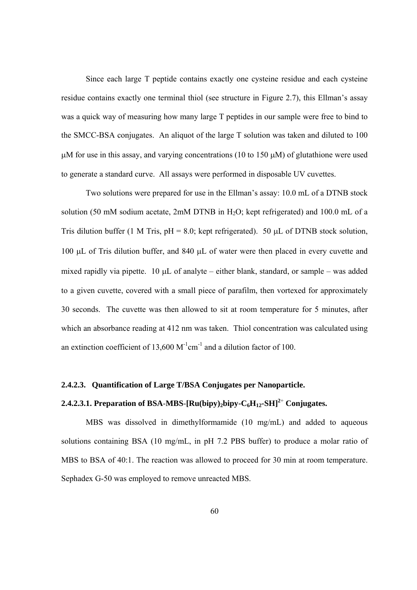Since each large T peptide contains exactly one cysteine residue and each cysteine residue contains exactly one terminal thiol (see structure in Figure 2.7), this Ellman's assay was a quick way of measuring how many large T peptides in our sample were free to bind to the SMCC-BSA conjugates. An aliquot of the large T solution was taken and diluted to 100  $\mu$ M for use in this assay, and varying concentrations (10 to 150  $\mu$ M) of glutathione were used to generate a standard curve. All assays were performed in disposable UV cuvettes.

Two solutions were prepared for use in the Ellman's assay: 10.0 mL of a DTNB stock solution (50 mM sodium acetate, 2mM DTNB in H2O; kept refrigerated) and 100.0 mL of a Tris dilution buffer (1 M Tris,  $pH = 8.0$ ; kept refrigerated). 50 µL of DTNB stock solution, 100 µL of Tris dilution buffer, and 840 µL of water were then placed in every cuvette and mixed rapidly via pipette. 10  $\mu$ L of analyte – either blank, standard, or sample – was added to a given cuvette, covered with a small piece of parafilm, then vortexed for approximately 30 seconds. The cuvette was then allowed to sit at room temperature for 5 minutes, after which an absorbance reading at 412 nm was taken. Thiol concentration was calculated using an extinction coefficient of 13,600  $M^{-1}$ cm<sup>-1</sup> and a dilution factor of 100.

# **2.4.2.3. Quantification of Large T/BSA Conjugates per Nanoparticle.**

# **2.4.2.3.1. Preparation of BSA**-**MBS**-**[Ru(bipy)2bipy-C6H12-SH]<sup>2</sup>**<sup>+</sup>  **Conjugates.**

MBS was dissolved in dimethylformamide (10 mg/mL) and added to aqueous solutions containing BSA (10 mg/mL, in pH 7.2 PBS buffer) to produce a molar ratio of MBS to BSA of 40:1. The reaction was allowed to proceed for 30 min at room temperature. Sephadex G-50 was employed to remove unreacted MBS.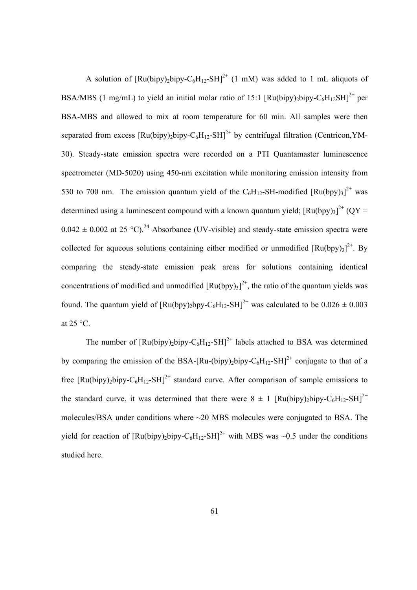A solution of  $\left[\text{Ru(bipy)}_{2} \text{bipy} - \text{C}_{6} \text{H}_{12} - \text{SH}\right]^{2+}$  (1 mM) was added to 1 mL aliquots of BSA/MBS (1 mg/mL) to yield an initial molar ratio of 15:1 [Ru(bipy)<sub>2</sub>bipy-C<sub>6</sub>H<sub>12</sub>SH]<sup>2+</sup> per BSA-MBS and allowed to mix at room temperature for 60 min. All samples were then separated from excess  $\text{[Ru(bipy),bipy-C<sub>6</sub>H<sub>12</sub>-SH]<sup>2+</sup>$  by centrifugal filtration (Centricon,YM-30). Steady-state emission spectra were recorded on a PTI Quantamaster luminescence spectrometer (MD-5020) using 450-nm excitation while monitoring emission intensity from 530 to 700 nm. The emission quantum yield of the  $C_6H_{12}$ -SH-modified  $[Ru(bpy)_3]^{2+}$  was determined using a luminescent compound with a known quantum yield;  $\left[\text{Ru(bpy)}_{3}\right]^{2+} \left(\text{QY}=\right)$  $0.042 \pm 0.002$  at 25 °C).<sup>24</sup> Absorbance (UV-visible) and steady-state emission spectra were collected for aqueous solutions containing either modified or unmodified  $[Ru(bpy)_3]^2$ <sup>+</sup>. By comparing the steady-state emission peak areas for solutions containing identical concentrations of modified and unmodified  $[Ru(bpy)_3]^2$ <sup>+</sup>, the ratio of the quantum yields was found. The quantum yield of  $\text{Ru(bpy)}_2$ bpy-C<sub>6</sub>H<sub>12</sub>-SH]<sup>2+</sup> was calculated to be  $0.026 \pm 0.003$ at 25 °C.

The number of  $\text{[Ru(bipy)}_b$ bipy-C<sub>6</sub>H<sub>12</sub>-SH<sup>2+</sup> labels attached to BSA was determined by comparing the emission of the BSA-[Ru-(bipy)<sub>2</sub>bipy-C<sub>6</sub>H<sub>12</sub>-SH]<sup>2+</sup> conjugate to that of a free  $\text{[Ru(bipy),bipy-C<sub>6</sub>H<sub>12</sub>-SH]<sup>2+</sup>$  standard curve. After comparison of sample emissions to the standard curve, it was determined that there were  $8 \pm 1$  [Ru(bipy)<sub>2</sub>bipy-C<sub>6</sub>H<sub>12</sub>-SH]<sup>2+</sup> molecules/BSA under conditions where ~20 MBS molecules were conjugated to BSA. The yield for reaction of  $\text{[Ru(bipy),bipy-C<sub>6</sub>H<sub>12</sub>-SH]<sup>2+</sup>$  with MBS was ~0.5 under the conditions studied here.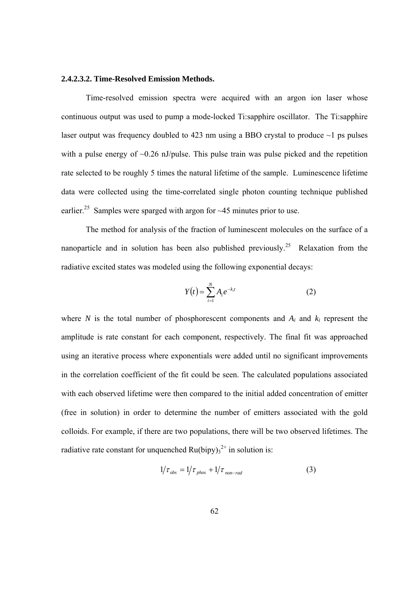#### **2.4.2.3.2. Time-Resolved Emission Methods.**

Time-resolved emission spectra were acquired with an argon ion laser whose continuous output was used to pump a mode-locked Ti:sapphire oscillator. The Ti:sapphire laser output was frequency doubled to 423 nm using a BBO crystal to produce  $\sim$ 1 ps pulses with a pulse energy of  $\sim 0.26$  nJ/pulse. This pulse train was pulse picked and the repetition rate selected to be roughly 5 times the natural lifetime of the sample. Luminescence lifetime data were collected using the time-correlated single photon counting technique published earlier.<sup>25</sup> Samples were sparged with argon for  $\sim$  45 minutes prior to use.

The method for analysis of the fraction of luminescent molecules on the surface of a nanoparticle and in solution has been also published previously.<sup>25</sup> Relaxation from the radiative excited states was modeled using the following exponential decays:

$$
Y(t) = \sum_{i=1}^{N} A_i e^{-k_i t}
$$
 (2)

where *N* is the total number of phosphorescent components and  $A_i$  and  $k_i$  represent the amplitude is rate constant for each component, respectively. The final fit was approached using an iterative process where exponentials were added until no significant improvements in the correlation coefficient of the fit could be seen. The calculated populations associated with each observed lifetime were then compared to the initial added concentration of emitter (free in solution) in order to determine the number of emitters associated with the gold colloids. For example, if there are two populations, there will be two observed lifetimes. The radiative rate constant for unquenched  $Ru(bipy)_{3}^{2+}$  in solution is:

$$
1/\tau_{obs} = 1/\tau_{phos} + 1/\tau_{non-rad}
$$
 (3)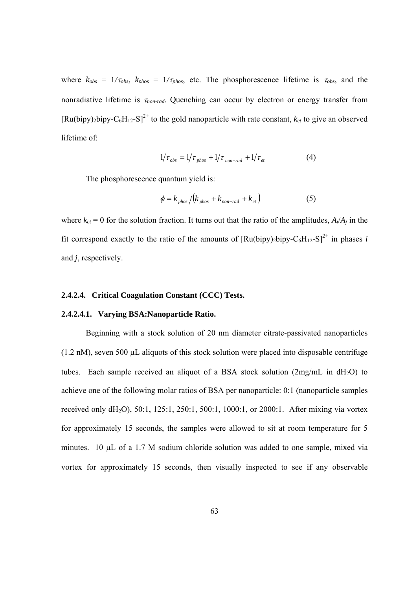where  $k_{obs} = 1/\tau_{obs}$ ,  $k_{phos} = 1/\tau_{phos}$ , etc. The phosphorescence lifetime is  $\tau_{obs}$ , and the nonradiative lifetime is  $\tau_{non-rad}$ . Quenching can occur by electron or energy transfer from  $[Ru(bipy)_2bipy-C_6H_{12}-S]^2$ <sup>+</sup> to the gold nanoparticle with rate constant,  $k_{et}$  to give an observed lifetime of:

$$
1/\tau_{obs} = 1/\tau_{phos} + 1/\tau_{non-rad} + 1/\tau_{et}
$$
 (4)

The phosphorescence quantum yield is:

$$
\phi = k_{\text{phos}} / (k_{\text{phos}} + k_{\text{non-rad}} + k_{\text{et}})
$$
\n(5)

where  $k_{et} = 0$  for the solution fraction. It turns out that the ratio of the amplitudes,  $A_i/A_j$  in the fit correspond exactly to the ratio of the amounts of  $[Ru(bipy)_2bipy-C_6H_{12}-S]^{2+}$  in phases *i* and *j*, respectively.

#### **2.4.2.4. Critical Coagulation Constant (CCC) Tests.**

#### **2.4.2.4.1. Varying BSA:Nanoparticle Ratio.**

Beginning with a stock solution of 20 nm diameter citrate-passivated nanoparticles  $(1.2 \text{ nM})$ , seven 500 µL aliquots of this stock solution were placed into disposable centrifuge tubes. Each sample received an aliquot of a BSA stock solution  $(2mg/mL$  in  $dH<sub>2</sub>O)$  to achieve one of the following molar ratios of BSA per nanoparticle: 0:1 (nanoparticle samples received only dH2O), 50:1, 125:1, 250:1, 500:1, 1000:1, or 2000:1. After mixing via vortex for approximately 15 seconds, the samples were allowed to sit at room temperature for 5 minutes. 10  $\mu$ L of a 1.7 M sodium chloride solution was added to one sample, mixed via vortex for approximately 15 seconds, then visually inspected to see if any observable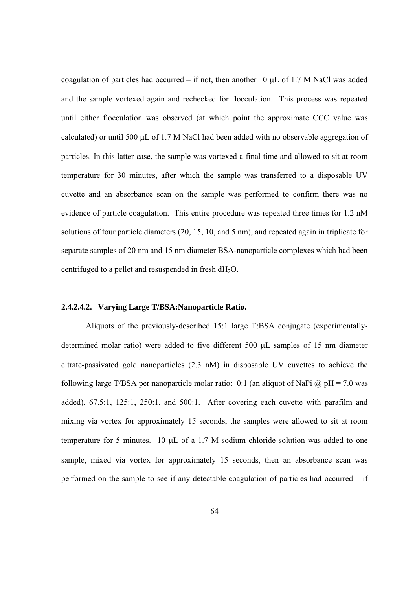coagulation of particles had occurred – if not, then another 10  $\mu$ L of 1.7 M NaCl was added and the sample vortexed again and rechecked for flocculation. This process was repeated until either flocculation was observed (at which point the approximate CCC value was calculated) or until 500  $\mu$ L of 1.7 M NaCl had been added with no observable aggregation of particles. In this latter case, the sample was vortexed a final time and allowed to sit at room temperature for 30 minutes, after which the sample was transferred to a disposable UV cuvette and an absorbance scan on the sample was performed to confirm there was no evidence of particle coagulation. This entire procedure was repeated three times for 1.2 nM solutions of four particle diameters (20, 15, 10, and 5 nm), and repeated again in triplicate for separate samples of 20 nm and 15 nm diameter BSA-nanoparticle complexes which had been centrifuged to a pellet and resuspended in fresh dH<sub>2</sub>O.

#### **2.4.2.4.2. Varying Large T/BSA:Nanoparticle Ratio.**

 Aliquots of the previously-described 15:1 large T:BSA conjugate (experimentallydetermined molar ratio) were added to five different 500 µL samples of 15 nm diameter citrate-passivated gold nanoparticles (2.3 nM) in disposable UV cuvettes to achieve the following large T/BSA per nanoparticle molar ratio: 0:1 (an aliquot of NaPi  $\omega$  pH = 7.0 was added), 67.5:1, 125:1, 250:1, and 500:1. After covering each cuvette with parafilm and mixing via vortex for approximately 15 seconds, the samples were allowed to sit at room temperature for 5 minutes.  $10 \mu L$  of a 1.7 M sodium chloride solution was added to one sample, mixed via vortex for approximately 15 seconds, then an absorbance scan was performed on the sample to see if any detectable coagulation of particles had occurred – if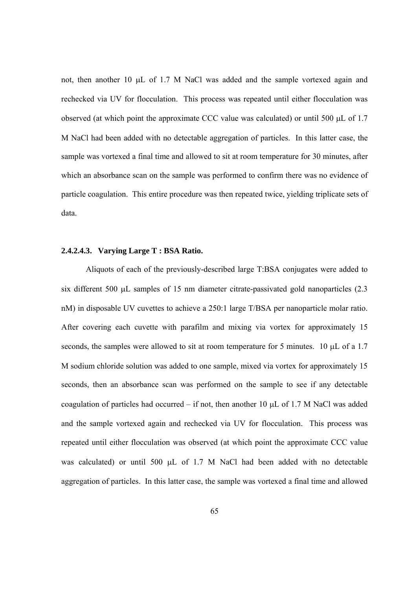not, then another 10  $\mu$ L of 1.7 M NaCl was added and the sample vortexed again and rechecked via UV for flocculation. This process was repeated until either flocculation was observed (at which point the approximate CCC value was calculated) or until 500  $\mu$ L of 1.7 M NaCl had been added with no detectable aggregation of particles. In this latter case, the sample was vortexed a final time and allowed to sit at room temperature for 30 minutes, after which an absorbance scan on the sample was performed to confirm there was no evidence of particle coagulation. This entire procedure was then repeated twice, yielding triplicate sets of data.

## **2.4.2.4.3. Varying Large T : BSA Ratio.**

 Aliquots of each of the previously-described large T:BSA conjugates were added to six different 500  $\mu$ L samples of 15 nm diameter citrate-passivated gold nanoparticles (2.3) nM) in disposable UV cuvettes to achieve a 250:1 large T/BSA per nanoparticle molar ratio. After covering each cuvette with parafilm and mixing via vortex for approximately 15 seconds, the samples were allowed to sit at room temperature for 5 minutes. 10 µL of a 1.7 M sodium chloride solution was added to one sample, mixed via vortex for approximately 15 seconds, then an absorbance scan was performed on the sample to see if any detectable coagulation of particles had occurred – if not, then another 10  $\mu$ L of 1.7 M NaCl was added and the sample vortexed again and rechecked via UV for flocculation. This process was repeated until either flocculation was observed (at which point the approximate CCC value was calculated) or until 500  $\mu$ L of 1.7 M NaCl had been added with no detectable aggregation of particles. In this latter case, the sample was vortexed a final time and allowed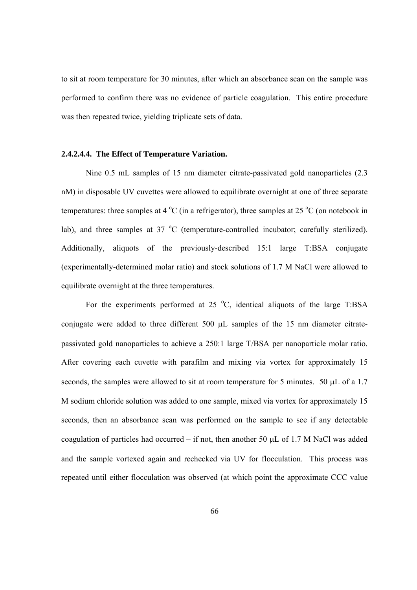to sit at room temperature for 30 minutes, after which an absorbance scan on the sample was performed to confirm there was no evidence of particle coagulation. This entire procedure was then repeated twice, yielding triplicate sets of data.

#### **2.4.2.4.4. The Effect of Temperature Variation.**

 Nine 0.5 mL samples of 15 nm diameter citrate-passivated gold nanoparticles (2.3 nM) in disposable UV cuvettes were allowed to equilibrate overnight at one of three separate temperatures: three samples at  $4^{\circ}$ C (in a refrigerator), three samples at 25  $^{\circ}$ C (on notebook in lab), and three samples at  $37 \text{ °C}$  (temperature-controlled incubator; carefully sterilized). Additionally, aliquots of the previously-described 15:1 large T:BSA conjugate (experimentally-determined molar ratio) and stock solutions of 1.7 M NaCl were allowed to equilibrate overnight at the three temperatures.

For the experiments performed at  $25\text{ °C}$ , identical aliquots of the large T:BSA conjugate were added to three different  $500 \mu L$  samples of the 15 nm diameter citratepassivated gold nanoparticles to achieve a 250:1 large T/BSA per nanoparticle molar ratio. After covering each cuvette with parafilm and mixing via vortex for approximately 15 seconds, the samples were allowed to sit at room temperature for 5 minutes. 50  $\mu$ L of a 1.7 M sodium chloride solution was added to one sample, mixed via vortex for approximately 15 seconds, then an absorbance scan was performed on the sample to see if any detectable coagulation of particles had occurred – if not, then another 50  $\mu$ L of 1.7 M NaCl was added and the sample vortexed again and rechecked via UV for flocculation. This process was repeated until either flocculation was observed (at which point the approximate CCC value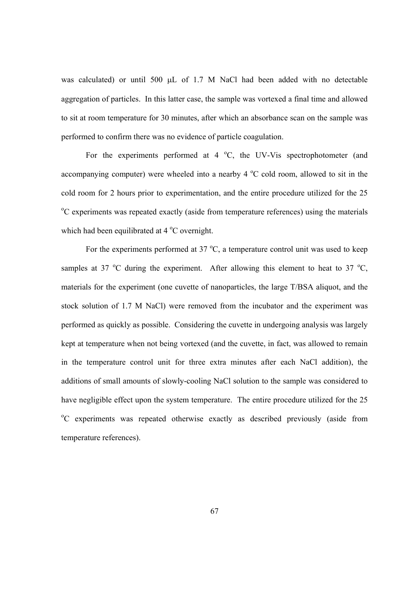was calculated) or until 500  $\mu$ L of 1.7 M NaCl had been added with no detectable aggregation of particles. In this latter case, the sample was vortexed a final time and allowed to sit at room temperature for 30 minutes, after which an absorbance scan on the sample was performed to confirm there was no evidence of particle coagulation.

For the experiments performed at  $4^{\circ}$ C, the UV-Vis spectrophotometer (and accompanying computer) were wheeled into a nearby  $4^{\circ}$ C cold room, allowed to sit in the cold room for 2 hours prior to experimentation, and the entire procedure utilized for the 25 <sup>o</sup>C experiments was repeated exactly (aside from temperature references) using the materials which had been equilibrated at  $4^{\circ}$ C overnight.

For the experiments performed at  $37 \text{ °C}$ , a temperature control unit was used to keep samples at 37  $\mathrm{^{\circ}C}$  during the experiment. After allowing this element to heat to 37  $\mathrm{^{\circ}C}$ , materials for the experiment (one cuvette of nanoparticles, the large T/BSA aliquot, and the stock solution of 1.7 M NaCl) were removed from the incubator and the experiment was performed as quickly as possible. Considering the cuvette in undergoing analysis was largely kept at temperature when not being vortexed (and the cuvette, in fact, was allowed to remain in the temperature control unit for three extra minutes after each NaCl addition), the additions of small amounts of slowly-cooling NaCl solution to the sample was considered to have negligible effect upon the system temperature. The entire procedure utilized for the 25 <sup>o</sup>C experiments was repeated otherwise exactly as described previously (aside from temperature references).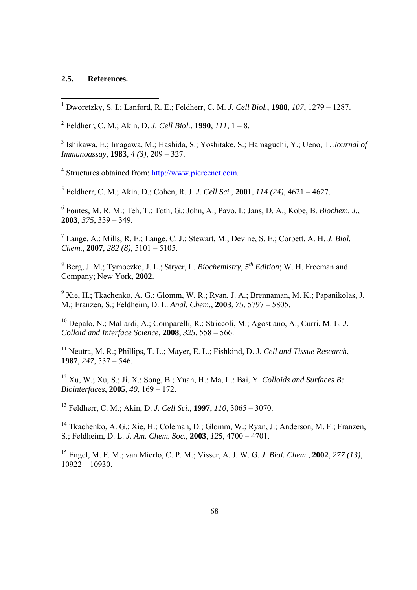# **2.5. References.**

1 Dworetzky, S. I.; Lanford, R. E.; Feldherr, C. M. *J. Cell Biol.*, **1988**, *107*, 1279 – 1287.

2 Feldherr, C. M.; Akin, D. *J. Cell Biol.*, **1990**, *111*, 1 – 8.

3 Ishikawa, E.; Imagawa, M.; Hashida, S.; Yoshitake, S.; Hamaguchi, Y.; Ueno, T. *Journal of Immunoassay*, **1983**, *4 (3)*, 209 – 327.

<sup>4</sup> Structures obtained from: http://www.piercenet.com.

5 Feldherr, C. M.; Akin, D.; Cohen, R. J. *J. Cell Sci.*, **2001**, *114 (24)*, 4621 – 4627.

6 Fontes, M. R. M.; Teh, T.; Toth, G.; John, A.; Pavo, I.; Jans, D. A.; Kobe, B. *Biochem. J.*, **2003**, *375*, 339 – 349.

7 Lange, A.; Mills, R. E.; Lange, C. J.; Stewart, M.; Devine, S. E.; Corbett, A. H. *J. Biol. Chem.*, **2007**, *282 (8)*, 5101 – 5105.

8 Berg, J. M.; Tymoczko, J. L.; Stryer, L. *Biochemistry, 5th Edition*; W. H. Freeman and Company; New York, **2002**.

<sup>9</sup> Xie, H.; Tkachenko, A. G.; Glomm, W. R.; Ryan, J. A.; Brennaman, M. K.; Papanikolas, J. M.; Franzen, S.; Feldheim, D. L. *Anal. Chem.*, **2003**, *75*, 5797 – 5805.

10 Depalo, N.; Mallardi, A.; Comparelli, R.; Striccoli, M.; Agostiano, A.; Curri, M. L. *J. Colloid and Interface Science*, **2008**, *325*, 558 – 566.

11 Neutra, M. R.; Phillips, T. L.; Mayer, E. L.; Fishkind, D. J. *Cell and Tissue Research*, **1987**, *247*, 537 – 546.

12 Xu, W.; Xu, S.; Ji, X.; Song, B.; Yuan, H.; Ma, L.; Bai, Y. *Colloids and Surfaces B: Biointerfaces*, **2005**, *40*, 169 – 172.

13 Feldherr, C. M.; Akin, D. *J. Cell Sci.*, **1997**, *110*, 3065 – 3070.

14 Tkachenko, A. G.; Xie, H.; Coleman, D.; Glomm, W.; Ryan, J.; Anderson, M. F.; Franzen, S.; Feldheim, D. L. *J. Am. Chem. Soc.*, **2003**, *125*, 4700 – 4701.

15 Engel, M. F. M.; van Mierlo, C. P. M.; Visser, A. J. W. G. *J. Biol. Chem.*, **2002**, *277 (13)*, 10922 – 10930.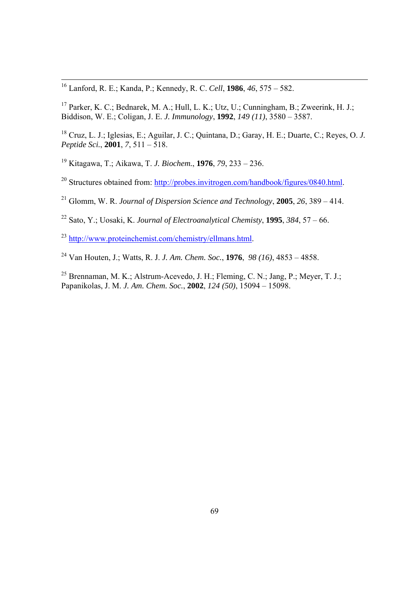16 Lanford, R. E.; Kanda, P.; Kennedy, R. C. *Cell*, **1986**, *46*, 575 – 582.

17 Parker, K. C.; Bednarek, M. A.; Hull, L. K.; Utz, U.; Cunningham, B.; Zweerink, H. J.; Biddison, W. E.; Coligan, J. E. *J. Immunology*, **1992**, *149 (11)*, 3580 – 3587.

18 Cruz, L. J.; Iglesias, E.; Aguilar, J. C.; Quintana, D.; Garay, H. E.; Duarte, C.; Reyes, O. *J. Peptide Sci.*, **2001**, *7*, 511 – 518.

19 Kitagawa, T.; Aikawa, T. *J. Biochem.*, **1976**, *79*, 233 – 236.

<sup>20</sup> Structures obtained from: http://probes.invitrogen.com/handbook/figures/0840.html.

21 Glomm, W. R. *Journal of Dispersion Science and Technology*, **2005**, *26*, 389 – 414.

22 Sato, Y.; Uosaki, K. *Journal of Electroanalytical Chemisty*, **1995**, *384*, 57 – 66.

<sup>23</sup> http://www.proteinchemist.com/chemistry/ellmans.html.

24 Van Houten, J.; Watts, R. J. *J. Am. Chem. Soc.*, **1976**, *98 (16)*, 4853 – 4858.

25 Brennaman, M. K.; Alstrum-Acevedo, J. H.; Fleming, C. N.; Jang, P.; Meyer, T. J.; Papanikolas, J. M. *J. Am. Chem. Soc.*, **2002**, *124 (50)*, 15094 – 15098.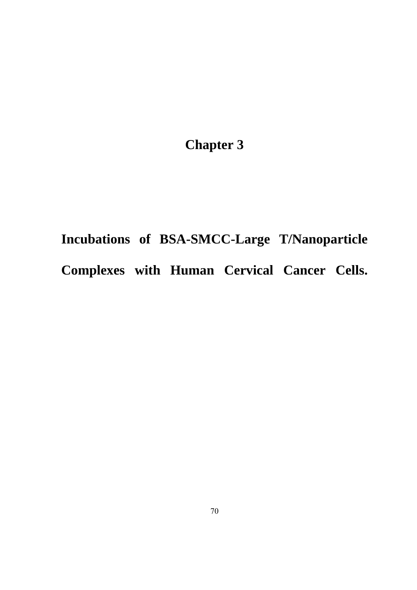**Chapter 3** 

**Incubations of BSA-SMCC-Large T/Nanoparticle Complexes with Human Cervical Cancer Cells.**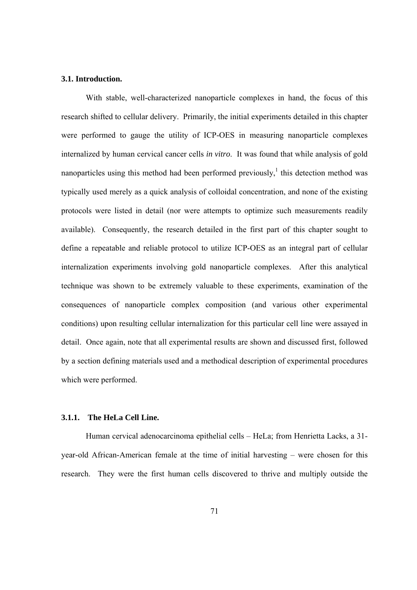#### **3.1. Introduction.**

With stable, well-characterized nanoparticle complexes in hand, the focus of this research shifted to cellular delivery. Primarily, the initial experiments detailed in this chapter were performed to gauge the utility of ICP-OES in measuring nanoparticle complexes internalized by human cervical cancer cells *in vitro*. It was found that while analysis of gold nanoparticles using this method had been performed previously,<sup>1</sup> this detection method was typically used merely as a quick analysis of colloidal concentration, and none of the existing protocols were listed in detail (nor were attempts to optimize such measurements readily available). Consequently, the research detailed in the first part of this chapter sought to define a repeatable and reliable protocol to utilize ICP-OES as an integral part of cellular internalization experiments involving gold nanoparticle complexes. After this analytical technique was shown to be extremely valuable to these experiments, examination of the consequences of nanoparticle complex composition (and various other experimental conditions) upon resulting cellular internalization for this particular cell line were assayed in detail. Once again, note that all experimental results are shown and discussed first, followed by a section defining materials used and a methodical description of experimental procedures which were performed.

# **3.1.1. The HeLa Cell Line.**

 Human cervical adenocarcinoma epithelial cells – HeLa; from Henrietta Lacks, a 31 year-old African-American female at the time of initial harvesting – were chosen for this research. They were the first human cells discovered to thrive and multiply outside the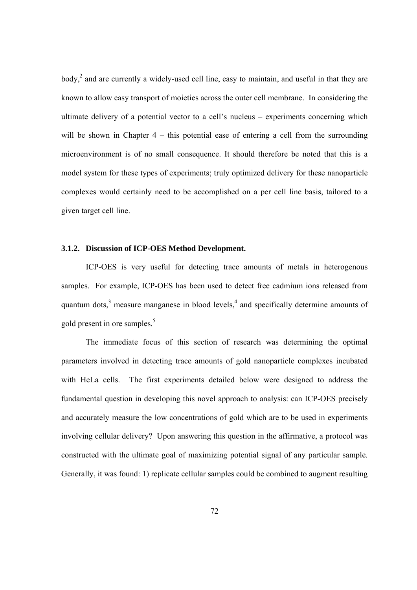body,<sup>2</sup> and are currently a widely-used cell line, easy to maintain, and useful in that they are known to allow easy transport of moieties across the outer cell membrane. In considering the ultimate delivery of a potential vector to a cell's nucleus – experiments concerning which will be shown in Chapter 4 – this potential ease of entering a cell from the surrounding microenvironment is of no small consequence. It should therefore be noted that this is a model system for these types of experiments; truly optimized delivery for these nanoparticle complexes would certainly need to be accomplished on a per cell line basis, tailored to a given target cell line.

#### **3.1.2. Discussion of ICP-OES Method Development.**

 ICP-OES is very useful for detecting trace amounts of metals in heterogenous samples. For example, ICP-OES has been used to detect free cadmium ions released from quantum dots, $3$  measure manganese in blood levels, $4$  and specifically determine amounts of gold present in ore samples.<sup>5</sup>

 The immediate focus of this section of research was determining the optimal parameters involved in detecting trace amounts of gold nanoparticle complexes incubated with HeLa cells. The first experiments detailed below were designed to address the fundamental question in developing this novel approach to analysis: can ICP-OES precisely and accurately measure the low concentrations of gold which are to be used in experiments involving cellular delivery? Upon answering this question in the affirmative, a protocol was constructed with the ultimate goal of maximizing potential signal of any particular sample. Generally, it was found: 1) replicate cellular samples could be combined to augment resulting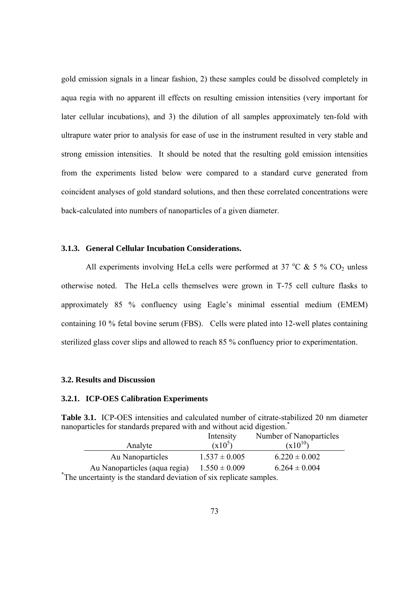gold emission signals in a linear fashion, 2) these samples could be dissolved completely in aqua regia with no apparent ill effects on resulting emission intensities (very important for later cellular incubations), and 3) the dilution of all samples approximately ten-fold with ultrapure water prior to analysis for ease of use in the instrument resulted in very stable and strong emission intensities. It should be noted that the resulting gold emission intensities from the experiments listed below were compared to a standard curve generated from coincident analyses of gold standard solutions, and then these correlated concentrations were back-calculated into numbers of nanoparticles of a given diameter.

### **3.1.3. General Cellular Incubation Considerations.**

All experiments involving HeLa cells were performed at 37  $^{\circ}$ C & 5 % CO<sub>2</sub> unless otherwise noted. The HeLa cells themselves were grown in T-75 cell culture flasks to approximately 85 % confluency using Eagle's minimal essential medium (EMEM) containing 10 % fetal bovine serum (FBS). Cells were plated into 12-well plates containing sterilized glass cover slips and allowed to reach 85 % confluency prior to experimentation.

#### **3.2. Results and Discussion**

#### **3.2.1. ICP-OES Calibration Experiments**

**Table 3.1.** ICP-OES intensities and calculated number of citrate-stabilized 20 nm diameter nanoparticles for standards prepared with and without acid digestion.\*

|                                                                      | Intensity         | Number of Nanoparticles |  |
|----------------------------------------------------------------------|-------------------|-------------------------|--|
| Analyte                                                              | $(x10^5)$         | $(x10^{10})$            |  |
| Au Nanoparticles                                                     | $1.537 \pm 0.005$ | $6.220 \pm 0.002$       |  |
| Au Nanoparticles (aqua regia)                                        | $1.550 \pm 0.009$ | $6.264 \pm 0.004$       |  |
| *The uncertainty is the standard deviation of six replicate samples. |                   |                         |  |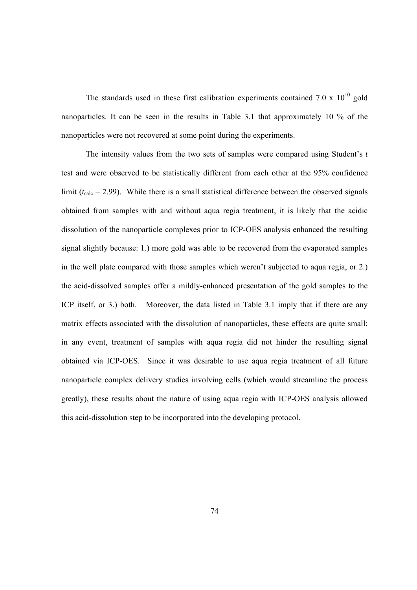The standards used in these first calibration experiments contained 7.0 x  $10^{10}$  gold nanoparticles. It can be seen in the results in Table 3.1 that approximately 10 % of the nanoparticles were not recovered at some point during the experiments.

The intensity values from the two sets of samples were compared using Student's *t*  test and were observed to be statistically different from each other at the 95% confidence limit ( $t_{\text{calc}}$  = 2.99). While there is a small statistical difference between the observed signals obtained from samples with and without aqua regia treatment, it is likely that the acidic dissolution of the nanoparticle complexes prior to ICP-OES analysis enhanced the resulting signal slightly because: 1.) more gold was able to be recovered from the evaporated samples in the well plate compared with those samples which weren't subjected to aqua regia, or 2.) the acid-dissolved samples offer a mildly-enhanced presentation of the gold samples to the ICP itself, or 3.) both. Moreover, the data listed in Table 3.1 imply that if there are any matrix effects associated with the dissolution of nanoparticles, these effects are quite small; in any event, treatment of samples with aqua regia did not hinder the resulting signal obtained via ICP-OES. Since it was desirable to use aqua regia treatment of all future nanoparticle complex delivery studies involving cells (which would streamline the process greatly), these results about the nature of using aqua regia with ICP-OES analysis allowed this acid-dissolution step to be incorporated into the developing protocol.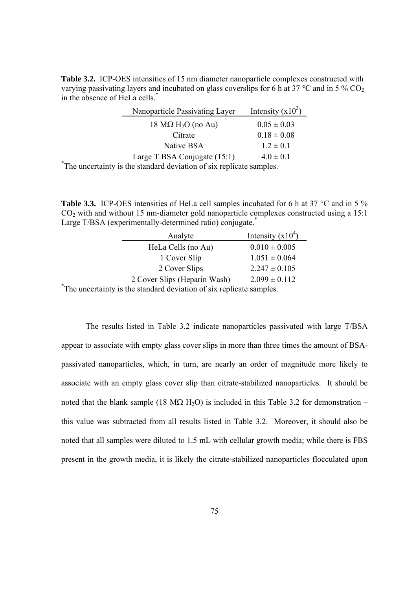**Table 3.2.** ICP-OES intensities of 15 nm diameter nanoparticle complexes constructed with varying passivating layers and incubated on glass coverslips for 6 h at 37 °C and in 5 %  $CO<sub>2</sub>$ in the absence of HeLa cells.\*

| Nanoparticle Passivating Layer                                                   | Intensity $(x10^3)$ |  |
|----------------------------------------------------------------------------------|---------------------|--|
| 18 $M\Omega$ H <sub>2</sub> O (no Au)                                            | $0.05 \pm 0.03$     |  |
| Citrate                                                                          | $0.18 \pm 0.08$     |  |
| Native BSA                                                                       | $1.2 \pm 0.1$       |  |
| Large T:BSA Conjugate (15:1)                                                     | $4.0 \pm 0.1$       |  |
| <sup>*</sup> The uncertainty is the standard deviation of six replicate samples. |                     |  |

Table 3.3. ICP-OES intensities of HeLa cell samples incubated for 6 h at 37 °C and in 5 % CO2 with and without 15 nm-diameter gold nanoparticle complexes constructed using a 15:1 Large T/BSA (experimentally-determined ratio) conjugate.<sup>\*</sup>

| Analyte                                                              | Intensity $(x10^4)$ |
|----------------------------------------------------------------------|---------------------|
| HeLa Cells (no Au)                                                   | $0.010 \pm 0.005$   |
| 1 Cover Slip                                                         | $1.051 \pm 0.064$   |
| 2 Cover Slips                                                        | $2.247 \pm 0.105$   |
| 2 Cover Slips (Heparin Wash)                                         | $2.099 \pm 0.112$   |
| *The uncertainty is the standard deviation of six replicate samples. |                     |

 The results listed in Table 3.2 indicate nanoparticles passivated with large T/BSA appear to associate with empty glass cover slips in more than three times the amount of BSApassivated nanoparticles, which, in turn, are nearly an order of magnitude more likely to associate with an empty glass cover slip than citrate-stabilized nanoparticles. It should be noted that the blank sample (18 M $\Omega$  H<sub>2</sub>O) is included in this Table 3.2 for demonstration – this value was subtracted from all results listed in Table 3.2. Moreover, it should also be noted that all samples were diluted to 1.5 mL with cellular growth media; while there is FBS present in the growth media, it is likely the citrate-stabilized nanoparticles flocculated upon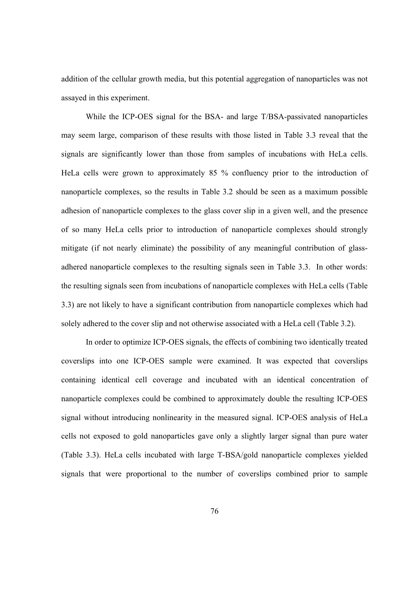addition of the cellular growth media, but this potential aggregation of nanoparticles was not assayed in this experiment.

While the ICP-OES signal for the BSA- and large T/BSA-passivated nanoparticles may seem large, comparison of these results with those listed in Table 3.3 reveal that the signals are significantly lower than those from samples of incubations with HeLa cells. HeLa cells were grown to approximately 85 % confluency prior to the introduction of nanoparticle complexes, so the results in Table 3.2 should be seen as a maximum possible adhesion of nanoparticle complexes to the glass cover slip in a given well, and the presence of so many HeLa cells prior to introduction of nanoparticle complexes should strongly mitigate (if not nearly eliminate) the possibility of any meaningful contribution of glassadhered nanoparticle complexes to the resulting signals seen in Table 3.3. In other words: the resulting signals seen from incubations of nanoparticle complexes with HeLa cells (Table 3.3) are not likely to have a significant contribution from nanoparticle complexes which had solely adhered to the cover slip and not otherwise associated with a HeLa cell (Table 3.2).

In order to optimize ICP-OES signals, the effects of combining two identically treated coverslips into one ICP-OES sample were examined. It was expected that coverslips containing identical cell coverage and incubated with an identical concentration of nanoparticle complexes could be combined to approximately double the resulting ICP-OES signal without introducing nonlinearity in the measured signal. ICP-OES analysis of HeLa cells not exposed to gold nanoparticles gave only a slightly larger signal than pure water (Table 3.3). HeLa cells incubated with large T-BSA/gold nanoparticle complexes yielded signals that were proportional to the number of coverslips combined prior to sample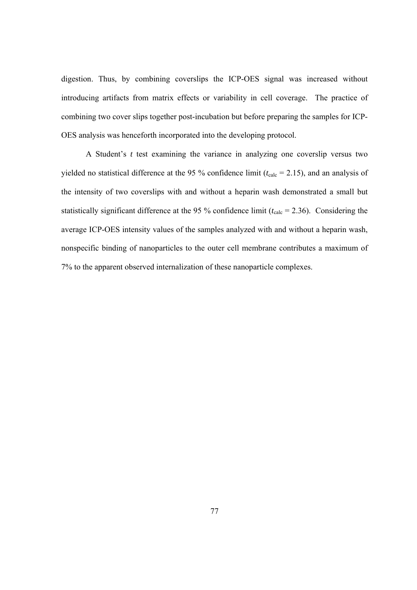digestion. Thus, by combining coverslips the ICP-OES signal was increased without introducing artifacts from matrix effects or variability in cell coverage. The practice of combining two cover slips together post-incubation but before preparing the samples for ICP-OES analysis was henceforth incorporated into the developing protocol.

A Student's *t* test examining the variance in analyzing one coverslip versus two yielded no statistical difference at the 95 % confidence limit ( $t_{\text{calc}}$  = 2.15), and an analysis of the intensity of two coverslips with and without a heparin wash demonstrated a small but statistically significant difference at the 95 % confidence limit  $(t_{\text{calc}} = 2.36)$ . Considering the average ICP-OES intensity values of the samples analyzed with and without a heparin wash, nonspecific binding of nanoparticles to the outer cell membrane contributes a maximum of 7% to the apparent observed internalization of these nanoparticle complexes.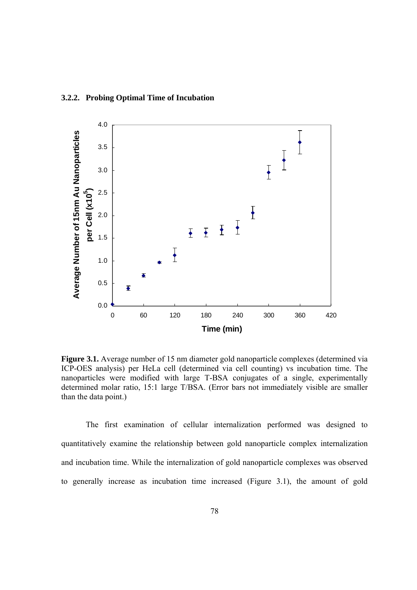

**Figure 3.1.** Average number of 15 nm diameter gold nanoparticle complexes (determined via ICP-OES analysis) per HeLa cell (determined via cell counting) vs incubation time. The nanoparticles were modified with large T-BSA conjugates of a single, experimentally determined molar ratio, 15:1 large T/BSA. (Error bars not immediately visible are smaller than the data point.)

The first examination of cellular internalization performed was designed to quantitatively examine the relationship between gold nanoparticle complex internalization and incubation time. While the internalization of gold nanoparticle complexes was observed to generally increase as incubation time increased (Figure 3.1), the amount of gold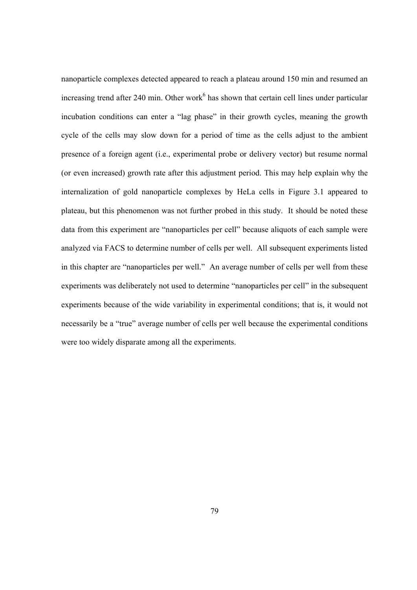nanoparticle complexes detected appeared to reach a plateau around 150 min and resumed an increasing trend after 240 min. Other work<sup>6</sup> has shown that certain cell lines under particular incubation conditions can enter a "lag phase" in their growth cycles, meaning the growth cycle of the cells may slow down for a period of time as the cells adjust to the ambient presence of a foreign agent (i.e., experimental probe or delivery vector) but resume normal (or even increased) growth rate after this adjustment period. This may help explain why the internalization of gold nanoparticle complexes by HeLa cells in Figure 3.1 appeared to plateau, but this phenomenon was not further probed in this study. It should be noted these data from this experiment are "nanoparticles per cell" because aliquots of each sample were analyzed via FACS to determine number of cells per well. All subsequent experiments listed in this chapter are "nanoparticles per well." An average number of cells per well from these experiments was deliberately not used to determine "nanoparticles per cell" in the subsequent experiments because of the wide variability in experimental conditions; that is, it would not necessarily be a "true" average number of cells per well because the experimental conditions were too widely disparate among all the experiments.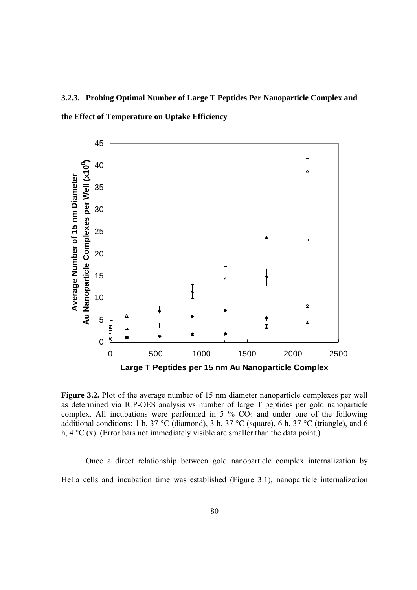# **3.2.3. Probing Optimal Number of Large T Peptides Per Nanoparticle Complex and the Effect of Temperature on Uptake Efficiency**



**Figure 3.2.** Plot of the average number of 15 nm diameter nanoparticle complexes per well as determined via ICP-OES analysis vs number of large T peptides per gold nanoparticle complex. All incubations were performed in 5  $\%$  CO<sub>2</sub> and under one of the following additional conditions: 1 h, 37 °C (diamond), 3 h, 37 °C (square), 6 h, 37 °C (triangle), and 6 h,  $4 \,^{\circ}\text{C}$  (x). (Error bars not immediately visible are smaller than the data point.)

Once a direct relationship between gold nanoparticle complex internalization by HeLa cells and incubation time was established (Figure 3.1), nanoparticle internalization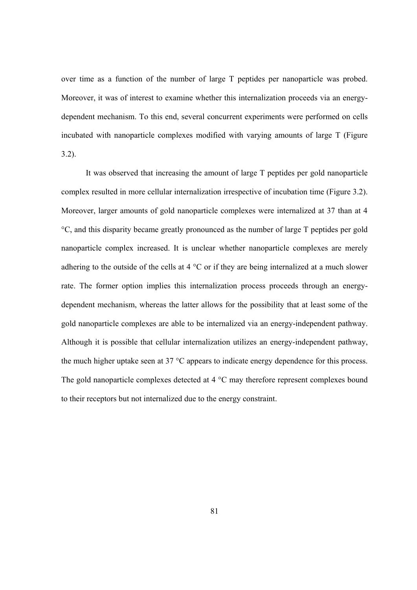over time as a function of the number of large T peptides per nanoparticle was probed. Moreover, it was of interest to examine whether this internalization proceeds via an energydependent mechanism. To this end, several concurrent experiments were performed on cells incubated with nanoparticle complexes modified with varying amounts of large T (Figure 3.2).

It was observed that increasing the amount of large T peptides per gold nanoparticle complex resulted in more cellular internalization irrespective of incubation time (Figure 3.2). Moreover, larger amounts of gold nanoparticle complexes were internalized at 37 than at 4 °C, and this disparity became greatly pronounced as the number of large T peptides per gold nanoparticle complex increased. It is unclear whether nanoparticle complexes are merely adhering to the outside of the cells at 4 °C or if they are being internalized at a much slower rate. The former option implies this internalization process proceeds through an energydependent mechanism, whereas the latter allows for the possibility that at least some of the gold nanoparticle complexes are able to be internalized via an energy-independent pathway. Although it is possible that cellular internalization utilizes an energy-independent pathway, the much higher uptake seen at 37 °C appears to indicate energy dependence for this process. The gold nanoparticle complexes detected at 4 °C may therefore represent complexes bound to their receptors but not internalized due to the energy constraint.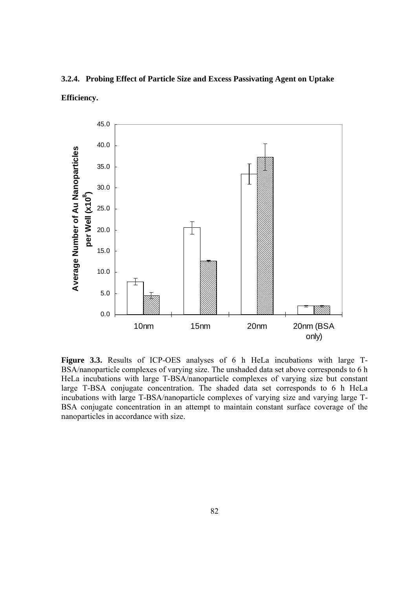



**Figure 3.3.** Results of ICP-OES analyses of 6 h HeLa incubations with large T-BSA/nanoparticle complexes of varying size. The unshaded data set above corresponds to 6 h HeLa incubations with large T-BSA/nanoparticle complexes of varying size but constant large T-BSA conjugate concentration. The shaded data set corresponds to 6 h HeLa incubations with large T-BSA/nanoparticle complexes of varying size and varying large T-BSA conjugate concentration in an attempt to maintain constant surface coverage of the nanoparticles in accordance with size.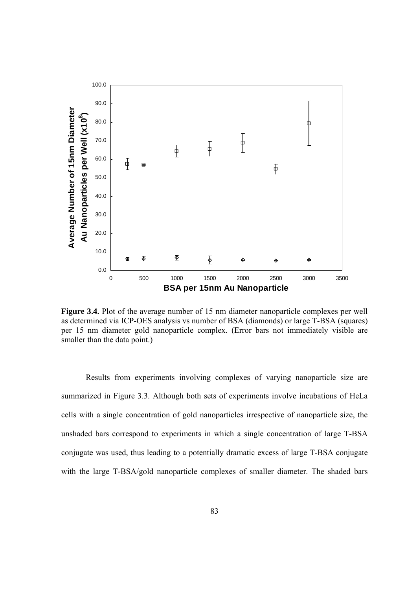

Figure 3.4. Plot of the average number of 15 nm diameter nanoparticle complexes per well as determined via ICP-OES analysis vs number of BSA (diamonds) or large T-BSA (squares) per 15 nm diameter gold nanoparticle complex. (Error bars not immediately visible are smaller than the data point.)

Results from experiments involving complexes of varying nanoparticle size are summarized in Figure 3.3. Although both sets of experiments involve incubations of HeLa cells with a single concentration of gold nanoparticles irrespective of nanoparticle size, the unshaded bars correspond to experiments in which a single concentration of large T-BSA conjugate was used, thus leading to a potentially dramatic excess of large T-BSA conjugate with the large T-BSA/gold nanoparticle complexes of smaller diameter. The shaded bars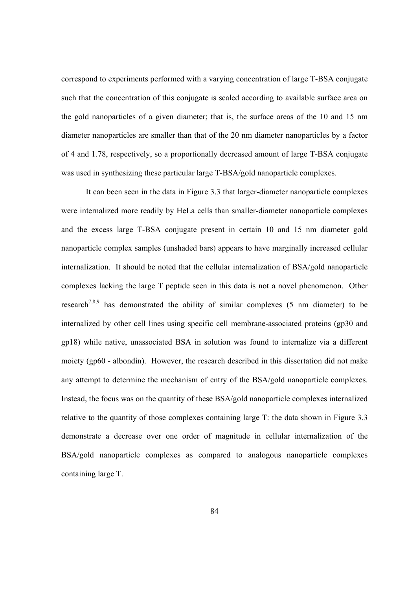correspond to experiments performed with a varying concentration of large T-BSA conjugate such that the concentration of this conjugate is scaled according to available surface area on the gold nanoparticles of a given diameter; that is, the surface areas of the 10 and 15 nm diameter nanoparticles are smaller than that of the 20 nm diameter nanoparticles by a factor of 4 and 1.78, respectively, so a proportionally decreased amount of large T-BSA conjugate was used in synthesizing these particular large T-BSA/gold nanoparticle complexes.

It can been seen in the data in Figure 3.3 that larger-diameter nanoparticle complexes were internalized more readily by HeLa cells than smaller-diameter nanoparticle complexes and the excess large T-BSA conjugate present in certain 10 and 15 nm diameter gold nanoparticle complex samples (unshaded bars) appears to have marginally increased cellular internalization. It should be noted that the cellular internalization of BSA/gold nanoparticle complexes lacking the large T peptide seen in this data is not a novel phenomenon. Other research<sup>7,8,9</sup> has demonstrated the ability of similar complexes (5 nm diameter) to be internalized by other cell lines using specific cell membrane-associated proteins (gp30 and gp18) while native, unassociated BSA in solution was found to internalize via a different moiety (gp60 - albondin). However, the research described in this dissertation did not make any attempt to determine the mechanism of entry of the BSA/gold nanoparticle complexes. Instead, the focus was on the quantity of these BSA/gold nanoparticle complexes internalized relative to the quantity of those complexes containing large T: the data shown in Figure 3.3 demonstrate a decrease over one order of magnitude in cellular internalization of the BSA/gold nanoparticle complexes as compared to analogous nanoparticle complexes containing large T.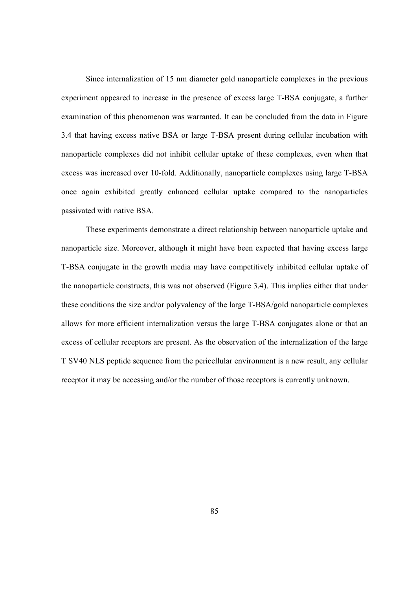Since internalization of 15 nm diameter gold nanoparticle complexes in the previous experiment appeared to increase in the presence of excess large T-BSA conjugate, a further examination of this phenomenon was warranted. It can be concluded from the data in Figure 3.4 that having excess native BSA or large T-BSA present during cellular incubation with nanoparticle complexes did not inhibit cellular uptake of these complexes, even when that excess was increased over 10-fold. Additionally, nanoparticle complexes using large T-BSA once again exhibited greatly enhanced cellular uptake compared to the nanoparticles passivated with native BSA.

These experiments demonstrate a direct relationship between nanoparticle uptake and nanoparticle size. Moreover, although it might have been expected that having excess large T-BSA conjugate in the growth media may have competitively inhibited cellular uptake of the nanoparticle constructs, this was not observed (Figure 3.4). This implies either that under these conditions the size and/or polyvalency of the large T-BSA/gold nanoparticle complexes allows for more efficient internalization versus the large T-BSA conjugates alone or that an excess of cellular receptors are present. As the observation of the internalization of the large T SV40 NLS peptide sequence from the pericellular environment is a new result, any cellular receptor it may be accessing and/or the number of those receptors is currently unknown.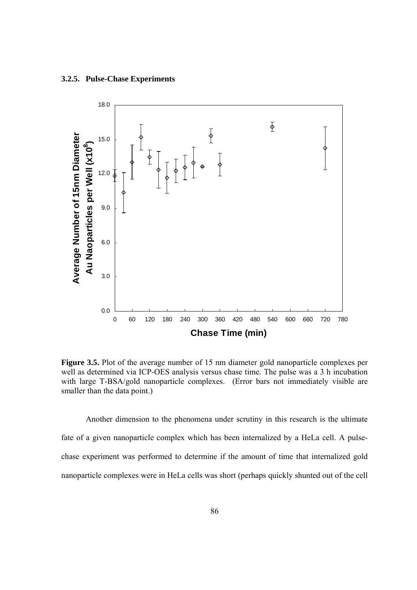#### **3.2.5. Pulse-Chase Experiments**



**Figure 3.5.** Plot of the average number of 15 nm diameter gold nanoparticle complexes per well as determined via ICP-OES analysis versus chase time. The pulse was a 3 h incubation with large T-BSA/gold nanoparticle complexes. (Error bars not immediately visible are smaller than the data point.)

Another dimension to the phenomena under scrutiny in this research is the ultimate fate of a given nanoparticle complex which has been internalized by a HeLa cell. A pulsechase experiment was performed to determine if the amount of time that internalized gold nanoparticle complexes were in HeLa cells was short (perhaps quickly shunted out of the cell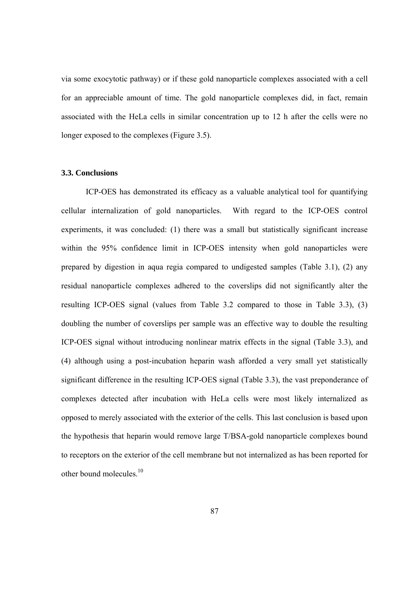via some exocytotic pathway) or if these gold nanoparticle complexes associated with a cell for an appreciable amount of time. The gold nanoparticle complexes did, in fact, remain associated with the HeLa cells in similar concentration up to 12 h after the cells were no longer exposed to the complexes (Figure 3.5).

## **3.3. Conclusions**

ICP-OES has demonstrated its efficacy as a valuable analytical tool for quantifying cellular internalization of gold nanoparticles. With regard to the ICP-OES control experiments, it was concluded: (1) there was a small but statistically significant increase within the 95% confidence limit in ICP-OES intensity when gold nanoparticles were prepared by digestion in aqua regia compared to undigested samples (Table 3.1), (2) any residual nanoparticle complexes adhered to the coverslips did not significantly alter the resulting ICP-OES signal (values from Table 3.2 compared to those in Table 3.3), (3) doubling the number of coverslips per sample was an effective way to double the resulting ICP-OES signal without introducing nonlinear matrix effects in the signal (Table 3.3), and (4) although using a post-incubation heparin wash afforded a very small yet statistically significant difference in the resulting ICP-OES signal (Table 3.3), the vast preponderance of complexes detected after incubation with HeLa cells were most likely internalized as opposed to merely associated with the exterior of the cells. This last conclusion is based upon the hypothesis that heparin would remove large T/BSA-gold nanoparticle complexes bound to receptors on the exterior of the cell membrane but not internalized as has been reported for other bound molecules.10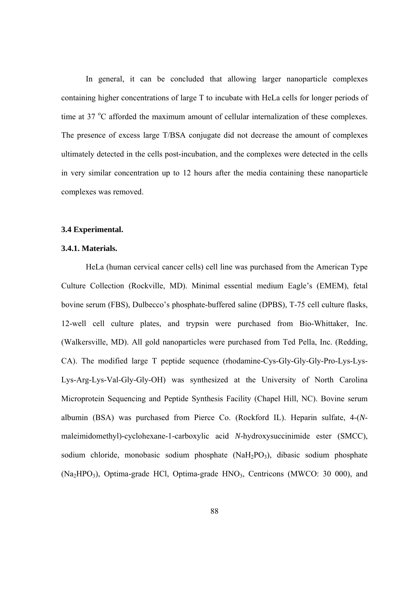In general, it can be concluded that allowing larger nanoparticle complexes containing higher concentrations of large T to incubate with HeLa cells for longer periods of time at 37 °C afforded the maximum amount of cellular internalization of these complexes. The presence of excess large T/BSA conjugate did not decrease the amount of complexes ultimately detected in the cells post-incubation, and the complexes were detected in the cells in very similar concentration up to 12 hours after the media containing these nanoparticle complexes was removed.

#### **3.4 Experimental.**

#### **3.4.1. Materials.**

HeLa (human cervical cancer cells) cell line was purchased from the American Type Culture Collection (Rockville, MD). Minimal essential medium Eagle's (EMEM), fetal bovine serum (FBS), Dulbecco's phosphate-buffered saline (DPBS), T-75 cell culture flasks, 12-well cell culture plates, and trypsin were purchased from Bio-Whittaker, Inc. (Walkersville, MD). All gold nanoparticles were purchased from Ted Pella, Inc. (Redding, CA). The modified large T peptide sequence (rhodamine-Cys-Gly-Gly-Gly-Pro-Lys-Lys-Lys-Arg-Lys-Val-Gly-Gly-OH) was synthesized at the University of North Carolina Microprotein Sequencing and Peptide Synthesis Facility (Chapel Hill, NC). Bovine serum albumin (BSA) was purchased from Pierce Co. (Rockford IL). Heparin sulfate, 4-(*N*maleimidomethyl)-cyclohexane-1-carboxylic acid *N*-hydroxysuccinimide ester (SMCC), sodium chloride, monobasic sodium phosphate (NaH<sub>2</sub>PO<sub>3</sub>), dibasic sodium phosphate  $(Na_2HPO_3)$ , Optima-grade HCl, Optima-grade HNO<sub>3</sub>, Centricons (MWCO: 30 000), and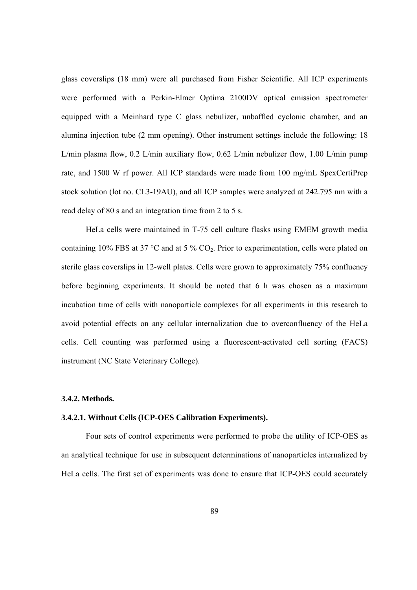glass coverslips (18 mm) were all purchased from Fisher Scientific. All ICP experiments were performed with a Perkin-Elmer Optima 2100DV optical emission spectrometer equipped with a Meinhard type C glass nebulizer, unbaffled cyclonic chamber, and an alumina injection tube (2 mm opening). Other instrument settings include the following: 18 L/min plasma flow, 0.2 L/min auxiliary flow, 0.62 L/min nebulizer flow, 1.00 L/min pump rate, and 1500 W rf power. All ICP standards were made from 100 mg/mL SpexCertiPrep stock solution (lot no. CL3-19AU), and all ICP samples were analyzed at 242.795 nm with a read delay of 80 s and an integration time from 2 to 5 s.

HeLa cells were maintained in T-75 cell culture flasks using EMEM growth media containing 10% FBS at 37  $\degree$ C and at 5 % CO<sub>2</sub>. Prior to experimentation, cells were plated on sterile glass coverslips in 12-well plates. Cells were grown to approximately 75% confluency before beginning experiments. It should be noted that 6 h was chosen as a maximum incubation time of cells with nanoparticle complexes for all experiments in this research to avoid potential effects on any cellular internalization due to overconfluency of the HeLa cells. Cell counting was performed using a fluorescent-activated cell sorting (FACS) instrument (NC State Veterinary College).

#### **3.4.2. Methods.**

## **3.4.2.1. Without Cells (ICP-OES Calibration Experiments).**

Four sets of control experiments were performed to probe the utility of ICP-OES as an analytical technique for use in subsequent determinations of nanoparticles internalized by HeLa cells. The first set of experiments was done to ensure that ICP-OES could accurately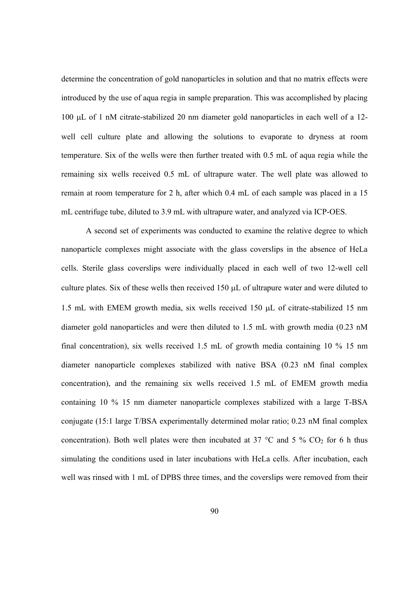determine the concentration of gold nanoparticles in solution and that no matrix effects were introduced by the use of aqua regia in sample preparation. This was accomplished by placing  $100 \mu L$  of 1 nM citrate-stabilized 20 nm diameter gold nanoparticles in each well of a 12well cell culture plate and allowing the solutions to evaporate to dryness at room temperature. Six of the wells were then further treated with 0.5 mL of aqua regia while the remaining six wells received 0.5 mL of ultrapure water. The well plate was allowed to remain at room temperature for 2 h, after which 0.4 mL of each sample was placed in a 15 mL centrifuge tube, diluted to 3.9 mL with ultrapure water, and analyzed via ICP-OES.

A second set of experiments was conducted to examine the relative degree to which nanoparticle complexes might associate with the glass coverslips in the absence of HeLa cells. Sterile glass coverslips were individually placed in each well of two 12-well cell culture plates. Six of these wells then received  $150 \mu L$  of ultrapure water and were diluted to 1.5 mL with EMEM growth media, six wells received  $150 \mu L$  of citrate-stabilized 15 nm diameter gold nanoparticles and were then diluted to 1.5 mL with growth media (0.23 nM final concentration), six wells received 1.5 mL of growth media containing 10 % 15 nm diameter nanoparticle complexes stabilized with native BSA (0.23 nM final complex concentration), and the remaining six wells received 1.5 mL of EMEM growth media containing 10 % 15 nm diameter nanoparticle complexes stabilized with a large T-BSA conjugate (15:1 large T/BSA experimentally determined molar ratio; 0.23 nM final complex concentration). Both well plates were then incubated at 37  $\degree$ C and 5  $\%$  CO<sub>2</sub> for 6 h thus simulating the conditions used in later incubations with HeLa cells. After incubation, each well was rinsed with 1 mL of DPBS three times, and the coverslips were removed from their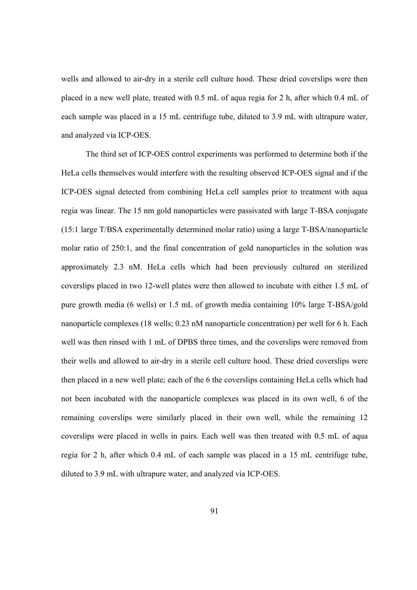wells and allowed to air-dry in a sterile cell culture hood. These dried coverslips were then placed in a new well plate, treated with 0.5 mL of aqua regia for 2 h, after which 0.4 mL of each sample was placed in a 15 mL centrifuge tube, diluted to 3.9 mL with ultrapure water, and analyzed via ICP-OES.

The third set of ICP-OES control experiments was performed to determine both if the HeLa cells themselves would interfere with the resulting observed ICP-OES signal and if the ICP-OES signal detected from combining HeLa cell samples prior to treatment with aqua regia was linear. The 15 nm gold nanoparticles were passivated with large T-BSA conjugate (15:1 large T/BSA experimentally determined molar ratio) using a large T-BSA/nanoparticle molar ratio of 250:1, and the final concentration of gold nanoparticles in the solution was approximately 2.3 nM. HeLa cells which had been previously cultured on sterilized coverslips placed in two 12-well plates were then allowed to incubate with either 1.5 mL of pure growth media (6 wells) or 1.5 mL of growth media containing 10% large T-BSA/gold nanoparticle complexes (18 wells; 0.23 nM nanoparticle concentration) per well for 6 h. Each well was then rinsed with 1 mL of DPBS three times, and the coverslips were removed from their wells and allowed to air-dry in a sterile cell culture hood. These dried coverslips were then placed in a new well plate; each of the 6 the coverslips containing HeLa cells which had not been incubated with the nanoparticle complexes was placed in its own well, 6 of the remaining coverslips were similarly placed in their own well, while the remaining 12 coverslips were placed in wells in pairs. Each well was then treated with 0.5 mL of aqua regia for 2 h, after which 0.4 mL of each sample was placed in a 15 mL centrifuge tube, diluted to 3.9 mL with ultrapure water, and analyzed via ICP-OES.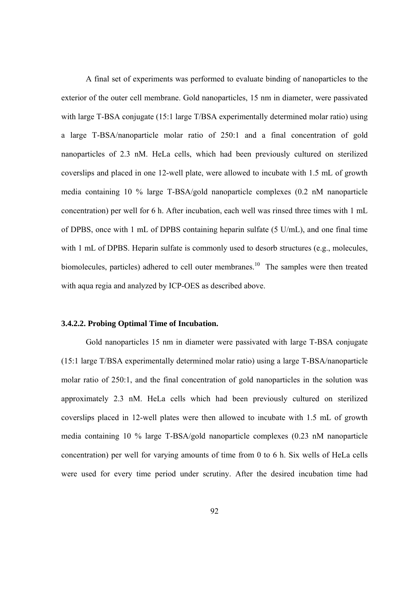A final set of experiments was performed to evaluate binding of nanoparticles to the exterior of the outer cell membrane. Gold nanoparticles, 15 nm in diameter, were passivated with large T-BSA conjugate (15:1 large T/BSA experimentally determined molar ratio) using a large T-BSA/nanoparticle molar ratio of 250:1 and a final concentration of gold nanoparticles of 2.3 nM. HeLa cells, which had been previously cultured on sterilized coverslips and placed in one 12-well plate, were allowed to incubate with 1.5 mL of growth media containing 10 % large T-BSA/gold nanoparticle complexes (0.2 nM nanoparticle concentration) per well for 6 h. After incubation, each well was rinsed three times with 1 mL of DPBS, once with 1 mL of DPBS containing heparin sulfate (5 U/mL), and one final time with 1 mL of DPBS. Heparin sulfate is commonly used to desorb structures (e.g., molecules, biomolecules, particles) adhered to cell outer membranes.<sup>10</sup> The samples were then treated with aqua regia and analyzed by ICP-OES as described above.

## **3.4.2.2. Probing Optimal Time of Incubation.**

Gold nanoparticles 15 nm in diameter were passivated with large T-BSA conjugate (15:1 large T/BSA experimentally determined molar ratio) using a large T-BSA/nanoparticle molar ratio of 250:1, and the final concentration of gold nanoparticles in the solution was approximately 2.3 nM. HeLa cells which had been previously cultured on sterilized coverslips placed in 12-well plates were then allowed to incubate with 1.5 mL of growth media containing 10 % large T-BSA/gold nanoparticle complexes (0.23 nM nanoparticle concentration) per well for varying amounts of time from 0 to 6 h. Six wells of HeLa cells were used for every time period under scrutiny. After the desired incubation time had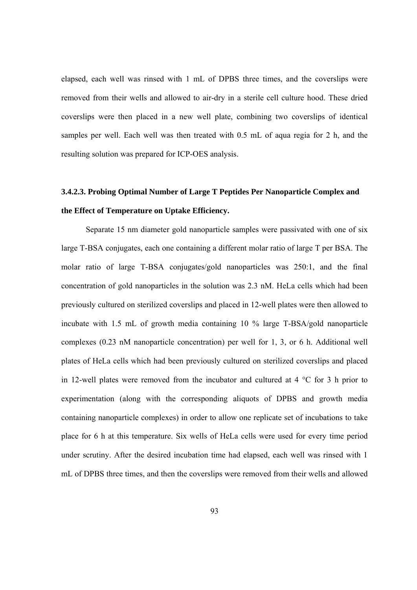elapsed, each well was rinsed with 1 mL of DPBS three times, and the coverslips were removed from their wells and allowed to air-dry in a sterile cell culture hood. These dried coverslips were then placed in a new well plate, combining two coverslips of identical samples per well. Each well was then treated with 0.5 mL of aqua regia for 2 h, and the resulting solution was prepared for ICP-OES analysis.

# **3.4.2.3. Probing Optimal Number of Large T Peptides Per Nanoparticle Complex and the Effect of Temperature on Uptake Efficiency.**

Separate 15 nm diameter gold nanoparticle samples were passivated with one of six large T-BSA conjugates, each one containing a different molar ratio of large T per BSA. The molar ratio of large T-BSA conjugates/gold nanoparticles was 250:1, and the final concentration of gold nanoparticles in the solution was 2.3 nM. HeLa cells which had been previously cultured on sterilized coverslips and placed in 12-well plates were then allowed to incubate with 1.5 mL of growth media containing 10 % large T-BSA/gold nanoparticle complexes (0.23 nM nanoparticle concentration) per well for 1, 3, or 6 h. Additional well plates of HeLa cells which had been previously cultured on sterilized coverslips and placed in 12-well plates were removed from the incubator and cultured at 4 °C for 3 h prior to experimentation (along with the corresponding aliquots of DPBS and growth media containing nanoparticle complexes) in order to allow one replicate set of incubations to take place for 6 h at this temperature. Six wells of HeLa cells were used for every time period under scrutiny. After the desired incubation time had elapsed, each well was rinsed with 1 mL of DPBS three times, and then the coverslips were removed from their wells and allowed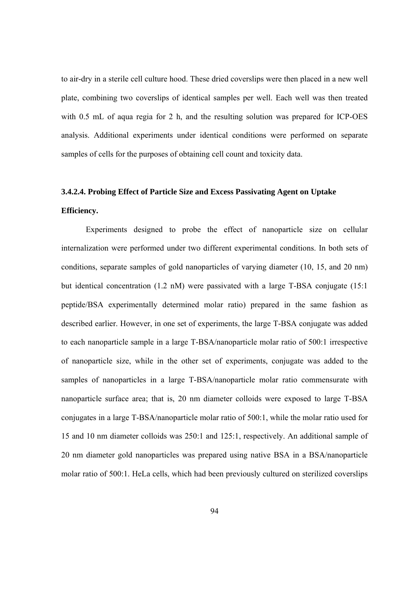to air-dry in a sterile cell culture hood. These dried coverslips were then placed in a new well plate, combining two coverslips of identical samples per well. Each well was then treated with 0.5 mL of aqua regia for 2 h, and the resulting solution was prepared for ICP-OES analysis. Additional experiments under identical conditions were performed on separate samples of cells for the purposes of obtaining cell count and toxicity data.

## **3.4.2.4. Probing Effect of Particle Size and Excess Passivating Agent on Uptake**

## **Efficiency.**

Experiments designed to probe the effect of nanoparticle size on cellular internalization were performed under two different experimental conditions. In both sets of conditions, separate samples of gold nanoparticles of varying diameter (10, 15, and 20 nm) but identical concentration (1.2 nM) were passivated with a large T-BSA conjugate (15:1 peptide/BSA experimentally determined molar ratio) prepared in the same fashion as described earlier. However, in one set of experiments, the large T-BSA conjugate was added to each nanoparticle sample in a large T-BSA/nanoparticle molar ratio of 500:1 irrespective of nanoparticle size, while in the other set of experiments, conjugate was added to the samples of nanoparticles in a large T-BSA/nanoparticle molar ratio commensurate with nanoparticle surface area; that is, 20 nm diameter colloids were exposed to large T-BSA conjugates in a large T-BSA/nanoparticle molar ratio of 500:1, while the molar ratio used for 15 and 10 nm diameter colloids was 250:1 and 125:1, respectively. An additional sample of 20 nm diameter gold nanoparticles was prepared using native BSA in a BSA/nanoparticle molar ratio of 500:1. HeLa cells, which had been previously cultured on sterilized coverslips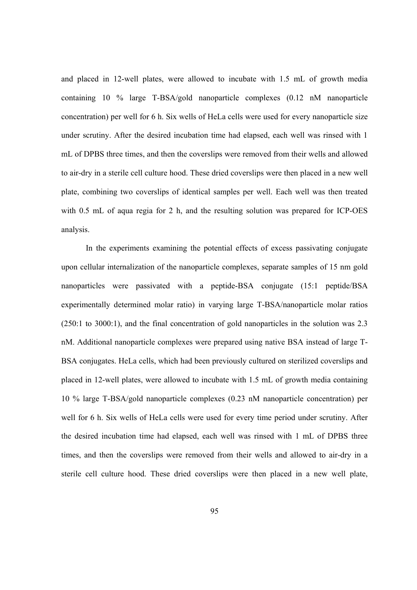and placed in 12-well plates, were allowed to incubate with 1.5 mL of growth media containing 10 % large T-BSA/gold nanoparticle complexes (0.12 nM nanoparticle concentration) per well for 6 h. Six wells of HeLa cells were used for every nanoparticle size under scrutiny. After the desired incubation time had elapsed, each well was rinsed with 1 mL of DPBS three times, and then the coverslips were removed from their wells and allowed to air-dry in a sterile cell culture hood. These dried coverslips were then placed in a new well plate, combining two coverslips of identical samples per well. Each well was then treated with 0.5 mL of aqua regia for 2 h, and the resulting solution was prepared for ICP-OES analysis.

In the experiments examining the potential effects of excess passivating conjugate upon cellular internalization of the nanoparticle complexes, separate samples of 15 nm gold nanoparticles were passivated with a peptide-BSA conjugate (15:1 peptide/BSA experimentally determined molar ratio) in varying large T-BSA/nanoparticle molar ratios (250:1 to 3000:1), and the final concentration of gold nanoparticles in the solution was 2.3 nM. Additional nanoparticle complexes were prepared using native BSA instead of large T-BSA conjugates. HeLa cells, which had been previously cultured on sterilized coverslips and placed in 12-well plates, were allowed to incubate with 1.5 mL of growth media containing 10 % large T-BSA/gold nanoparticle complexes (0.23 nM nanoparticle concentration) per well for 6 h. Six wells of HeLa cells were used for every time period under scrutiny. After the desired incubation time had elapsed, each well was rinsed with 1 mL of DPBS three times, and then the coverslips were removed from their wells and allowed to air-dry in a sterile cell culture hood. These dried coverslips were then placed in a new well plate,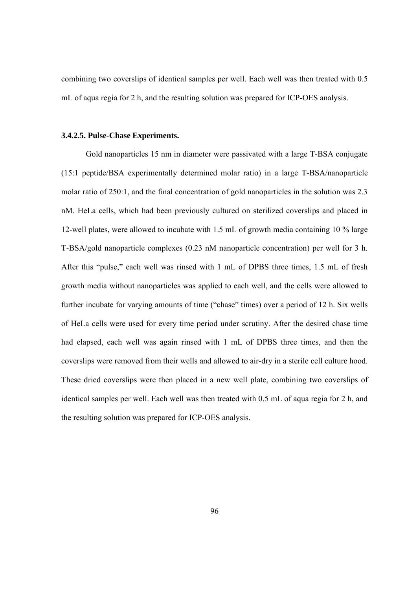combining two coverslips of identical samples per well. Each well was then treated with 0.5 mL of aqua regia for 2 h, and the resulting solution was prepared for ICP-OES analysis.

#### **3.4.2.5. Pulse-Chase Experiments.**

Gold nanoparticles 15 nm in diameter were passivated with a large T-BSA conjugate (15:1 peptide/BSA experimentally determined molar ratio) in a large T-BSA/nanoparticle molar ratio of 250:1, and the final concentration of gold nanoparticles in the solution was 2.3 nM. HeLa cells, which had been previously cultured on sterilized coverslips and placed in 12-well plates, were allowed to incubate with 1.5 mL of growth media containing 10 % large T-BSA/gold nanoparticle complexes (0.23 nM nanoparticle concentration) per well for 3 h. After this "pulse," each well was rinsed with 1 mL of DPBS three times, 1.5 mL of fresh growth media without nanoparticles was applied to each well, and the cells were allowed to further incubate for varying amounts of time ("chase" times) over a period of 12 h. Six wells of HeLa cells were used for every time period under scrutiny. After the desired chase time had elapsed, each well was again rinsed with 1 mL of DPBS three times, and then the coverslips were removed from their wells and allowed to air-dry in a sterile cell culture hood. These dried coverslips were then placed in a new well plate, combining two coverslips of identical samples per well. Each well was then treated with 0.5 mL of aqua regia for 2 h, and the resulting solution was prepared for ICP-OES analysis.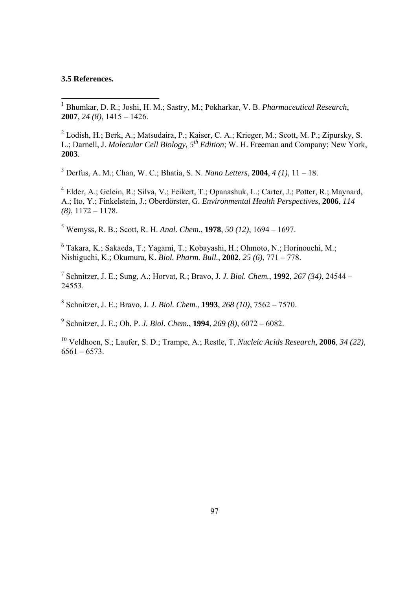#### **3.5 References.**

 1 Bhumkar, D. R.; Joshi, H. M.; Sastry, M.; Pokharkar, V. B. *Pharmaceutical Research*, **2007**, *24 (8)*, 1415 – 1426.

 $2$  Lodish, H.; Berk, A.; Matsudaira, P.; Kaiser, C. A.; Krieger, M.; Scott, M. P.; Zipursky, S. L.; Darnell, J. *Molecular Cell Biology, 5th Edition*; W. H. Freeman and Company; New York, **2003**.

3 Derfus, A. M.; Chan, W. C.; Bhatia, S. N. *Nano Letters*, **2004**, *4 (1)*, 11 – 18.

<sup>4</sup> Elder, A.; Gelein, R.; Silva, V.; Feikert, T.; Opanashuk, L.; Carter, J.; Potter, R.; Maynard, A.; Ito, Y.; Finkelstein, J.; Oberdӧrster, G. *Environmental Health Perspectives*, **2006**, *114 (8)*, 1172 – 1178.

5 Wemyss, R. B.; Scott, R. H. *Anal. Chem.*, **1978**, *50 (12)*, 1694 – 1697.

6 Takara, K.; Sakaeda, T.; Yagami, T.; Kobayashi, H.; Ohmoto, N.; Horinouchi, M.; Nishiguchi, K.; Okumura, K. *Biol. Pharm. Bull.*, **2002**, *25 (6)*, 771 – 778.

7 Schnitzer, J. E.; Sung, A.; Horvat, R.; Bravo, J. *J. Biol. Chem.*, **1992**, *267 (34)*, 24544 – 24553.

8 Schnitzer, J. E.; Bravo, J. *J. Biol. Chem.*, **1993**, *268 (10)*, 7562 – 7570.

9 Schnitzer, J. E.; Oh, P. *J. Biol. Chem.*, **1994**, *269 (8)*, 6072 – 6082.

10 Veldhoen, S.; Laufer, S. D.; Trampe, A.; Restle, T. *Nucleic Acids Research*, **2006**, *34 (22)*,  $6561 - 6573$ .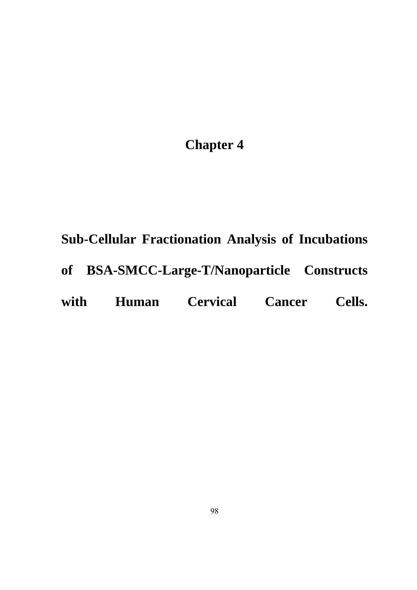# **Chapter 4**

# **Sub-Cellular Fractionation Analysis of Incubations**

**of BSA-SMCC-Large-T/Nanoparticle Constructs** 

# **with Human Cervical Cancer Cells.**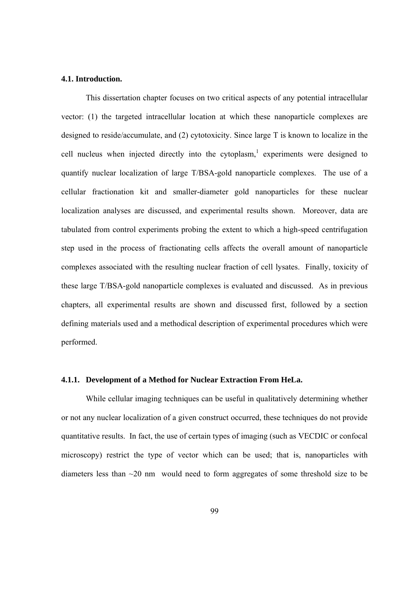#### **4.1. Introduction.**

This dissertation chapter focuses on two critical aspects of any potential intracellular vector: (1) the targeted intracellular location at which these nanoparticle complexes are designed to reside/accumulate, and (2) cytotoxicity. Since large T is known to localize in the cell nucleus when injected directly into the cytoplasm,<sup>1</sup> experiments were designed to quantify nuclear localization of large T/BSA-gold nanoparticle complexes. The use of a cellular fractionation kit and smaller-diameter gold nanoparticles for these nuclear localization analyses are discussed, and experimental results shown. Moreover, data are tabulated from control experiments probing the extent to which a high-speed centrifugation step used in the process of fractionating cells affects the overall amount of nanoparticle complexes associated with the resulting nuclear fraction of cell lysates. Finally, toxicity of these large T/BSA-gold nanoparticle complexes is evaluated and discussed. As in previous chapters, all experimental results are shown and discussed first, followed by a section defining materials used and a methodical description of experimental procedures which were performed.

#### **4.1.1. Development of a Method for Nuclear Extraction From HeLa.**

While cellular imaging techniques can be useful in qualitatively determining whether or not any nuclear localization of a given construct occurred, these techniques do not provide quantitative results. In fact, the use of certain types of imaging (such as VECDIC or confocal microscopy) restrict the type of vector which can be used; that is, nanoparticles with diameters less than ~20 nm would need to form aggregates of some threshold size to be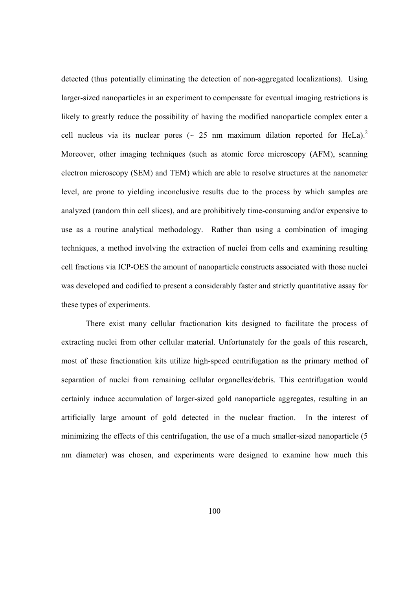detected (thus potentially eliminating the detection of non-aggregated localizations). Using larger-sized nanoparticles in an experiment to compensate for eventual imaging restrictions is likely to greatly reduce the possibility of having the modified nanoparticle complex enter a cell nucleus via its nuclear pores ( $\sim 25$  nm maximum dilation reported for HeLa).<sup>2</sup> Moreover, other imaging techniques (such as atomic force microscopy (AFM), scanning electron microscopy (SEM) and TEM) which are able to resolve structures at the nanometer level, are prone to yielding inconclusive results due to the process by which samples are analyzed (random thin cell slices), and are prohibitively time-consuming and/or expensive to use as a routine analytical methodology. Rather than using a combination of imaging techniques, a method involving the extraction of nuclei from cells and examining resulting cell fractions via ICP-OES the amount of nanoparticle constructs associated with those nuclei was developed and codified to present a considerably faster and strictly quantitative assay for these types of experiments.

There exist many cellular fractionation kits designed to facilitate the process of extracting nuclei from other cellular material. Unfortunately for the goals of this research, most of these fractionation kits utilize high-speed centrifugation as the primary method of separation of nuclei from remaining cellular organelles/debris. This centrifugation would certainly induce accumulation of larger-sized gold nanoparticle aggregates, resulting in an artificially large amount of gold detected in the nuclear fraction. In the interest of minimizing the effects of this centrifugation, the use of a much smaller-sized nanoparticle (5 nm diameter) was chosen, and experiments were designed to examine how much this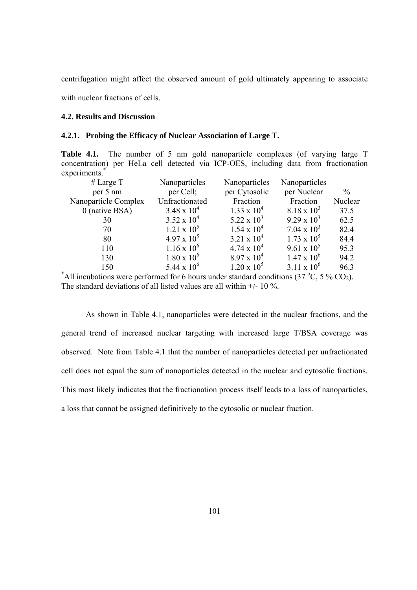centrifugation might affect the observed amount of gold ultimately appearing to associate

with nuclear fractions of cells.

#### **4.2. Results and Discussion**

#### **4.2.1. Probing the Efficacy of Nuclear Association of Large T.**

**Table 4.1.** The number of 5 nm gold nanoparticle complexes (of varying large T) concentration) per HeLa cell detected via ICP-OES, including data from fractionation experiments.<sup>\*</sup>

| # Large $T$                                                                                                   | Nanoparticles        | Nanoparticles      | Nanoparticles        |               |  |  |  |
|---------------------------------------------------------------------------------------------------------------|----------------------|--------------------|----------------------|---------------|--|--|--|
| per 5 nm                                                                                                      | per Cell;            | per Cytosolic      | per Nuclear          | $\frac{0}{0}$ |  |  |  |
| Nanoparticle Complex                                                                                          | Unfractionated       | Fraction           | Fraction             | Nuclear       |  |  |  |
| $0$ (native BSA)                                                                                              | $3.48 \times 10^{4}$ | $1.33 \times 10^4$ | $8.18 \times 10^3$   | 37.5          |  |  |  |
| 30                                                                                                            | $3.52 \times 10^{4}$ | 5.22 x $10^3$      | $9.29 \times 10^3$   | 62.5          |  |  |  |
| 70                                                                                                            | $1.21 \times 10^5$   | $1.54 \times 10^4$ | $7.04 \times 10^3$   | 82.4          |  |  |  |
| 80                                                                                                            | $4.97 \times 10^5$   | $3.21 \times 10^4$ | $1.73 \times 10^5$   | 84.4          |  |  |  |
| 110                                                                                                           | $1.16 \times 10^6$   | $4.74 \times 10^4$ | $9.61 \times 10^5$   | 95.3          |  |  |  |
| 130                                                                                                           | $1.80 \times 10^6$   | $8.97 \times 10^4$ | $1.47 \times 10^6$   | 94.2          |  |  |  |
| 150                                                                                                           | 5.44 x $10^6$        | $1.20 \times 10^5$ | $3.11 \times 10^{6}$ | 96.3          |  |  |  |
| All incubations were performed for 6 hours under standard conditions (37 $^{\circ}$ C, 5 % CO <sub>2</sub> ). |                      |                    |                      |               |  |  |  |

The standard deviations of all listed values are all within +/- 10 %.

As shown in Table 4.1, nanoparticles were detected in the nuclear fractions, and the general trend of increased nuclear targeting with increased large T/BSA coverage was observed. Note from Table 4.1 that the number of nanoparticles detected per unfractionated cell does not equal the sum of nanoparticles detected in the nuclear and cytosolic fractions. This most likely indicates that the fractionation process itself leads to a loss of nanoparticles, a loss that cannot be assigned definitively to the cytosolic or nuclear fraction.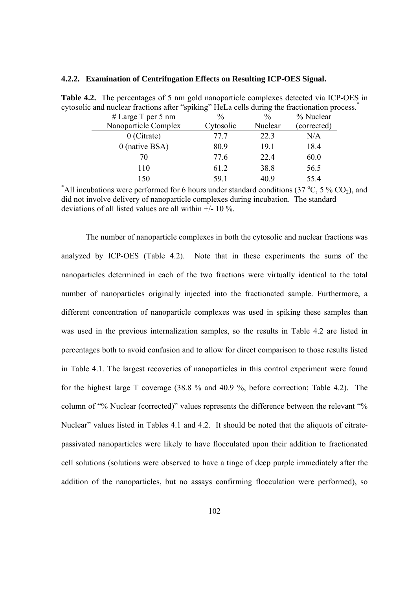#### **4.2.2. Examination of Centrifugation Effects on Resulting ICP-OES Signal.**

| and haviour havinging and spiking stress constanting the having matrix pro- |               |               |             |
|-----------------------------------------------------------------------------|---------------|---------------|-------------|
| # Large T per 5 nm                                                          | $\frac{0}{0}$ | $\frac{0}{0}$ | % Nuclear   |
| Nanoparticle Complex                                                        | Cytosolic     | Nuclear       | (corrected) |
| $0$ (Citrate)                                                               | 77 7          | 22.3          | N/A         |
| $0$ (native BSA)                                                            | 80.9          | 19.1          | 18.4        |
| 70                                                                          | 77.6          | 22.4          | 60.0        |
| 110                                                                         | 61.2          | 38.8          | 56.5        |
| 150                                                                         | 59.1          | 40.9          | 55.4        |

**Table 4.2.** The percentages of 5 nm gold nanoparticle complexes detected via ICP-OES in cytosolic and nuclear fractions after "spiking" HeLa cells during the fractionation process.<sup>\*</sup>

<sup>\*</sup>All incubations were performed for 6 hours under standard conditions (37 °C, 5 % CO<sub>2</sub>), and did not involve delivery of nanoparticle complexes during incubation. The standard deviations of all listed values are all within +/- 10 %.

The number of nanoparticle complexes in both the cytosolic and nuclear fractions was analyzed by ICP-OES (Table 4.2). Note that in these experiments the sums of the nanoparticles determined in each of the two fractions were virtually identical to the total number of nanoparticles originally injected into the fractionated sample. Furthermore, a different concentration of nanoparticle complexes was used in spiking these samples than was used in the previous internalization samples, so the results in Table 4.2 are listed in percentages both to avoid confusion and to allow for direct comparison to those results listed in Table 4.1. The largest recoveries of nanoparticles in this control experiment were found for the highest large T coverage (38.8 % and 40.9 %, before correction; Table 4.2). The column of "% Nuclear (corrected)" values represents the difference between the relevant "% Nuclear" values listed in Tables 4.1 and 4.2. It should be noted that the aliquots of citratepassivated nanoparticles were likely to have flocculated upon their addition to fractionated cell solutions (solutions were observed to have a tinge of deep purple immediately after the addition of the nanoparticles, but no assays confirming flocculation were performed), so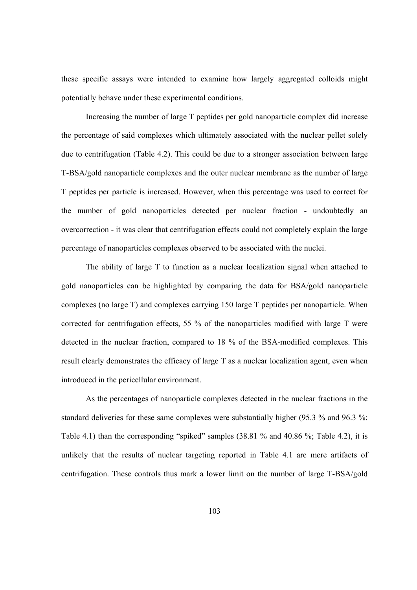these specific assays were intended to examine how largely aggregated colloids might potentially behave under these experimental conditions.

Increasing the number of large T peptides per gold nanoparticle complex did increase the percentage of said complexes which ultimately associated with the nuclear pellet solely due to centrifugation (Table 4.2). This could be due to a stronger association between large T-BSA/gold nanoparticle complexes and the outer nuclear membrane as the number of large T peptides per particle is increased. However, when this percentage was used to correct for the number of gold nanoparticles detected per nuclear fraction - undoubtedly an overcorrection - it was clear that centrifugation effects could not completely explain the large percentage of nanoparticles complexes observed to be associated with the nuclei.

The ability of large T to function as a nuclear localization signal when attached to gold nanoparticles can be highlighted by comparing the data for BSA/gold nanoparticle complexes (no large T) and complexes carrying 150 large T peptides per nanoparticle. When corrected for centrifugation effects, 55 % of the nanoparticles modified with large T were detected in the nuclear fraction, compared to 18 % of the BSA-modified complexes. This result clearly demonstrates the efficacy of large T as a nuclear localization agent, even when introduced in the pericellular environment.

As the percentages of nanoparticle complexes detected in the nuclear fractions in the standard deliveries for these same complexes were substantially higher (95.3 % and 96.3 %; Table 4.1) than the corresponding "spiked" samples (38.81 % and 40.86 %; Table 4.2), it is unlikely that the results of nuclear targeting reported in Table 4.1 are mere artifacts of centrifugation. These controls thus mark a lower limit on the number of large T-BSA/gold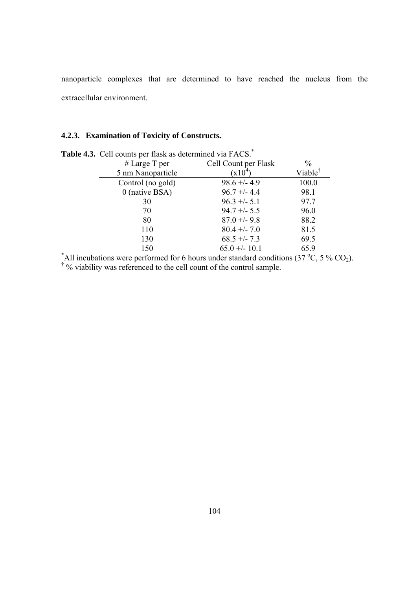nanoparticle complexes that are determined to have reached the nucleus from the extracellular environment.

## **4.2.3. Examination of Toxicity of Constructs.**

| $\ddot{\phantom{a}}$ come per mon as accentance the rice. |                      |                     |  |  |  |  |
|-----------------------------------------------------------|----------------------|---------------------|--|--|--|--|
| # Large T per                                             | Cell Count per Flask | $\frac{0}{0}$       |  |  |  |  |
| 5 nm Nanoparticle                                         | $(x10^4)$            | Viable <sup>†</sup> |  |  |  |  |
| Control (no gold)                                         | $98.6 + -4.9$        | 100.0               |  |  |  |  |
| $0$ (native BSA)                                          | $96.7 + - 4.4$       | 98.1                |  |  |  |  |
| 30                                                        | $96.3 +/- 5.1$       | 97.7                |  |  |  |  |
| 70                                                        | $94.7 + - 5.5$       | 96.0                |  |  |  |  |
| 80                                                        | $87.0 + -9.8$        | 88.2                |  |  |  |  |
| 110                                                       | $80.4 + - 7.0$       | 81.5                |  |  |  |  |
| 130                                                       | $68.5 + -7.3$        | 69.5                |  |  |  |  |
| 150                                                       | $65.0 + - 10.1$      | 65.9                |  |  |  |  |

Table 4.3. Cell counts per flask as determined via FACS.<sup>\*</sup>

<sup>\*</sup>All incubations were performed for 6 hours under standard conditions (37 °C, 5 % CO<sub>2</sub>).<sup>†</sup> % viability was referenced to the cell count of the control sample.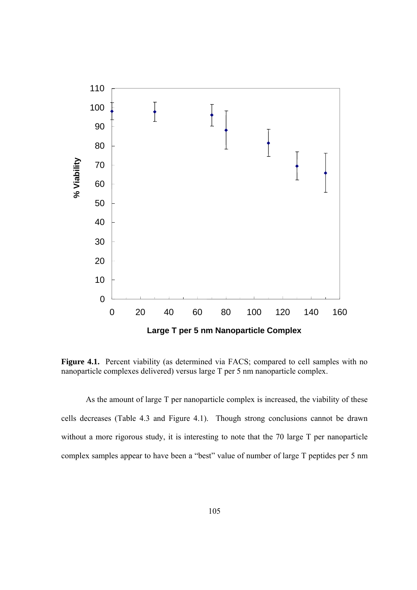

Figure 4.1. Percent viability (as determined via FACS; compared to cell samples with no nanoparticle complexes delivered) versus large T per 5 nm nanoparticle complex.

As the amount of large T per nanoparticle complex is increased, the viability of these cells decreases (Table 4.3 and Figure 4.1). Though strong conclusions cannot be drawn without a more rigorous study, it is interesting to note that the 70 large T per nanoparticle complex samples appear to have been a "best" value of number of large T peptides per 5 nm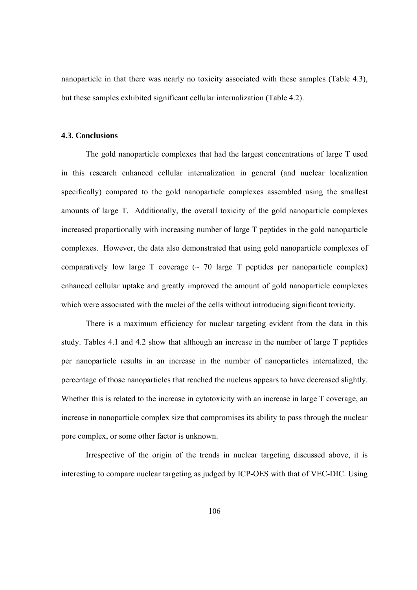nanoparticle in that there was nearly no toxicity associated with these samples (Table 4.3), but these samples exhibited significant cellular internalization (Table 4.2).

#### **4.3. Conclusions**

 The gold nanoparticle complexes that had the largest concentrations of large T used in this research enhanced cellular internalization in general (and nuclear localization specifically) compared to the gold nanoparticle complexes assembled using the smallest amounts of large T. Additionally, the overall toxicity of the gold nanoparticle complexes increased proportionally with increasing number of large T peptides in the gold nanoparticle complexes. However, the data also demonstrated that using gold nanoparticle complexes of comparatively low large  $T$  coverage  $\sim$  70 large  $T$  peptides per nanoparticle complex) enhanced cellular uptake and greatly improved the amount of gold nanoparticle complexes which were associated with the nuclei of the cells without introducing significant toxicity.

 There is a maximum efficiency for nuclear targeting evident from the data in this study. Tables 4.1 and 4.2 show that although an increase in the number of large T peptides per nanoparticle results in an increase in the number of nanoparticles internalized, the percentage of those nanoparticles that reached the nucleus appears to have decreased slightly. Whether this is related to the increase in cytotoxicity with an increase in large T coverage, an increase in nanoparticle complex size that compromises its ability to pass through the nuclear pore complex, or some other factor is unknown.

Irrespective of the origin of the trends in nuclear targeting discussed above, it is interesting to compare nuclear targeting as judged by ICP-OES with that of VEC-DIC. Using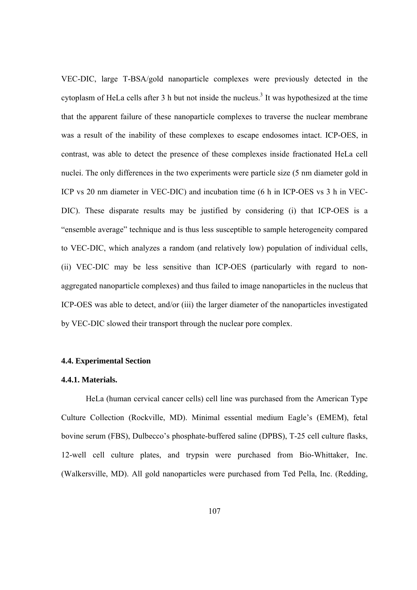VEC-DIC, large T-BSA/gold nanoparticle complexes were previously detected in the cytoplasm of HeLa cells after  $3$  h but not inside the nucleus.<sup>3</sup> It was hypothesized at the time that the apparent failure of these nanoparticle complexes to traverse the nuclear membrane was a result of the inability of these complexes to escape endosomes intact. ICP-OES, in contrast, was able to detect the presence of these complexes inside fractionated HeLa cell nuclei. The only differences in the two experiments were particle size (5 nm diameter gold in ICP vs 20 nm diameter in VEC-DIC) and incubation time (6 h in ICP-OES vs 3 h in VEC-DIC). These disparate results may be justified by considering (i) that ICP-OES is a "ensemble average" technique and is thus less susceptible to sample heterogeneity compared to VEC-DIC, which analyzes a random (and relatively low) population of individual cells, (ii) VEC-DIC may be less sensitive than ICP-OES (particularly with regard to nonaggregated nanoparticle complexes) and thus failed to image nanoparticles in the nucleus that ICP-OES was able to detect, and/or (iii) the larger diameter of the nanoparticles investigated by VEC-DIC slowed their transport through the nuclear pore complex.

#### **4.4. Experimental Section**

#### **4.4.1. Materials.**

HeLa (human cervical cancer cells) cell line was purchased from the American Type Culture Collection (Rockville, MD). Minimal essential medium Eagle's (EMEM), fetal bovine serum (FBS), Dulbecco's phosphate-buffered saline (DPBS), T-25 cell culture flasks, 12-well cell culture plates, and trypsin were purchased from Bio-Whittaker, Inc. (Walkersville, MD). All gold nanoparticles were purchased from Ted Pella, Inc. (Redding,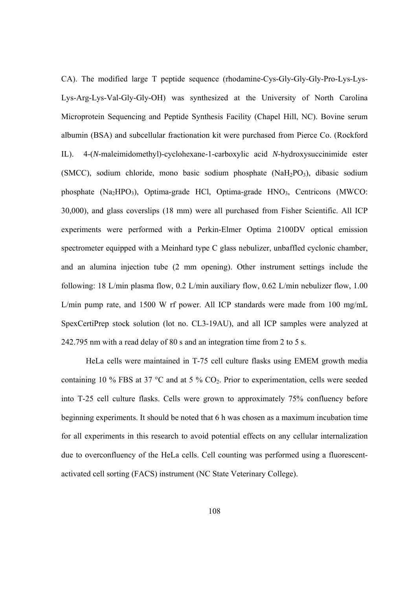CA). The modified large T peptide sequence (rhodamine-Cys-Gly-Gly-Gly-Pro-Lys-Lys-Lys-Arg-Lys-Val-Gly-Gly-OH) was synthesized at the University of North Carolina Microprotein Sequencing and Peptide Synthesis Facility (Chapel Hill, NC). Bovine serum albumin (BSA) and subcellular fractionation kit were purchased from Pierce Co. (Rockford IL). 4-(*N*-maleimidomethyl)-cyclohexane-1-carboxylic acid *N*-hydroxysuccinimide ester (SMCC), sodium chloride, mono basic sodium phosphate (NaH<sub>2</sub>PO<sub>3</sub>), dibasic sodium phosphate (Na<sub>2</sub>HPO<sub>3</sub>), Optima-grade HCl, Optima-grade HNO<sub>3</sub>, Centricons (MWCO: 30,000), and glass coverslips (18 mm) were all purchased from Fisher Scientific. All ICP experiments were performed with a Perkin-Elmer Optima 2100DV optical emission spectrometer equipped with a Meinhard type C glass nebulizer, unbaffled cyclonic chamber, and an alumina injection tube (2 mm opening). Other instrument settings include the following: 18 L/min plasma flow, 0.2 L/min auxiliary flow, 0.62 L/min nebulizer flow, 1.00 L/min pump rate, and 1500 W rf power. All ICP standards were made from 100 mg/mL SpexCertiPrep stock solution (lot no. CL3-19AU), and all ICP samples were analyzed at 242.795 nm with a read delay of 80 s and an integration time from 2 to 5 s.

HeLa cells were maintained in T-75 cell culture flasks using EMEM growth media containing 10 % FBS at 37  $^{\circ}$ C and at 5 % CO<sub>2</sub>. Prior to experimentation, cells were seeded into T-25 cell culture flasks. Cells were grown to approximately 75% confluency before beginning experiments. It should be noted that 6 h was chosen as a maximum incubation time for all experiments in this research to avoid potential effects on any cellular internalization due to overconfluency of the HeLa cells. Cell counting was performed using a fluorescentactivated cell sorting (FACS) instrument (NC State Veterinary College).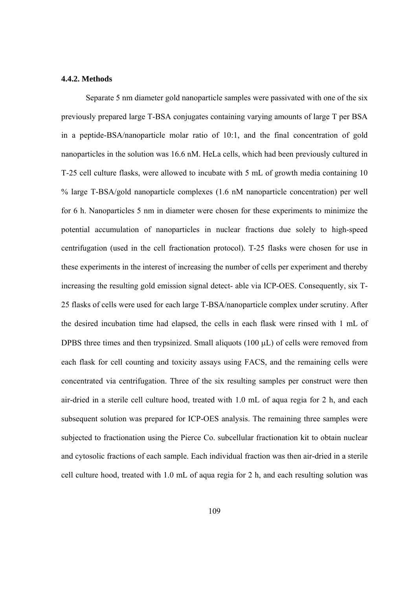#### **4.4.2. Methods**

Separate 5 nm diameter gold nanoparticle samples were passivated with one of the six previously prepared large T-BSA conjugates containing varying amounts of large T per BSA in a peptide-BSA/nanoparticle molar ratio of 10:1, and the final concentration of gold nanoparticles in the solution was 16.6 nM. HeLa cells, which had been previously cultured in T-25 cell culture flasks, were allowed to incubate with 5 mL of growth media containing 10 % large T-BSA/gold nanoparticle complexes (1.6 nM nanoparticle concentration) per well for 6 h. Nanoparticles 5 nm in diameter were chosen for these experiments to minimize the potential accumulation of nanoparticles in nuclear fractions due solely to high-speed centrifugation (used in the cell fractionation protocol). T-25 flasks were chosen for use in these experiments in the interest of increasing the number of cells per experiment and thereby increasing the resulting gold emission signal detect- able via ICP-OES. Consequently, six T-25 flasks of cells were used for each large T-BSA/nanoparticle complex under scrutiny. After the desired incubation time had elapsed, the cells in each flask were rinsed with 1 mL of DPBS three times and then trypsinized. Small aliquots  $(100 \mu L)$  of cells were removed from each flask for cell counting and toxicity assays using FACS, and the remaining cells were concentrated via centrifugation. Three of the six resulting samples per construct were then air-dried in a sterile cell culture hood, treated with 1.0 mL of aqua regia for 2 h, and each subsequent solution was prepared for ICP-OES analysis. The remaining three samples were subjected to fractionation using the Pierce Co. subcellular fractionation kit to obtain nuclear and cytosolic fractions of each sample. Each individual fraction was then air-dried in a sterile cell culture hood, treated with 1.0 mL of aqua regia for 2 h, and each resulting solution was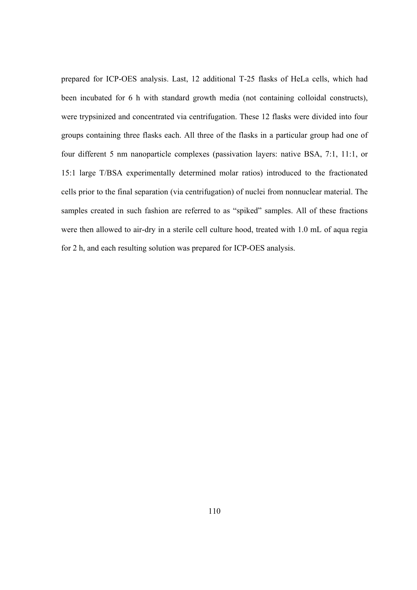prepared for ICP-OES analysis. Last, 12 additional T-25 flasks of HeLa cells, which had been incubated for 6 h with standard growth media (not containing colloidal constructs), were trypsinized and concentrated via centrifugation. These 12 flasks were divided into four groups containing three flasks each. All three of the flasks in a particular group had one of four different 5 nm nanoparticle complexes (passivation layers: native BSA, 7:1, 11:1, or 15:1 large T/BSA experimentally determined molar ratios) introduced to the fractionated cells prior to the final separation (via centrifugation) of nuclei from nonnuclear material. The samples created in such fashion are referred to as "spiked" samples. All of these fractions were then allowed to air-dry in a sterile cell culture hood, treated with 1.0 mL of aqua regia for 2 h, and each resulting solution was prepared for ICP-OES analysis.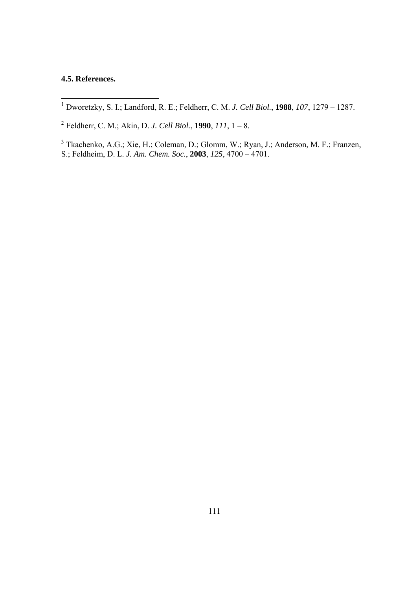### **4.5. References.**

1 Dworetzky, S. I.; Landford, R. E.; Feldherr, C. M. *J. Cell Biol.*, **1988**, *107*, 1279 – 1287.

2 Feldherr, C. M.; Akin, D. *J. Cell Biol.*, **1990**, *111*, 1 – 8.

<sup>3</sup> Tkachenko, A.G.; Xie, H.; Coleman, D.; Glomm, W.; Ryan, J.; Anderson, M. F.; Franzen, S.; Feldheim, D. L. *J. Am. Chem. Soc.*, **2003**, *125*, 4700 – 4701.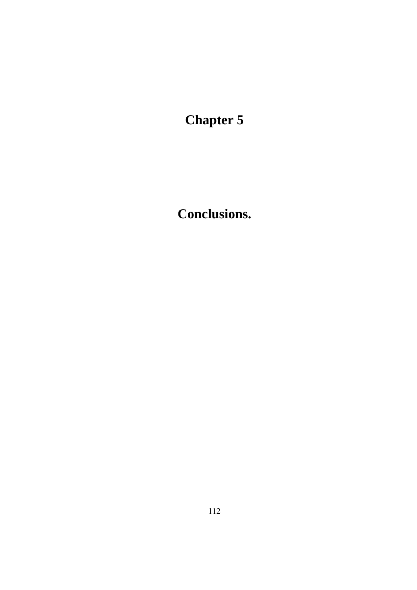**Chapter 5** 

**Conclusions.**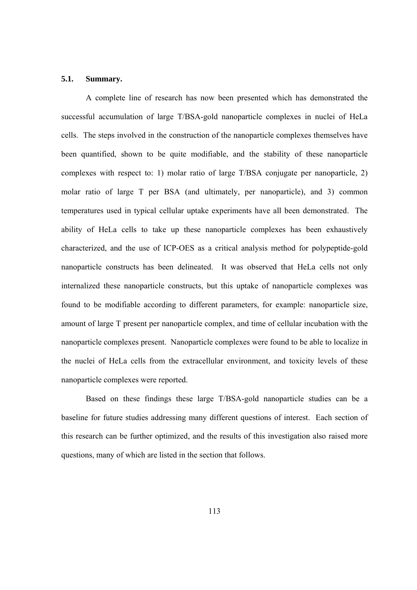#### **5.1. Summary.**

A complete line of research has now been presented which has demonstrated the successful accumulation of large T/BSA-gold nanoparticle complexes in nuclei of HeLa cells. The steps involved in the construction of the nanoparticle complexes themselves have been quantified, shown to be quite modifiable, and the stability of these nanoparticle complexes with respect to: 1) molar ratio of large T/BSA conjugate per nanoparticle, 2) molar ratio of large T per BSA (and ultimately, per nanoparticle), and 3) common temperatures used in typical cellular uptake experiments have all been demonstrated. The ability of HeLa cells to take up these nanoparticle complexes has been exhaustively characterized, and the use of ICP-OES as a critical analysis method for polypeptide-gold nanoparticle constructs has been delineated. It was observed that HeLa cells not only internalized these nanoparticle constructs, but this uptake of nanoparticle complexes was found to be modifiable according to different parameters, for example: nanoparticle size, amount of large T present per nanoparticle complex, and time of cellular incubation with the nanoparticle complexes present. Nanoparticle complexes were found to be able to localize in the nuclei of HeLa cells from the extracellular environment, and toxicity levels of these nanoparticle complexes were reported.

Based on these findings these large T/BSA-gold nanoparticle studies can be a baseline for future studies addressing many different questions of interest. Each section of this research can be further optimized, and the results of this investigation also raised more questions, many of which are listed in the section that follows.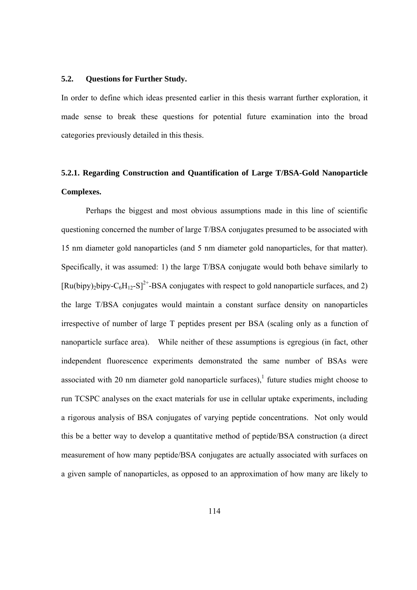#### **5.2. Questions for Further Study.**

In order to define which ideas presented earlier in this thesis warrant further exploration, it made sense to break these questions for potential future examination into the broad categories previously detailed in this thesis.

## **5.2.1. Regarding Construction and Quantification of Large T/BSA-Gold Nanoparticle Complexes.**

Perhaps the biggest and most obvious assumptions made in this line of scientific questioning concerned the number of large T/BSA conjugates presumed to be associated with 15 nm diameter gold nanoparticles (and 5 nm diameter gold nanoparticles, for that matter). Specifically, it was assumed: 1) the large T/BSA conjugate would both behave similarly to  $[Ru(bipy),bipy-C<sub>6</sub>H<sub>12</sub>-S]<sup>2+</sup>$ -BSA conjugates with respect to gold nanoparticle surfaces, and 2) the large T/BSA conjugates would maintain a constant surface density on nanoparticles irrespective of number of large T peptides present per BSA (scaling only as a function of nanoparticle surface area). While neither of these assumptions is egregious (in fact, other independent fluorescence experiments demonstrated the same number of BSAs were associated with 20 nm diameter gold nanoparticle surfaces),<sup>1</sup> future studies might choose to run TCSPC analyses on the exact materials for use in cellular uptake experiments, including a rigorous analysis of BSA conjugates of varying peptide concentrations. Not only would this be a better way to develop a quantitative method of peptide/BSA construction (a direct measurement of how many peptide/BSA conjugates are actually associated with surfaces on a given sample of nanoparticles, as opposed to an approximation of how many are likely to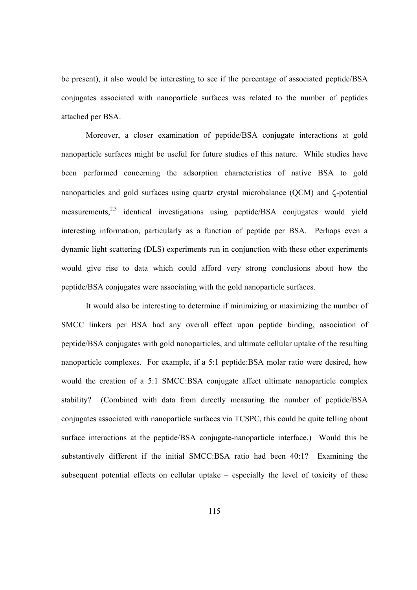be present), it also would be interesting to see if the percentage of associated peptide/BSA conjugates associated with nanoparticle surfaces was related to the number of peptides attached per BSA.

 Moreover, a closer examination of peptide/BSA conjugate interactions at gold nanoparticle surfaces might be useful for future studies of this nature. While studies have been performed concerning the adsorption characteristics of native BSA to gold nanoparticles and gold surfaces using quartz crystal microbalance  $(QCM)$  and  $\zeta$ -potential measurements,  $2,3$  identical investigations using peptide/BSA conjugates would vield interesting information, particularly as a function of peptide per BSA. Perhaps even a dynamic light scattering (DLS) experiments run in conjunction with these other experiments would give rise to data which could afford very strong conclusions about how the peptide/BSA conjugates were associating with the gold nanoparticle surfaces.

 It would also be interesting to determine if minimizing or maximizing the number of SMCC linkers per BSA had any overall effect upon peptide binding, association of peptide/BSA conjugates with gold nanoparticles, and ultimate cellular uptake of the resulting nanoparticle complexes. For example, if a 5:1 peptide:BSA molar ratio were desired, how would the creation of a 5:1 SMCC:BSA conjugate affect ultimate nanoparticle complex stability? (Combined with data from directly measuring the number of peptide/BSA conjugates associated with nanoparticle surfaces via TCSPC, this could be quite telling about surface interactions at the peptide/BSA conjugate-nanoparticle interface.) Would this be substantively different if the initial SMCC:BSA ratio had been 40:1? Examining the subsequent potential effects on cellular uptake – especially the level of toxicity of these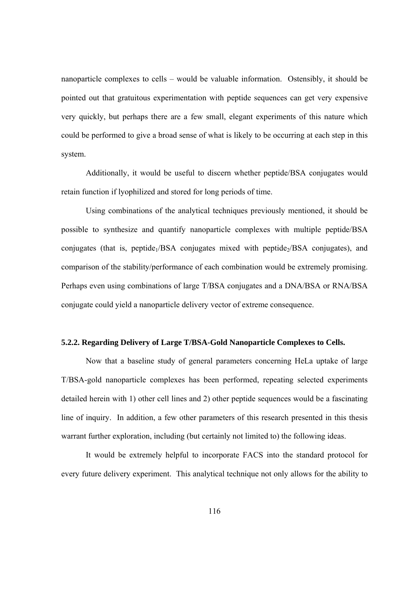nanoparticle complexes to cells – would be valuable information. Ostensibly, it should be pointed out that gratuitous experimentation with peptide sequences can get very expensive very quickly, but perhaps there are a few small, elegant experiments of this nature which could be performed to give a broad sense of what is likely to be occurring at each step in this system.

 Additionally, it would be useful to discern whether peptide/BSA conjugates would retain function if lyophilized and stored for long periods of time.

 Using combinations of the analytical techniques previously mentioned, it should be possible to synthesize and quantify nanoparticle complexes with multiple peptide/BSA conjugates (that is, peptide $1/BSA$  conjugates mixed with peptide $2/BSA$  conjugates), and comparison of the stability/performance of each combination would be extremely promising. Perhaps even using combinations of large T/BSA conjugates and a DNA/BSA or RNA/BSA conjugate could yield a nanoparticle delivery vector of extreme consequence.

### **5.2.2. Regarding Delivery of Large T/BSA-Gold Nanoparticle Complexes to Cells.**

Now that a baseline study of general parameters concerning HeLa uptake of large T/BSA-gold nanoparticle complexes has been performed, repeating selected experiments detailed herein with 1) other cell lines and 2) other peptide sequences would be a fascinating line of inquiry. In addition, a few other parameters of this research presented in this thesis warrant further exploration, including (but certainly not limited to) the following ideas.

It would be extremely helpful to incorporate FACS into the standard protocol for every future delivery experiment. This analytical technique not only allows for the ability to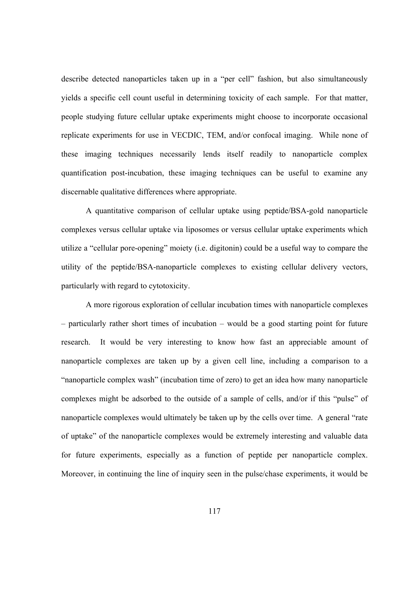describe detected nanoparticles taken up in a "per cell" fashion, but also simultaneously yields a specific cell count useful in determining toxicity of each sample. For that matter, people studying future cellular uptake experiments might choose to incorporate occasional replicate experiments for use in VECDIC, TEM, and/or confocal imaging. While none of these imaging techniques necessarily lends itself readily to nanoparticle complex quantification post-incubation, these imaging techniques can be useful to examine any discernable qualitative differences where appropriate.

A quantitative comparison of cellular uptake using peptide/BSA-gold nanoparticle complexes versus cellular uptake via liposomes or versus cellular uptake experiments which utilize a "cellular pore-opening" moiety (i.e. digitonin) could be a useful way to compare the utility of the peptide/BSA-nanoparticle complexes to existing cellular delivery vectors, particularly with regard to cytotoxicity.

A more rigorous exploration of cellular incubation times with nanoparticle complexes – particularly rather short times of incubation – would be a good starting point for future research. It would be very interesting to know how fast an appreciable amount of nanoparticle complexes are taken up by a given cell line, including a comparison to a "nanoparticle complex wash" (incubation time of zero) to get an idea how many nanoparticle complexes might be adsorbed to the outside of a sample of cells, and/or if this "pulse" of nanoparticle complexes would ultimately be taken up by the cells over time. A general "rate of uptake" of the nanoparticle complexes would be extremely interesting and valuable data for future experiments, especially as a function of peptide per nanoparticle complex. Moreover, in continuing the line of inquiry seen in the pulse/chase experiments, it would be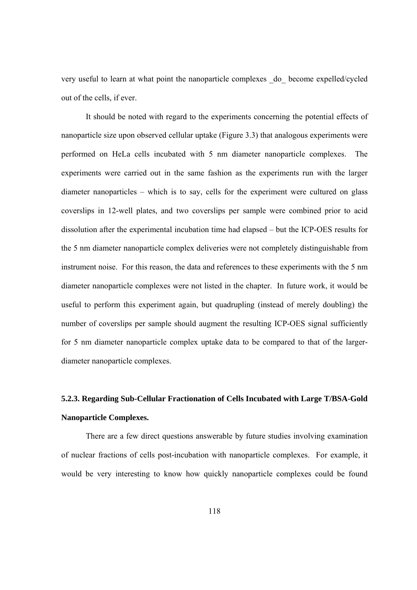very useful to learn at what point the nanoparticle complexes \_do\_ become expelled/cycled out of the cells, if ever.

It should be noted with regard to the experiments concerning the potential effects of nanoparticle size upon observed cellular uptake (Figure 3.3) that analogous experiments were performed on HeLa cells incubated with 5 nm diameter nanoparticle complexes. The experiments were carried out in the same fashion as the experiments run with the larger diameter nanoparticles – which is to say, cells for the experiment were cultured on glass coverslips in 12-well plates, and two coverslips per sample were combined prior to acid dissolution after the experimental incubation time had elapsed – but the ICP-OES results for the 5 nm diameter nanoparticle complex deliveries were not completely distinguishable from instrument noise. For this reason, the data and references to these experiments with the 5 nm diameter nanoparticle complexes were not listed in the chapter. In future work, it would be useful to perform this experiment again, but quadrupling (instead of merely doubling) the number of coverslips per sample should augment the resulting ICP-OES signal sufficiently for 5 nm diameter nanoparticle complex uptake data to be compared to that of the largerdiameter nanoparticle complexes.

# **5.2.3. Regarding Sub-Cellular Fractionation of Cells Incubated with Large T/BSA-Gold Nanoparticle Complexes.**

 There are a few direct questions answerable by future studies involving examination of nuclear fractions of cells post-incubation with nanoparticle complexes. For example, it would be very interesting to know how quickly nanoparticle complexes could be found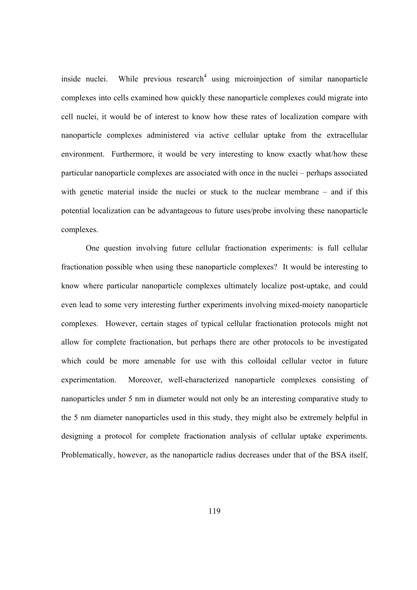inside nuclei. While previous research<sup>4</sup> using microinjection of similar nanoparticle complexes into cells examined how quickly these nanoparticle complexes could migrate into cell nuclei, it would be of interest to know how these rates of localization compare with nanoparticle complexes administered via active cellular uptake from the extracellular environment. Furthermore, it would be very interesting to know exactly what/how these particular nanoparticle complexes are associated with once in the nuclei – perhaps associated with genetic material inside the nuclei or stuck to the nuclear membrane – and if this potential localization can be advantageous to future uses/probe involving these nanoparticle complexes.

 One question involving future cellular fractionation experiments: is full cellular fractionation possible when using these nanoparticle complexes? It would be interesting to know where particular nanoparticle complexes ultimately localize post-uptake, and could even lead to some very interesting further experiments involving mixed-moiety nanoparticle complexes. However, certain stages of typical cellular fractionation protocols might not allow for complete fractionation, but perhaps there are other protocols to be investigated which could be more amenable for use with this colloidal cellular vector in future experimentation. Moreover, well-characterized nanoparticle complexes consisting of nanoparticles under 5 nm in diameter would not only be an interesting comparative study to the 5 nm diameter nanoparticles used in this study, they might also be extremely helpful in designing a protocol for complete fractionation analysis of cellular uptake experiments. Problematically, however, as the nanoparticle radius decreases under that of the BSA itself,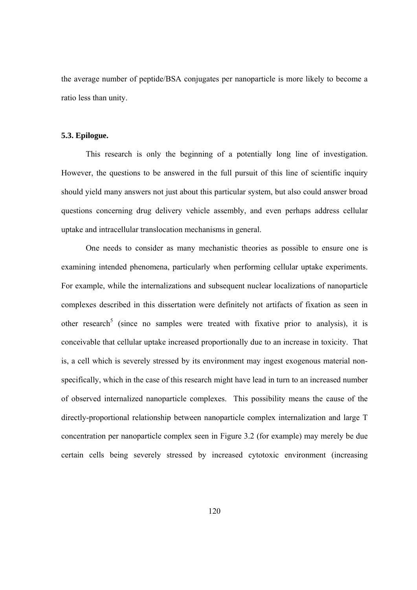the average number of peptide/BSA conjugates per nanoparticle is more likely to become a ratio less than unity.

#### **5.3. Epilogue.**

This research is only the beginning of a potentially long line of investigation. However, the questions to be answered in the full pursuit of this line of scientific inquiry should yield many answers not just about this particular system, but also could answer broad questions concerning drug delivery vehicle assembly, and even perhaps address cellular uptake and intracellular translocation mechanisms in general.

 One needs to consider as many mechanistic theories as possible to ensure one is examining intended phenomena, particularly when performing cellular uptake experiments. For example, while the internalizations and subsequent nuclear localizations of nanoparticle complexes described in this dissertation were definitely not artifacts of fixation as seen in other research<sup>5</sup> (since no samples were treated with fixative prior to analysis), it is conceivable that cellular uptake increased proportionally due to an increase in toxicity. That is, a cell which is severely stressed by its environment may ingest exogenous material nonspecifically, which in the case of this research might have lead in turn to an increased number of observed internalized nanoparticle complexes. This possibility means the cause of the directly-proportional relationship between nanoparticle complex internalization and large T concentration per nanoparticle complex seen in Figure 3.2 (for example) may merely be due certain cells being severely stressed by increased cytotoxic environment (increasing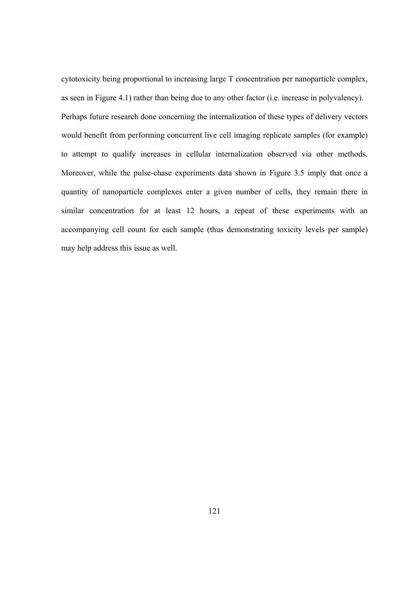cytotoxicity being proportional to increasing large T concentration per nanoparticle complex, as seen in Figure 4.1) rather than being due to any other factor (i.e. increase in polyvalency). Perhaps future research done concerning the internalization of these types of delivery vectors would benefit from performing concurrent live cell imaging replicate samples (for example) to attempt to qualify increases in cellular internalization observed via other methods. Moreover, while the pulse-chase experiments data shown in Figure 3.5 imply that once a quantity of nanoparticle complexes enter a given number of cells, they remain there in similar concentration for at least 12 hours, a repeat of these experiments with an accompanying cell count for each sample (thus demonstrating toxicity levels per sample) may help address this issue as well.